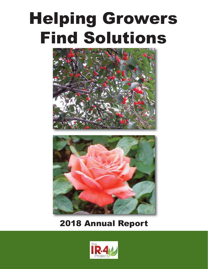# Helping Growers Find Solutions





## 2018 Annual Report

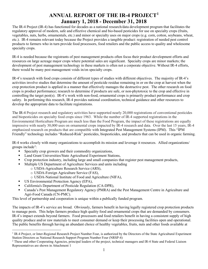### **ANNUAL REPORT OF THE IR-4 PROJECT[1](#page-1-0) January 1, 2018 - December 31, 2018**

The IR-4 Project (IR-4) has functioned for decades as a national research/data development program that facilitates the regulatory approval of modern, safe and effective chemical and bio-based pesticides for use on specialty crops (fruits, vegetables, nuts, herbs, ornamentals, etc.) and minor or specialty uses on major crops (e.g. corn, cotton, soybeans, wheat, etc.). IR-4 remains relevant today because the Project provides a tangible product: registration of needed pest control products to farmers who in turn provide food processors, food retailers and the public access to quality and wholesome specialty crops.

IR-4 is needed because the registrants of pest management products often focus their product development efforts and resources on large acreage major crops where potential sales are significant. Specialty crops are minor markets; the development of pest management technology in these markets is often not a corporate objective. Without IR-4 efforts, there would be many pest management voids in/on specialty crops.

IR-4's research with food crops consists of different types of studies with different objectives. The majority of IR-4's activities involve studies that determine the amount of pesticide residue remaining in or on the crop at harvest when the crop protection product is applied in a manner that effectively manages the destructive pest. The other research on food crops is product performance; research to determine if products are safe, or non-phytotoxic to the crop and effective in controlling the target pest(s). IR-4's work with non-food, ornamental crops is primarily product performance and crop safety. In performing this research, IR-4 provides national coordination, technical guidance and other resources to develop the appropriate data to facilitate registrations.

The IR-4 Project research and regulatory activities have supported nearly 20,000 registrations of conventional pesticides and biopesticides on specialty food crops since 1963. While the number of IR-4 supported registrations in the Environmental Horticulture Program are much less than the Food Program, the impact of these registrations are equally impressive with nearly 30,000 uses on ornamental crops impacted by IR-4 research and data. Over the last 15 years, IR-4 emphasized research on products that are compatible with Integrated Pest Management Systems (IPM). This "IPM Friendly" technology includes "Reduced-Risk" pesticides, biopesticides, and products that can be used in organic farming.

IR-4 works closely with many organizations to accomplish its mission and leverage it resources. Allied organizations/ groups include<sup>[2](#page-1-1)</sup>:

- Specialty crop growers and their commodity organizations,
- **Land Grant Universities/State Agricultural Experiment Stations,**
- Crop protection industry, including large and small companies that register pest management products,
- Multiple US Department of Agriculture Services and units including
	- o USDA-Agriculture Research Service (ARS),
	- o USDA-Foreign Agriculture Service (FAS),
	- o USDA-National Institute of Food and Agriculture (NIFA),
- US Environmental Protection Agency (EPA),
- California's Department of Pesticide Regulation (CA-DPR),
- Canada's Pest Management Regulatory Agency (PMRA) and the Pest Management Centre in Agriculture and Agri-Food Canada (CN-PMC).

This level of partnership and cooperation is unique within a publically funded program.

The impacts of IR-4's service are broad. Obviously, farmers benefit in having legally registered crop protection products to manage pests. This helps farmers produce high quality food and ornamental crops that are demanded by consumers. IR-4's impact extends beyond farmers. Food processors and food retailers benefit in having a consistent supply of high quality produce and/or raw materials to meet consumer demand or keep their processing facilities open and operational. The public benefits through having an abundant choice of healthy vegetables, fruits, nuts and other foods available at

<span id="page-1-0"></span> $<sup>1</sup>$  IR-4 Project, or Inter-Regional Research Project Number Four, is authorized by the Directors of the State Agricultural Experiment</sup> Station Directors as National Research Support Program Number Four (NRSP-4)

<span id="page-1-1"></span><sup>&</sup>lt;sup>2</sup> These and other Cooperating Agencies, principal leaders of the project, technical managers and IR-4 State and Federal Liaison Representatives are shown in Attachment 1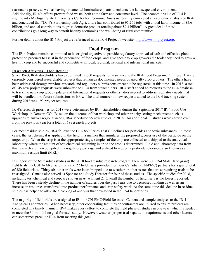reasonable prices, as well as having ornamental horticulture plants to enhance the landscape and environment. Additionally, IR-4's efforts prevent food waste, both at the farm and consumer level. The economic value of IR-4 is significant - Michigan State University's Center for Economic Analysis recently completed an economic analysis of IR-4 and concluded that "IR-4's Partnership with Agriculture has contributed to 95,261 jobs with a total labor income of \$5.6 billion, and annual contributions to gross domestic product totaling about \$9.4 billion". A great deal of these contributions go a long way to benefit healthy economies and well-being of rural communities.

Further details about the IR-4 Project are referenced at the IR-4 Project's website: [http://www.ir4project.org.](http://www.ir4project.org/)

### **Food Program**

The IR-4 Project remains committed to its original objective to provide regulatory approval of safe and effective plant protection products to assist in the production of food crops, and give specialty crop growers the tools they need to grow a healthy crop and be successful and competitive in local, regional, national and international markets.

### **Research Activities – Food Residue**

Since 1963, IR-4 stakeholders have submitted 12,660 requests for assistance to the IR-4 Food Program. Of these, 314 are currently considered researchable projects that remain as documented needs of specialty crop growers. The others have been addressed through previous research and regulatory submissions or cannot be registered at this time. In 2018, a total of 145 new project requests were submitted to IR-4 from stakeholders. IR-4 staff added 48 requests to the IR-4 database to track the new crop group updates and International requests or other studies needed to address regulatory needs that will be bundled into future submissions to EPA. The total number of new requests added to the IR-4 tracking system during 2018 was 193 project requests.

IR-4's research priorities for 2018 were determined by IR-4 stakeholders during the September 2017 IR-4 Food Use Workshop, in Denver, CO. Based on the outcome of that workshop and other priority setting mechanisms such as upgrades to answer regional needs, IR-4 scheduled 55 new studies in 2018. An additional 13 studies were carried over from the previous year for a total of 68 research projects.

For most residue studies, IR-4 follows the EPA 860 Series Test Guidelines for pesticides and toxic substances. In most cases, the test chemical is applied in the field in a manner that simulates the proposed grower use of the pesticide on the target crop. When the crop is at the appropriate stage, samples of the crop are collected and shipped to the analytical laboratory where the amount of test chemical remaining in or on the crop is determined. Field and laboratory data from this research are then compiled in a regulatory package and utilized to request a pesticide tolerance, also known as a maximum residue limit (MRL).

In support of the 68 residues studies in the 2018 food residue research program, there were 303 IR-4 State (land grant) field trials, 55 USDA-ARS field trials and 22 field trials provided from our Canadian (CN-PMC) partners for a grand total of 380 field trials. Thirty-six other trials were later dropped due to weather or other issues that arose requiring trials to be re-assigned. Canada also served as Sponsor and Study Director for four of these studies. The specific studies for 2018, including test chemical and crop, are shown in Attachment 2. Overall the number of field trials is the lowest reported. There has been a steady decline in the number of studies over the past years due to decreased funding as well as an increase in resources transferred into product performance and crop safety work. At the same time this decline in residue studies has helped to alleviate a backlog of analysis that developed in the IR-4 laboratories.

The majority of field trials are assigned to IR-4 or CN-PMC/Field Research Centers and sample analyses to the IR-4 Analytical Laboratories. When necessary, other cooperating facilities or contractors are utilized to ensure projects are completed in a timely manner. IR-4 makes every effort to complete the field phase of studies in one year, which is needed to meet the 30-month line goal for each study. However, weather, proper trial separation requirements and other factors can sometimes preclude IR-4 from meeting this goal.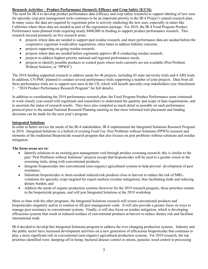### **Research Activities – Product Performance (formerly Efficacy and Crop Safety [E/CS])**

The need for IR-4 to develop product performance data (efficacy and crop safety research) to support labeling of new uses for specialty crop pest management tools continues to be an important priority in the IR-4 Project's annual research plan. In many cases, the data are required by registrants prior to actively marketing the new uses, especially in states like California where these data are needed as part of the registration package. For 2018, the IR-4 Food Program Product Performance team planned trials requiring nearly \$400,000 in funding to support product performance research. This research focused primarily on five research areas:

- projects where data are needed to support past residue research, and more performance data are needed before the cooperative registrant would allow registration, often times to address liability concerns,
- projects supporting on-going residue research,
- projects where data are needed before registrants approve IR-4 conducting residue research,
- projects to address highest priority national and regional performance needs,
- projects to identify possible products to control pests where tools currently are not available (Pest Problem Without Solution, or "PPWS").

The 2018 funding supported research to address needs for 46 projects, including 85 state university trials and 4 ARS trials. In addition, CN-PMC planned to conduct several performance trials supporting a number of joint projects. Data from all these performance trials are to support new uses in the US, which will benefit specialty crop stakeholders (see Attachment 3 – "2018 Product Performance Research Program" for full details).

In addition to coordinating the 2018 performance research plan, the Food Program Product Performance team continued to work closely year-round with registrants and researchers to understand the quantity and scope of data requirements, and to ascertain the status of research results. They have also compiled as much detail as possible on each performance protocol prior to the annual National Research Planning meeting so that more informed trial placement and funding decisions can be made for the next year's program.

### **Integrated Solutions**

In order to better service the needs of the IR-4 stakeholders, IR-4 implemented the Integrated Solutions Research Program in 2018. Integrated Solutions is a hybrid of existing Food Use, Pest Problems without Solutions (PPWS) research and elements of the traditional Biopesticide research program that also focuses on pest problems without solutions and residue mitigation.

### **The focus areas are to:**

- Identify solutions to an existing pest management void through product screening research; this is similar to the past "Pest Problems without Solutions" projects except that biopesticides will be used to a greater extent in the screening trials, along with conventional products;
- Integrate biopesticides into conventional (non-organic) agricultural systems to help prevent development of pest resistance;
- Substitute biopesticides or short-residual reduced-risk products close to harvest to reduce the risk of MRLviolations for specialty crops targeted for export markets (residue mitigation), thus facilitating trade and reducing dietary burden; and
- Address the needs of organic production systems (however for the 2019 research program, these priorities remain in the biopesticide program, and will join Integrated Solutions at the 2019 workshop.

More so than with the other programs, the Integrated Solutions research will screen conventional products and biopesticides singularly and/or in rotation to fill pest management voids. It will also provide a greater focus on ways to manage pest resistance in conventional systems. Finally, it will also focus on residue mitigation, which is developing efficacious systems that result in reduced residues of conventional products at harvest to reduce dietary risk and facilitate international trade.

IR-4 decided to develop this Integrated Solutions program to address the ever-changing production systems. Industry and the public sector have increased development activities on a new generation of efficacious biopesticides that continues to play a more significant role in conventional (non-organic) agricultural production systems. For 2019 research, the top priorities identified were: damping-off in hemp, bacterial disease control in onions, parasitic weed control in processing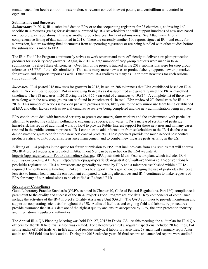tomato, cucumber beetle control in watermelon, wireworm control in sweet potato, and verticillium wilt control in eggplant.

### **Submissions and Successes**

*Submissions.* In 2018, IR-4 submitted data to EPA or to the cooperating registrant for 23 chemicals, addressing 160 specific IR-4 requests (PR#s) for assistance submitted by IR-4 stakeholders and will support hundreds of new uses based on crop group extrapolations. This was another productive year for IR-4 submissions. See Attachment 4 for a comprehensive listing of data submitted in 2018. There are currently another 100 reports signed at IR-4 and ready for submission, but are awaiting final documents from cooperating registrants or are being bundled with other studies before the submission is made to EPA.

The IR-4 Food Use Program continuously strives to work smarter and more efficiently to deliver new plant protection products for specialty crop growers. Again, in 2018, a large number of crop group requests were made in IR-4 submissions to reflect these efficiencies. Over half of the projects tracked in the 2018 submissions were for crop group tolerances (85 PR# of the 160 submitted). This adds many more new uses to product labels, supports new crop markets for growers and supports imports as well. Often times IR-4 realizes as many as 10 or more new uses for each residue study submitted.

*Successes.* IR-4 posted 918 new uses for growers in 2018, based on 208 tolerances that EPA established based on IR-4 data. EPA continues to support IR-4 in reviewing IR-4 data as it is submitted and generally meet the PRIA mandated timelines. The 918 new uses in 2018 bring the IR-4 55-year total of clearances to 19,814. A complete list of these new uses along with the new crop groups can be found in Attachment 5. In total, EPA reviewed 27 chemistries for IR-4 in 2018. This number of actions is back on par with previous years, likely due to the new minor use team being established at EPA and other factors such as several cumulative reviews being completed and the new administration being in place.

EPA continues to deal with increased scrutiny to protect consumers, farm workers and the environment, with particular attention to protecting children, pollinators, endangered species, and water. EPA's increased scrutiny of pesticide hazard/risk has required additional work by IR-4 to provide Public Interest support for these new uses and in many cases respond in the public comment process. IR-4 continues to add information from stakeholders to the IR-4 database to demonstrate the great need for these new pest control products. These products provide the much needed pest control products critical to IPM programs, resistance management and to combat new invasive pests arriving in the US.

A listing of IR-4 projects in the queue for future submission to EPA, that includes data from 164 studies that will address 283 IR-4 project requests, is provided in Attachment 6 or can be searched on the IR-4 website at: [http://ir4app.rutgers.edu/Ir4FoodPub/timelineSch.aspx.](http://ir4app.rutgers.edu/Ir4FoodPub/timelineSch.aspx) EPA posts their Multi-Year work plan, which includes IR-4 submissions pending at EPA, at: [http://www.epa.gov/pesticide-registration/multi-year-workplan-conventional](http://www.epa.gov/pesticide-registration/multi-year-workplan-conventional-pesticide-registration)[pesticide-registration.](http://www.epa.gov/pesticide-registration/multi-year-workplan-conventional-pesticide-registration) IR-4 submissions are generally reviewed by EPA and a tolerance established within a PRIArequired 15-month review timeline. IR-4 continues to support EPA's goal of encouraging the use of pesticides that pose less risk to human health and the environment compared to existing alternatives and IR-4 continues to make requests of EPA for many of our submissions to be classified as Reduced Risk.

#### **Regulatory Compliance**

Good Laboratory Practice Standards (GLP's as noted in Chapter 40, Code of Federal Regulations, Part 160) compliance is paramount to the quality and success of the IR-4 Project's Food Program residue data. Key components of compliance include the activities of the IR-4 Project's Quality Assurance Unit (QAU). The QAU continues to provide monitoring and support to cooperating scientists throughout the US. Audits of facilities and ongoing field and laboratory procedures provide assurance that IR-4's data are of the highest quality and ensure acceptance by EPA, the crop protection industry, and international regulatory authorities.

The Annual IR-4 QA Planning Meeting was held Feb. 27, 2018 in Davis, CA. At this meeting, the audit plan for IR-4 QA officers for the 2018 field trial season was created. For calendar year 2018, regular inspections included 20 facilities, 174 in-life audits of field trials, 61 in-life audits of residue analytical laboratory activities, 58 analytical summary report/data audits and 365 field data book audits. During the 2018 calendar year, 76 final reports and amended reports were audited.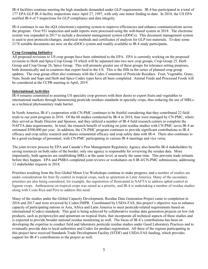IR-4 facilities continue meeting the high standards demanded under GLP requirements. IR-4 has participated in a total of 177 EPA GLP IR-4 facility inspections since April 27, 1997, with only one minor finding to-date. In 2018, the US EPA notified IR-4 of 5 inspections for GLP compliance and data integrity.

IR-4 continues to use the eQA (electronic) reporting system to improve efficiencies and enhance communications across the program. Over 931 inspection and audit reports were processed using the web-based system in 2018. The electronic system was expanded in 2017 to include a document management system (eDOCs). This document management system is used to post protocols/changes, analytical methods and certificates of analysis for GLP test materials. To-date some 2178 sortable documents are now on the eDOCs system and readily available to IR-4 study participants.

#### **Crop Grouping Initiative**

All proposed revisions to US crop groups have been submitted to the EPA. EPA is currently working on the proposed revisions to Herb and Spice Crop Group 19 which will be separated into two new crop groups, Crop Group 25, Herb Group and Crop Group 26, Spice Group. This will promote greater use of these groups for tolerance setting purposes, both domestically and in countries that export food to the US. This is the fifth in the series of planned crop group updates. The crop group effort also continues with the Codex Committee of Pesticide Residues. Fruit, Vegetable, Grass, Nuts, Seeds and Saps and Herb and Spice Codex types have all been completed. Animal Feeds and Processed Foods will be considered at the CCPR meeting in April, 2019.

### **International Activities**

IR-4 remains committed to assisting US specialty crop growers with their desire to export fruits and vegetables to international markets through harmonizing pesticide residues standards in specialty crops, thus reducing the use of MRLs as a technical phytosanitary trade barrier.

In North America, IR-4's cooperation with CN-PMC continues to be fruitful considering that they contributed 22 field trials to our joint program in 2018. Of the 68 studies conducted by IR-4 in 2018, four were managed by CN-PMC, where they served as Study Director and Sponsor, and they utilized a number of IR-4 field research centers to complete the NAFTA data requirements. In total, the research benefit of working on joint residue studies with CN-PMC saves IR-4 an estimated \$500,000 per year. In addition, the CN-PMC program continues to provide significant contributions to IR-4 efficacy and crop safety research and shares ornamental efficacy and crop safety data with IR-4. There also continues to be a good exchange of personnel, with CN-PMC participating in various IR-4 meetings and vice versa.

The joint review process by EPA and Canada's Pest Management Regulatory Agency also benefits IR-4 stakeholders by saving resources on both sides of the border; only one agency is responsible for reviewing the residue data. More importantly, both agencies are establishing MRLs at the same level, at nearly the same time. This prevents trade irritants before they happen. EPA and PMRA completed joint reviews or workshares on 8 IR-4/CN-PMC submissions, addressing 12 stakeholder requests in 2018.

Priorities resulting from the first Global Minor Use Workshops continue to make progress, and a number of studies are under consideration for fruit fly control in tropical crops, such as spinetram in Latin America. Many of the secondary priorities are also being considered, for example, the registration of flonicamid in NAFTA to address aphid control in legume crops. Anthracnose on tropical crops was raised as a priority, and IR-4 is undertaking a number of residue studies along with Costa Rica and Peru to address this need.

Many of the studies under the Global Capacity Development, Residue Data Generation Project came to completion in 2016 and 2017 and were reviewed by Codex/JMPR. Coordinated by USDA-FAS, this project's objective was to enhance capacity of participating nations in Asia, Africa and Latin America to meet pesticide-related requirements based on international (Codex) standards. This goal is being achieved by collaborative residue data generation projects on low risk products, such as pyriproxyfen and spinetram on tropical fruits, that incorporate all technical aspects of these studies and is expected to provide broader national residue monitoring as well. The focus of IR-4's contributions has been on developing the expertise to conduct field and laboratory pesticide residue studies under Good Laboratory Practices and to eventually provide data to local authorities and Codex for product registration. All three of the regions participating in this project have received Standards Trade Development Facility (STDF) and USDA-FAS funding, which provides support for IR-4's contributions to the project as well.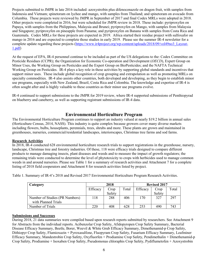Projects submitted to JMPR in late 2016 included: azoxystrobin plus difenoconazole on dragon fruit, with samples from Indonesia and Vietnam; spinetoram on lychee and mango, with samples from Thailand; and spinetoram on avocado from Columbia. These projects were reviewed by JMPR in September of 2017 and final Codex MRLs were adopted in 2018. Other projects were completed in 2016, but were scheduled for JMPR review in 2018. These include: pyriproxyfen on Papaya, with samples from the Philippines, Malaysia and Brunei; pyriproxyfen on Mango, with samples from Malaysia and Singapore; pyriproxyfen on pineapple from Panama; and pyriproxyfen on Banana with samples from Costa Rica and Guatemala. Codex MRLs for these projects are expected in 2019. Africa started their residue project with sulfoxafor on mango in 2016 and are expected to complete those studies in early 2019. Please see the summer IR-4 newsletter for a complete update regarding these projects [\(https://www.ir4project.org/wp-content/uploads/2018/09/vol49no3\\_Layout-](https://www.ir4project.org/wp-content/uploads/2018/09/vol49no3_Layout-1.pdf)[1.pdf\)](https://www.ir4project.org/wp-content/uploads/2018/09/vol49no3_Layout-1.pdf)

At the request of EPA, IR-4 personnel continue to be included as part of the US delegations to the: Codex Committee on Pesticide Residues (CCPR); the [Organization for Economic Co-operation and Development \(](http://www.oecd.org/)*OECD*), Expert Group on Minor Uses, the Working Group on Pesticides and the Expert Group on BioPesticides; and the NAFTA Technical Working Group on Pesticides. IR-4 plays a key role in these activities by supporting global standards and incentives that support minor uses. These include global recognition of crop grouping and extrapolation as well as promoting MRLs on specialty commodities. IR-4 also assists other countries, both developed and developing, as they begin to establish minor use programs, especially with New Zealand, Brazil, Costa Rica and Colombia. The knowledge and expertise of IR-4 is often sought after and is highly valuable to these countries as their minor use programs evolve.

IR-4 continued to support submissions to the JMPR for 2019 review, where IR-4 supported submissions of Penthiopyrad on blueberry and caneberry, as well as supporting registrant submissions of IR-4 data.

### **Environmental Horticulture Program**

The Environmental Horticulture Program continues to support an industry valued at nearly \$19.2 billion in annual sales (Horticulture Census, 2014, NASS). This industry is quite complex because growers cover many diverse markets including flowers, bulbs, houseplants, perennials, trees, shrubs and more. These plants are grown and maintained in greenhouses, nurseries, commercial/residential landscapes, interiorscapes, Christmas tree farms and sod farms.

### **Research Activities**

In 2018, IR-4 conducted 628 environmental horticulture research trials to support registrations in the greenhouse, nursery, landscape, Christmas tree and forestry industries. Of these, 118 were efficacy trials designed to compare different products to manage damaging insects, plant diseases and weeds and to measure the impact of growth regulators; the remaining trials were conducted to determine the level of phytotoxicity to crops with herbicides used to manage common weeds in and around nurseries. Please see Table 1 for a summary of research activities and Attachment 7 for a complete listing of 2018 field cooperators and Attachment 8 for research activities listed by project.

| Category                       | 2018     |        |       | <b>Revised 2017</b> |        |       |
|--------------------------------|----------|--------|-------|---------------------|--------|-------|
|                                | Efficacy | Crop   | Total | Efficacy            | Crop   | Total |
|                                |          | Safety |       |                     | Safety |       |
| Number of Studies (PR Numbers) | 118      | 288    | 406   | 170                 | 327    | 297   |
| with Planned Trials            |          |        |       |                     |        |       |
| Number of Trials               | 220      | 408    | 628   | 253                 | 490    | 743   |

Table 1. Summary of IR-4's 2018 and Revised 2017 Environmental Horticulture Program Research Activities.

#### **Submissions and Successes**

During 2018, 21 data summaries were compiled based upon research reports submitted by researchers. See Attachment 9 for Abstracts from the individual reports. Acibenzolar Crop Safety, Afidopyropen Crop Safety Summary, Bacterial Disease Efficacy Summary, Beetle, Borer, Weevil & White Grub Efficacy Summary, Dimethenamid-p Crop Safety, Dithiopyr Crop Safety, Flumioxazin + Pyroxasulfone, Fluopyram Crop Safety, Fusarium Efficacy Summary, Leafminer Efficacy Summary, Mandestrobin Crop Safety, Oxyfluorfen + Prodiamine Crop Safety, Pendimethalin + Dimethenamid-p Crop Safety, Prodiamine + Isoxaben Crop Safety, Pseudomonas chloraphis Crop Safety, Pydiflumetofen + Azoxystrobin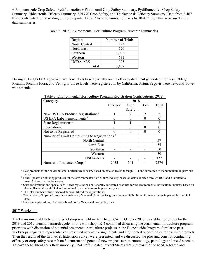+ Propiconazole Crop Safety, Pydiflumetofen + Fludioxanil Crop Safety Summary, Pydiflumetofen Crop Safety Summary, Rhizoctonia Efficacy Summary, SP1770 Crop Safety, and Thielaviopsis Efficacy Summary. Data from 3,467 trials contributed to the writing of these reports. Table 2 lists the number of trials by IR-4 Region that were used in the data summaries.

| <b>Region</b>   | <b>Number of Trials</b> |
|-----------------|-------------------------|
| North Central   | 373                     |
| North East      | 526                     |
| Southern        | 1,028                   |
| Western         | 631                     |
| <b>USDA-ARS</b> | 905                     |
| Total           | 3.467                   |

Table 2. 2018 Environmental Horticulture Program Research Summaries.

During 2018, US EPA approved five new labels based partially on the efficacy data IR-4 generated: Fortress, Obtego, Picatina, Picatina Flora, and Ventigra. Three labels were registered in by California: Astun, Segovis were new, and Tower was amended.

Table 3. Environmental Horticulture Program Registration Contributions, 2018.

**Category 2018** Efficacy  $\vert$  Crop Safety Both Total New US EPA Product Registrations <sup>a</sup> 1 2 3 5 US EPA Label Amendments  $\begin{array}{ccc} b & 0 & 0 \\ 0 & 0 & 0 \end{array}$ State Registrations <sup>c</sup> and the state and the state and the state and the state and the state and the state and the state and the state and the state and the state and the state and the state and the state and the state an International  $\begin{array}{ccccccc} 0 & 0 & 0 & 0 \end{array}$ 

| $N$ CW $OS$ ET A I Toduct Registrations                     |      |  |      |
|-------------------------------------------------------------|------|--|------|
| US EPA Label Amendments b                                   |      |  |      |
| State Registrations <sup>c</sup>                            |      |  |      |
| International                                               |      |  |      |
| Not to be Registered                                        |      |  |      |
| Number of Trials Contributing to Registrations <sup>d</sup> |      |  |      |
| North Central                                               |      |  | 57   |
| North East                                                  |      |  | 55   |
| Southern                                                    |      |  | 50   |
| Western                                                     |      |  | 59   |
| USDA-ARS                                                    |      |  | 137  |
| Number of Impacted Crops <sup>e</sup>                       | 2433 |  | 2574 |

<sup>a</sup> New products for the environmental horticulture industry based on data collected through IR-4 and submitted to manufacturers in previous years.

<sup>b</sup> Label updates on existing products for the environmental horticulture industry based on data collected through IR-4 and submitted to

manufacturers in previous years.<br><sup>c</sup> State registrations and special local needs registrations on federally registered products for the environmental horticulture industry based on data collected through IR-4 and submitted to manufacturers in previous years.

<sup>d</sup> The total number of trials where data was utilized for registrations.

<sup>e</sup> The number of impacted crops is an estimate of the total plant species grown commercially for environmental uses impacted by the IR-4

data.<br><sup>f</sup> For some registrations, IR-4 contributed both efficacy and crop safety data.

#### **2017 Workshop**

The Environmental Horticulture Workshop was held in San Diego, CA, in October 2017 to establish priorities for the 2018 and 2019 biennial research cycle. In this workshop, IR-4 combined discussing the ornamental horticulture program priorities with discussion of potential ornamental horticulture projects in the Biopesticide Program. Similar to past workshops, registrant representatives presented new active ingredients and highlighted opportunities for existing products. Then the results of the Grower & Extension Survey were presented, and we discussed the pros and cons for conducting efficacy or crop safety research on 34 current and potential new projects across entomology, pathology and weed science. To have these discussions flow smoothly, IR-4 staff updated Project Sheets that summarized the need, research and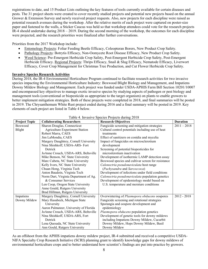registrations to date, and 15 Product Lists outlining the key features of tools currently available for certain diseases and pests. The 31 project sheets were created to cover recently studied projects and potential new projects based on the annual Grower & Extension Survey and newly received project requests. Also, new projects for each discipline were raised as potential research avenues during the workshop. After the relative merits of each project were captured on poster-size paper and fastened to the walls, a Sticker Caucus was held so that workshop attendees could vote for the research projects IR-4 should undertake during 2018 – 2019. During the second morning of the workshop, the outcomes for each discipline were projected, and the research priorities were finalized after further conversations.

Priorities from the 2017 Workshop include:

- Entomology Projects: Foliar Feeding Beetle Efficacy, Coleopteran Borers, New Product Crop Safety.
- Pathology Projects: Botrytis Efficacy, Non-Oomycete Root Disease Efficacy, New Product Crop Safety.
- Weed Science: Pre-Emergent Herbicide Crop Safety, Post-Emergent Herbicide Crop Safety, Post-Emergent Herbicide Efficacy. Regional Projects: Thrips Efficacy, Snail & Slug Efficacy, Nematode Efficacy, Liverwort Efficacy, Cover Crop Management for Christmas Tree Production, and Cut Flower Herbicide Crop Safety.

#### **Invasive Species Research Activities**

During 2018, the IR-4 Environmental Horticulture Program continued to facilitate research activities for two invasive species impacting the Environmental Horticulture Industry: Boxwood Blight Biology and Management, and Impatiens Downy Mildew Biology and Management. Each project was funded under USDA-APHIS Farm Bill Section 10201/10007 and encompassed key objectives to manage exotic invasive species by studying aspects of pathogen or pest biology and management tools (conventional or biopesticide as appropriate to the target organism) on plants to enable growers to better implement mitigation strategies. Both of these projects were completed in 2018, and final summaries will be posted in 2019. The Chrysanthemum White Rust project ended during 2016 and a final summary will be posted in 2019. Key elements of each project are listed in Table 4 below.

| <b>Project Topic</b> | <b>Collaborating Researchers</b>       | <b>Research Objectives</b>                         | <b>Duration</b> |
|----------------------|----------------------------------------|----------------------------------------------------|-----------------|
| Boxwood              | Sharon Douglas, Connecticut            | Fungicide screening and mitigation strategies      | $2011 - 2018$   |
| Blight               | <b>Agriculture Experiment Station</b>  | Cultural control potentials including use of heat  |                 |
|                      | Robert Marra, CAES                     | treatments                                         |                 |
|                      | Jim LaMondia, CAES                     | Effect of sanitizers on conidia and mycelia        |                 |
|                      | Margery Daughtrey, Cornell University  | Impact of fungicides on microsclerotium            |                 |
|                      | Nina Shishkoff, USDA-ARS- Fort         | development                                        |                 |
|                      | Detrick                                | Screening of potential biopesticides for           |                 |
|                      | JoAnne Crouch, USDA-ARS, Beltsville    | microslerotium inactivation                        |                 |
|                      | Mike Benson, NC State University       | Development of isothermic LAMP detection assay     |                 |
|                      | Marc Cubeta, NC State University       | Boxwood species and cultivar screen for resistance |                 |
|                      | Kelly Ivors, NC State University       | Calonectria pseudonaviculata host range            |                 |
|                      | Chuan Hong, Virginia Tech              | (Pachysandra and Sarcoccoca)                       |                 |
|                      | Anton Baudoin, Virginia Tech           | Development of infections under field conditions   |                 |
|                      | Norm Dart, Virginia Department of Ag.  | Calonectria pseudonaviculata population genetics   |                 |
|                      | & Consumer Services                    | Development of epidemiology model based on         |                 |
|                      | Len Coop, Oregon State University      | U.S. temperature and moisture conditions           |                 |
|                      | Anne Gould, Rutgers University         |                                                    |                 |
|                      | Brad Hillman, Rutgers University       |                                                    |                 |
| Impatiens            | Margery Daughtrey, Cornell University  | Overwintering of Plasmopora obducens oospores      | $2012 - 2018$   |
| Downy Mildew         | Mary Hasubeck, Michigan State          | Fungicide screening and rotational strategies      |                 |
|                      | University                             | Sporangia and oospore development and              |                 |
|                      | Aaron Palmateer, University of Florida | epidemiology                                       |                 |
|                      | JoAnne Crouch, USDA-ARS, Beltsville    | Plasmopora obducens population genetics            |                 |
|                      | Nina Shishkoff, USDA-ARS, Fort         | Development of genetic tools for downy mildews     |                 |
|                      | Detrick                                | including Impatiens Downy Mildew, Cucurbit         |                 |
|                      | Lena Quesada, NC State University      | Downy Mildew, Hops Downy Mildew, Basil             |                 |
|                      | Ann Gould, Rutgers University          | Downy Mildew                                       |                 |

#### Table 4. Invasive Species Projects during 2018

As an offshoot from the APHIS impatiens downy mildew project, IR-4 submitted and received a competitive USDA-NIFA Specialty Crop Research Initiative (SCRI) planning grant to identify knowledge gaps for downy mildews of environmental horticulture crops and to better understand how scientist's findings are put into practice by growers.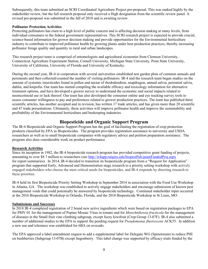Subsequently, this team submitted an SCRI Coordinated Agriculture Project pre-proposal. This was ranked highly by the stakeholder review, but the full research proposal only received a High designation from the scientific review panel. A revised pre-proposal was submitted in the fall of 2018 and is awaiting review.

#### **Pollinator Protection Activities**

Protecting pollinators has risen to a high level of public concern and is affecting decision making at many levels, from individual consumers to the federal government representatives. This SCRI research project is expected to provide crucial, science-based information for grower decision making and provide opportunities for the Environmental horticulture industry to contribute to improved pollinator health by growing plants under best production practices, thereby increasing pollinator forage quality and quantity in rural and urban landscapes.

This research project team is comprised of entomologists and agricultural economist from Clemson University, Connecticut Agriculture Experiment Station, Cornell University, Michigan State University, Penn State University, University of California, University of Florida and University of Kentucky.

During the second year, IR-4 in cooperation with several universities established test garden plots of common annuals and perennials and then collected/counted the number of visiting pollinators. IR-4 and the research team began studies on the amount of systemic insecticides found in pollen and nectar of rhododendron, snapdragon, annual salvia, perennial salvia, dahlia, and knipofia. Our team has started compiling the available efficacy and toxicology information for alternative treatment options, and have developed a grower survey to understand the economic and social impacts related to neonicotinoid use or lack thereof. Our team has also developed the consumer online and eye tracking survey tools to assess consumer willingness to pay and preferences related to grower production practices. The team has published three scientific articles, has another accepted and in revision, has written 17 trade articles, and has given more than 20 scientific and 47 trade presentations. Ultimately, these activities will improve pollinator health and improve the sustainability and profitability of the Environmental horticulture and beekeeping industries.

### **Biopesticide and Organic Support Program**

The IR-4 Biopesticide and Organic Support Program has the goal of facilitating the registration of crop protection products classified by EPA as Biopesticides. The program provides registration assistance to university and USDA researchers as well as to small biopesticide companies with regulatory advice and petition preparation assistance. The program also does considerable work on product performance.

### **Research Activities**

Since its inception in 1982, the IR-4 biopesticide research program has provided competitive grant funding of projects, amounting to over \$8.7 million to researchers (see<http://ir4app.rutgers.edu/biopestPub/grantFundedProj.aspx> for report summaries). In 2014, IR-4 decided to transition its biopesticide program from a "Request for Application" program that supported Early, Advanced and Demonstration stage research to a priority setting workshop with actively engaged stakeholders who choose the most critical needs for biopesticides, and IR-4 responds by directing research to these priorities.

IR-4 held its first Biopesticide Priority Setting Workshop in September 2014 in association with the Food Use Workshop in Atlanta, GA. The workshop was established to actively engage stakeholders and encourage submission of known pest management voids that could potentially be answered by biopesticide technology. Continued stakeholder input occurred at the 2016 Biopesticide Workshop in Orlando, Florida, and the 2018 Biopesticide Workshop in St Louis, MO.

#### **Submissions and Successes**

In 2018 IR-4 completed registration of 2 brand new active ingredients which were based on registration packages to EPA for PMV-01 for the management of Pepino Mosaic Virus in tomato and for *Metschnikowia fructicola* for the management of diseases in the Small fruit vine climbing subgroup, except fuzzy kiwifruit (Crop Group 13-07F). IR-4 also submitted a number of additional studies to the EPA to support the pending request for *Pseudomonas fluorescens* ACK55. In addition a new use and tolerance was established for 6BA on avocado.

The EPA approved a label amendment request to add a supplemental label for Delegate WG (Spinetoram) to reduce PHI on bushberries (Subgroup 13-07B) except lingonberry. This label change was supported by efficacy trials funded by the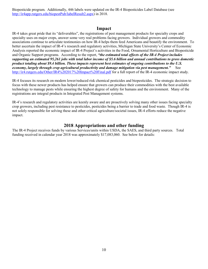Biopesticide program. Additionally, 446 labels were updated on the IR-4 Biopesticides Label Database (see [http://ir4app.rutgers.edu/biopestPub/labelResult2.aspx\)](http://ir4app.rutgers.edu/biopestPub/labelResult2.aspx) in 2018.

### **Impact**

IR-4 takes great pride that its "deliverables", the registrations of pest management products for specialty crops and specialty uses on major crops, answer some very real problems facing growers. Individual growers and commodity associations continue to articulate testimonies on how IR-4 helps them feed Americans and beautify the environment. To better ascertain the impact of IR-4's research and regulatory activities, Michigan State University's Center of Economic Analysis reported the economic impact of IR-4 Project's activities in the Food, Ornamental Horticulture and Biopesticide and Organic Support programs. According to the report, *"the estimated total effects of the IR-4 Project includes supporting an estimated 95,261 jobs with total labor income of \$5.6 billion and annual contributions to gross domestic product totaling about \$9.4 billion. These impacts represent best estimates of ongoing contributions to the U.S. economy, largely through crop agricultural productivity and damage mitigation via pest management."* See <http://ir4.rutgers.edu/Other/IR4%202017%20Impact%20Final.pdf> for a full report of the IR-4 economic impact study.

IR-4 focuses its research on modern lower/reduced risk chemical pesticides and biopesticides. The strategic decision to focus with these newer products has helped ensure that growers can produce their commodities with the best available technology to manage pests while ensuring the highest degree of safety for humans and the environment. Many of the registrations are integral products in Integrated Pest Management systems.

IR-4's research and regulatory activities are keenly aware and are proactively solving many other issues facing specialty crop growers, including pest resistance to pesticides, pesticides being a barrier to trade and food waste. Though IR-4 is not solely responsible for solving these and other critical agriculture/societal issues, IR-4 efforts reduce the negative impact.

### **2018 Appropriations and other funding**

The IR-4 Project receives funds by various Services/units within USDA, the SAES, and third party sources. Total funding received in calendar year 2018 was approximately \$17,083,060. See below for details: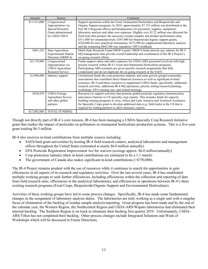| Amount       | Source                                                                                        | Comment                                                                                                                                                                                                                                                                                                                                                                                                                                                                                                                                                                                                                                                                                              |
|--------------|-----------------------------------------------------------------------------------------------|------------------------------------------------------------------------------------------------------------------------------------------------------------------------------------------------------------------------------------------------------------------------------------------------------------------------------------------------------------------------------------------------------------------------------------------------------------------------------------------------------------------------------------------------------------------------------------------------------------------------------------------------------------------------------------------------------|
| \$11.913,000 | Congressional<br>Appropriation via<br>Special Research<br>Grant administrated<br>by USDA-NIFA | Support operations within the Food, Ornamental Horticulture and Biopesticide and<br>Organic Support programs. In 2018, approximately \$7.353 million was distributed to the<br>four IR-4 Regional offices and Headquarters for personnel, supplies, equipment;<br>laboratory analysis and other core expenses. Slightly over \$2.22 million was allocated for<br>field trials that produce the necessary residue samples and product performance data;<br>\$511,000 for ornamental trials; \$387,000 for biopesticide/organic support grants,<br>\$228,000 for new analytical instruments, \$372,500 for supplemental laboratory analysis<br>and the remaining \$842,500 was mandatory NIFA holdback |
| \$481,182    | State Agriculture<br><b>Experimental Station</b><br>Directors (NRSP-4)                        | Multi-State Research Funds/NRSP-4 grant. NRSP-4 funds directly pay salaries for IR-4<br>HQ management who provide overall leadership and coordination of the IR-4 Project's<br>on-going research efforts.                                                                                                                                                                                                                                                                                                                                                                                                                                                                                            |
| \$3,170,000  | Congressional<br>Appropriation via<br>USDA-Agriculture<br>Research Service                    | Funds support salary and other expenses for USDA-ARS personnel involved with high<br>priority research within IR-4's Food and Ornamental Horticulture programs.<br>Participating ARS scientists are given specific research assignments that fully<br>complement and do not duplicate the on-going research at the SAES                                                                                                                                                                                                                                                                                                                                                                              |
| \$1,090,000  | Industry support                                                                              | Unrestricted funds-the crop protection industry and some grower groups/commodity<br>associations also contribute direct financial resources as well as significant in-kind<br>resources. IR-4 used these resources to supplement USDA funds, specifically: additional<br>research activities, additional IR-4 HQ operations, priority setting/research planning<br>workshops, EPA training tour, and related meetings.                                                                                                                                                                                                                                                                               |
| \$428,878    | USDA-Foreign<br>Agriculture Service<br>and other global<br>partners                           | Resources to support activities that promote global pesticide regulatory harmonization<br>and remove barriers to US specialty crop exports. This includes funds for capacity<br>building training programs in Asia, Africa and Latin America and Technical Assistance<br>for Specialty Crops grant to develop additional data (e.g. field trials) in the US that is<br>required by trading partners to allow domestic exports.                                                                                                                                                                                                                                                                       |
| \$17,083,060 | <b>TOTAL FUNDING</b>                                                                          |                                                                                                                                                                                                                                                                                                                                                                                                                                                                                                                                                                                                                                                                                                      |

Though not directly part of IR-4's core mission, IR-4 has been managing a USDA-Specialty Crop Research Initiative grant that studies the impact of pesticides on pollinators in ornamental horticulture production systems. This is a five-year grant totaling \$6.5 million.

IR-4 also receives in-kind contributions from multiple sources including:

- SAES/land grant universities by hosting IR-4 field research centers, analytical laboratories and management offices throughout the United States (estimated at nearly \$6.0 million annually)
- EPA Pesticide Registration Improvement Act fee waivers (average approx. \$6.0 million/annually)
- Crop protection industry (their in-kind contributions are estimated to be a 1:1 match)
- The government of Canada also makes significant in-kind contributions (>\$750,000).

The IR-4 Project remains prudent with the use of resources while it continues to search for opportunities to gain efficiencies in all aspects of its research and regulatory activities. Over the last several years, IR-4 has established multiple working groups to seek further efficiencies, including efficiencies within the collection and reporting of data from field research sites; efficiencies in the analytical laboratories; and efficiencies in operations between IR-4's three existing research programs (Food Crops, Biopesticide/Organic Support and Environmental Horticulture).

Activities of these working groups have led to some process changes. Specifically, IR-4 has made some fundamental changes in the assignment of laboratory analysis duties. The laboratories are truly working as a single unit with a singular focus of elimination of the backlog of residue sample analysis/reporting. Great progress has been made and by the end of the calendar year, the Western Region, the Northcentral Region and USDA-ARS/Wapato laboratories had eliminated their internal backlog. The Southern Region is on track to eliminate their backlog first quarter 2019. Unfortunately, USDA-ARS/Tifton has not completed their backlog. Other process changes include Integrated Solutions and Week of Workshops which will be discussed in Future Directions.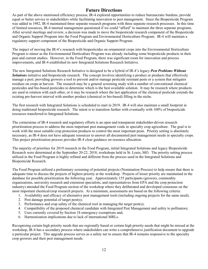### **Future Directions**

As part of the above mentioned efficiency process, IR-4 explored opportunities to reduce bureaucratic burdens, provide equal or better service to stakeholders while facilitating innovation to pest management. Since the Biopesticide Program was added in 1982, IR-4 maintained three separate research programs with three separate research processes. In this time of limited resources, IR-4 internal management questioned if we could "afford" to maintain the three separate programs. After several meetings and review, a decision was made to move the biopesticide research component of the Biopesticide and Organic Support Program into the Food Program and Environmental Horticulture Program. IR-4 will maintain a regulatory support component of the Biopesticide and Organic Support Program.

The impact of moving the IR-4's research with biopesticides on ornamental crops into the Environmental Horticulture Program is minor as the Environmental Horticulture Program was already including some biopesticide products in their past and current studies. However, in the Food Program, there was significant room for innovation and process improvements, and IR-4 established its new Integrated Solutions Research Initiative.

The new Integrated Solutions Research Initiative is designed to be a hybrid of IR-4's legacy *Pest Problems Without Solutions* initiative and biopesticide research. The concept involves identifying a product or products that effectively manage a pest, providing growers a tool to prevent and/or manage pesticide resistant pests or a system that mitigates residues on crops at harvest. The research may be a general screening study with a number of conventional chemical pesticides and bio-based pesticides to determine which is the best available solution. It may be research where products are used in rotation with each other, or it may be research where the last application of the chemical pesticide extends the existing pre-harvest interval with another product (chemical or bio-based) filling in the niche.

The first research with Integrated Solutions is scheduled to start in 2019. IR-4 will also maintain a small footprint in doing traditional biopesticide research. The intent is to transition further with eventually with 100% of biopesticide resources transferred to Integrated Solutions.

The cornerstone of IR-4 research and regulatory efforts is an open and transparent stakeholder-driven research prioritization process to address the most important pest management voids in specialty crop agriculture. The goal is to work with the most suitable crop protection products to control the most important pests. Priority setting is absolutely necessary, as IR-4 does not have adequate resources to answer all documented pest management needs in specialty crops. This project prioritization process provides IR-4 clear guidance on resource allocation.

The majority of priorities for 2019 research in the Food Program, initial Integrated Solutions and legacy Biopesticide Research were determined at the September 20-22, 2018, workshops held in St. Louis, MO. The priority setting process utilized in the Food Program is highly refined and different from the process used in the Integrated Solutions and Biopesticide Research.

The Food Program utilized a preliminary screening of potential projects (Nomination Process) to help ensure that there is adequate time to discuss the projects of highest priority at the workshop. Projects of lesser priority are maintained in the database for possible prioritization the following year. Approximately 155 participants (growers, commodity organizations, university research and extension specialists, and representatives from EPA and the crop protection industry) attended the Food Program section of the workshop where they deliberated and developed consensus on the most important chemical/crop research projects. At a minimum, assessments are based on the following criteria:

- 1. Availability and efficacy of alternative pest management tools (including ongoing projects for the same need);
- 2. Pest damage potential of target pest(s);
- 3. Performance and crop safety of the chemical tool in managing the target pest(s);
- 4. Compatibility of the proposed chemical candidate with Integrated Pest Management and safety to pollinators;
- 5. Uses currently covered by Section 18 emergency exemptions and;
- 6. Harmonization implications due to lack of international MRLs.

Recognizing certain high priority needs that are regionally based or certain high priority needs that might be missed at the workshop, IR-4 has a secondary process where stakeholders can write a comprehensive justification document to upgrade a particular project. This upgrade process serves as a safety net to ensure that IR-4 remains responsive to the specialty crop growers and their pest management needs.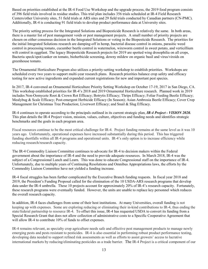Based on priorities established at the IR-4 Food Use Workshop and the upgrade process, the 2019 food program consists of 396 field trials involved in residue studies. This trial plan includes 356 trials scheduled at IR-4 Field Research Centers/other University sites, 51 field trials at ARS sites and 29 field trials conducted by Canadian partners (CN-PMC). Additionally, IR-4 is conducting 91 field trials to develop product performance data at University sites.

The priority setting process for the Integrated Solutions and Biopesticide Research is relatively the same. In both areas, there is a master list of pest management voids or pest management projects. A small number of priority projects are chosen on either consensus decision in the Integrated Solutions or voting in the Biopesticide Research. The priorities for the initial Integrated Solutions research are damping-off in hemp, bacterial disease control in onions, parasitic weed control in processing tomato, cucumber beetle control in watermelon, wireworm control in sweet potato, and verticillium wilt control in eggplant. The legacy Biopesticide Research projects for 2019 are spotted wing drosophilia on all crops, Bacteria speck/spot/canker on tomato, bioherbicide screening, downy mildew on organic basil and virus/viroids on greenhouse tomato.

The Ornamental Horticulture Program also utilizes a priority-setting workshop to establish priorities. Workshops are scheduled every two years to support multi-year research plans. Research priorities balance crop safety and efficacy testing for new active ingredients and expanded current registrations for new and important pest species.

In 2017, IR-4 convened an Ornamental Horticulture Priority Setting Workshop on October 17-19, 2017 in San Diego, CA. This workshop established priorities for IR-4's 2018 and 2019 Ornamental Horticulture research. Planned work in 2019 includes Non-Oomycete Root & Crown Rot Efficacy; Botrytis Efficacy; Thrips Efficacy; Foliar Feeding Beetle Efficacy; Mealybug & Scale Efficacy; Post-emergent Herbicide Efficacy (In Season); Asian Ambrosia Beetle Efficacy; Cover Crop Management for Christmas Tree Production; Liverwort Efficacy; and Snail & Slug Efficacy.

IR-4 continues to operate according to the principals outlined in its current strategic plan, *IR-4 Project - VISION 2020.*  This plan details the IR-4 Project vision, mission, values, culture, objectives and funding needs and identifies strategic benchmarks and the goals in each program area.

Fiscal resources continue to be the most critical challenge for IR-4. Project funding remains at the same level as it was 10 years ago. Unfortunately, operational expenses have increased substantially during this period. This has triggered funding shortfalls within all IR-4 programs and operational units. IR-4's only option is to increase efficiency while reducing research/research capacity.

The IR-4 Commodity Liaison Committee continues to advocate for IR-4 to decision makers within the Federal government about the importance of IR-4 and the need to provide adequate resources. In March 2018, IR-4 was the subject of a Congressional Lunch and Learn. This was done to educate Congressional staff on the importance of IR-4. Unfortunately, due to multiple years of Continuing Resolutions and Omnibus Appropriations laws, the efforts by the Commodity Liaison Committee have not yielded a funding increase.

IR-4 fiscal struggles has been further complicated by the Executive Branch funding requests. In fiscal year 2018 and 2019, the President's Funding Proposal called for the elimination of the 10 USDA-ARS research programs that develop data under the IR-4 umbrella. These 10 projects account for approximately 20% of IR-4's research capacity. Fortunately, these research programs were eventually funded. However, the units are unable to replace key personnel which reduces the overall research capacity.

In addition, IR-4 faces challenges from some of their host institutions. At many Universities, overall funding is not keeping up with expenses. Some are exploring reducing or eliminating their in-kind contributions to IR-4, thus ending the state/federal partnership to resource IR-4. To offset this issue, IR-4 has requested USDA to convert its funding from a Special Research Grant that does not allow collection of administrative costs to a Specific Cooperative Agreement that will allow IR-4 to contribute 10% of funds to offset expenses.

IR-4 remains relevant, as specialty crop agriculture needs safe and effective pest management products to manage newly emerging pests and pests resistant to pesticides. IR-4 is also essential in performing robust product performance testing, developing data needed to support refined risk assessments as well as efforts to assist growers' access to lucrative international markets by reducing/eliminating pesticides as a trade barrier. The IR-4 Project is a critical component of our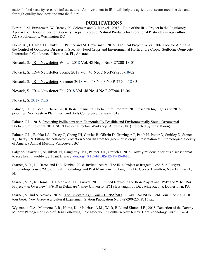nation's food security research infrastructure. An investment in IR-4 will help the agricultural sector meet the demands for high-quality food now and into the future.

### **PUBLICATIONS**

Baron, J, M. Braverman, W. Barney, K. Coleman and D. Kunkel. 2018. Role of the IR-4 Project in the Regulatory Approval of Biopesticides for Specialty Crops in Roles of Natural Products for Biorational Pesticides in Agriculture. ACS Publications, Washington DC

Homa, K., J. Baron, D. Kunkel, C. Palmer and M. Braverman. 2018. The IR-4 Project: A Valuable Tool for Aiding in the Control of Oomycete Diseases in Specialty Food Crops and Environmental Horticulture Crops. Soilborne Oomycete International Conference, Islamorada, FL, Abstract.

Novack, S. IR-4 Newsletter Winter 2018 Vol. 48 No, 1 No.P-27200-18-01

Novack, S. IR-4 Newsletter Spring 2018 Vol. 48 No, 2 No.P-27200-18-02

Novack, S. IR-4 Newsletter Summer 2018 Vol. 48 No, 3 No.P-27200-18-03

Novack, S. IR-4 Newsletter Fall 2018 Vol. 48 No, 4 No.P-27200-18-04

Novack, S. 2017 YES

Palmer, C.L., E. Vea, J. Baron. 2018. IR-4 Ornamental Horticulture Program: 2017 research highlights and 2018 priorities. Northeastern Plant, Pest, and Soils Conference. January 2018.

Palmer, C.L., 2018. Protecting Pollinators with Economically Feasible and Environmentally Sound Ornamental Horticulture. Poster at NIFA SCRI Project Directors Workshop. August 2018. (Presented by Jerry Baron).

Palmer, C.L., Bethke J.A., Casey C, Chong JH, Cowles R, Gilrein D, Grozinger C, Patch H, Potter D, Smitley D, Stoner K, Tharayil N. Filling the pollinator protection Venn diagram for greenhouse crops. Presentation at Entomological Society of America Annual Meeting Vancouver, BC.

Salgado-Salazar, C, Shishkoff, N, Daughtrey, ML, Palmer, CL, Crouch J. 2018. Downy mildew: a serious disease threat to rose health worldwide. Plant Disease. [doi.org/10.1094/PDIS-12-17-1968-FE](https://doi.org/10.1094/PDIS-12-17-1968-FE)

Starner, V.R., J.J. Baron and D.L. Kunkel. 2018. Invited lecture "The IR-4 Project at Rutgers" 3/5/18 in Rutgers Entomology course "Agricultural Entomology and Pest Management" taught by Dr. George Hamilton, New Brunswick, NJ.

Starner, V.R., K. Homa, J.J. Baron and D.L. Kunkel. 2018. Invited lectures "The IR-4 Project and IPM" and "The IR-4 Project – an Overview" 5/8/18 in Delaware Valley University IPM class taught by Dr. Jackie Ricotta, Doylestown, PA.

Starner, V. and S. Novack, 2018. "The Tri-State Agr. Tour – DE/PA/MD", IR-4/EPA/USDA Field Tour June 20, 2018 tour book. New Jersey Agricultural Experiment Station Publication No. P-27200-22-18, 16 pp.

Wyenandt, C.A., Maimone, L.R., Homa, K., Madeiras, A.M., Wick, R.L. and Simon, J.E., 2018. Detection of the Downy Mildew Pathogen on Seed of Basil Following Field Infection in Southern New Jersey. HortTechnology, 28(5):637-641.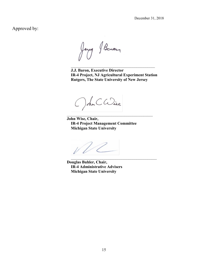December 31, 2018

Approved by:

Jerry Baron

**J.J. Baron, Executive Director IR-4 Project, NJ Agricultural Experiment Station Rutgers, The State University of New Jersey**

 $\overline{\phantom{a}}$  , and the set of the set of the set of the set of the set of the set of the set of the set of the set of the set of the set of the set of the set of the set of the set of the set of the set of the set of the s

\_\_\_\_\_\_\_\_\_\_\_\_\_\_\_\_\_\_\_\_\_\_\_\_\_\_\_\_\_\_\_\_\_\_\_\_\_\_\_\_\_\_\_\_\_

 $\overline{\phantom{a}}$ 

**John Wise, Chair, IR-4 Project Management Committee Michigan State University**

**Douglas Buhler, Chair, IR-4 Administrative Advisers Michigan State University**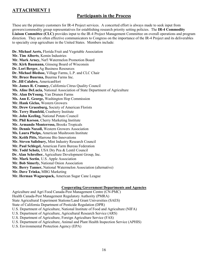### **ATTACHMENT 1**

### **Participants in the Process**

These are the primary customers for IR-4 Project services. A concerted effort is always made to seek input from growers/commodity group representatives for establishing research priority setting policies. The **IR-4 Commodity Liaison Committee (CLC)** provides input to the IR-4 Project Management Committee on overall operations and program direction. They are often effective communicators to Congress on the importance of the IR-4 Project and its deliverables to specialty crop agriculture in the United States. Members include:

**Dr. Michael Aerts,** Florida Fruit and Vegetable Association **Mr. Tim Alberts**, Kemin Industries **Mr. Mark Arney,** Nat'l Watermelon Promotion Board **Mr. Kirk Baumann,** Ginseng Board of Wisconsin **Dr. Lori Berger,** Ag Business Resources **Dr. Michael Bledsoe,** Village Farms, L.P. and CLC Chair **Mr. Bruce Buurma,** Buurma Farms Inc. **Dr. Jill Calabro,** AmericanHort **Mr. James R. Cranney,** California Citrus Quality Council **Ms. Aline DeLucia,** National Association of State Department of Agriculture **Mr. Alan DeYoung,** Van Drunen Farms **Ms. Ann E. George,** Washington Hop Commission **Mr. Hank Giclas,** Western Growers **Mr. Drew Gruenburg,** Society of American Florists **Mr. Terry Humfeld,** Cranberry Institute **Mr. John Keeling,** National Potato Council **Mr. Phil Korson**, Cherry Marketing Institute **Mr. Armando Monterroso,** Brooks Tropicals **Mr. Dennis Nuxoll,** Western Growers Association **Ms. Laura Phelps,** American Mushroom Institute **Mr. Keith Pitts,** Marrone Bio Innovations **Mr. Steven Salisbury,** Mint Industry Research Council **Mr. Paul Schlegel,** American Farm Bureau Federation **Mr. Todd Scholz,** USA Dry Pea & Lentil Council **Dr. Alan Schreiber,** Agriculture Development Group, Inc. **Mr. Mark Seetin**, U.S. Apple Association **Mr. Bob Simerly,** National Onion Association **Mr. Berry Tanner,** National Watermelon Association (alternative) **Mr. Dave Trinka,** MBG Marketing **Mr. Herman Waguespack,** American Sugar Cane League

### **Cooperating Government Departments and Agencies**

Agriculture and Agri Food Canada-Pest Management Centre (CN-PMC) Health Canada-Pest Management Regulatory Authority (PMRA) State Agricultural Experiment Stations/Land Grant Universities (SAES) State of California Department of Pesticide Regulation (DPR) U.S. Department of Agriculture, National Institute of Food and Agriculture (NIFA) U.S. Department of Agriculture, Agricultural Research Service (ARS) U.S. Department of Agriculture, Foreign Agriculture Service (FAS) U.S. Department of Agriculture, Animal and Plant Health Inspection Service (APHIS) U.S. Environmental Protection Agency (EPA)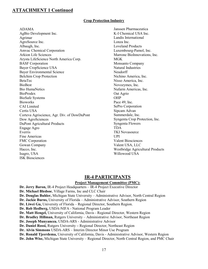### **Crop Protection Industry**

ADAMA

AgBio Development Inc. Agrimar AgroSource Inc. Albaugh, Inc. Amvac Chemical Corporation Arkion Life Sciences Arysta LifeScience North America Corp. BASF Corporation Bayer CropScience USA Bayer Environmental Science Belchim Crop Protection BetaTec **BioBest** Bio HumaNetics BioProdex BioSafe Systems **Bioworks** CAI Limited Certis USA Corteva Agriscience, Agr. Div. of DowDuPont Dow AgroSciences DuPont Agricultural Products Engage Agro Everris Fine Americas FMC Corporation Gowan Company Hacco, Inc. Isagro, USA ISK Biosciences

Janssen Pharmaceutica K-I Chemical USA Inc. Landis International Lonza Inc. Loveland Products Luxembourg-Pamol, Inc. Marrone BioInnovations, Inc. **MGK** Monsanto Company Natural Industries Neudorff Nichino America, Inc. Nisso America, Inc. Novozymes, Inc. Nufarm Americas, Inc. Oat Agrio OHP Pace 49, Inc. SePro Corporation Sipcam Advan Summerdale, Inc. Syngenta Crop Protection, Inc. Syngenta Flowers TDA TKI Novasource UPI Valent Biosciences Valent USA, LLC Westbridge Agricultural Products Willowood USA

### **IR-4 PARTICIPANTS**

#### **Project Management Committee (PMC):**

**Dr. Jerry Baron,** IR-4 Project Headquarters – IR-4 Project Executive Director **Dr. Michael Bledsoe**, Village Farms, Inc and CLC Chair **Dr. Douglas Buhler,** Michigan State University – Administrative Advisor, North Central Region **Dr. Jackie Burns,** University of Florida – Administrative Advisor, Southern Region **Dr. Liwei Gu,** University of Florida – Regional Director, Southern Region. **Dr. Rob Hedberg,** USDA-NIFA - National Program Leader **Dr. Matt Hengel,** University of California, Davis - Regional Director, Western Region **Dr. Bradley Hillman,** Rutgers University – Administrative Advisor, Northeast Region **Dr. Joseph Munyaneza,** USDA-ARS - Administrative Advisor **Dr. Daniel Rossi,** Rutgers University **–** Regional Director, Northeast Region **Dr. Alvin Simmons** USDA-ARS – Interim Director Minor Use Program **Dr. Ronald Tjeerdema,** University of California, Davis - Administrative Advisor, Western Region **Dr. John Wise,** Michigan State University – Regional Director, North Central Region, and PMC Chair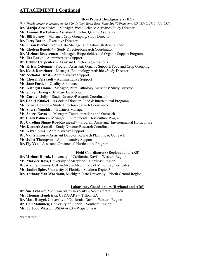### **IR-4 Project Headquarters (HQ)**

*IR-4 Headquarters is located at the 500 College Road East, Suite 201W, Princeton, NJ 08540; (732) 932-9575* **Dr. Marija Arsenovic\*** – Manager, Weed Science Activities/Study Director **Ms. Tammy Barkalow** – Assistant Director, Quality Assurance **Mr. Bill Barney** – Manager, Crop Grouping**/**Study Director **Dr. Jerry Baron** – Executive Director **Ms. Susan Bierbrunner** – Data Manager and Administrative Support **Ms. Chelsea Bonetti**\* – Study Director/Research Coordinator **Dr. Michael Braverman** – Manager, Biopesticides and Organic Support Program **Ms. Uta Burke** – Administrative Support **Dr. Debbie Carpenter** – Assistant Director, Registrations **Ms. Krista Coleman** – Program Assistant: Organic Support, Food and Crop Grouping **Dr. Keith Dorschner** – Manager, Entomology Activities/Study Director **Mr. Nicholas Drost** – Administrative Support **Ms. Cheryl Ferrazoli –** Administrative Support **Ms. Jane Forder** – Quality Assurance **Ms. Kathryn Homa** – Manager, Plant Pathology Activities**/** Study Director **Ms. Shiayi Huang -** Database Developer **Ms. Carolyn Jolly** – Study Director/Research Coordinator **Dr. Daniel Kunkel** – Associate Director, Food & International Program**s Ms. Grace Lennon** – Study Director/Research Coordinator **Ms. Sherri Nagahiro** – Business Manager **Ms. Sherri Novack** – Manager, Communications and Outreach **Dr. Cristi Palmer** – Manager, Environmental Horticulture Program **Dr. Carolina Simao Roe-Raymond\*** – Program Assistant: Environmental Horticulture **Mr. Kenneth Samoil** – Study Director/Research Coordinator **Ms. Karen Sims** – Administrative Support **Dr. Van Starner** – Assistant Director, Research Planning & Outreach **Ms. Juliet Thompson** – Administrative Support **Dr. Ely Vea** – Assistant, Ornamental Horticulture Program

### **Field Coordinators (Regional and ARS)**

**Dr. Michael Horak,** University of California, Davis – Western Region **Ms. Marylee Ross,** University of Maryland – Northeast Region **Dr. Alvin Simmons,** USDA-ARS – ARS Office of Minor Use Pesticides **Ms. Janine Spies,** University of Florida – Southern Region\* **Dr. Anthony Van Woerkom,** Michigan State University – North Central Region

### **Laboratory Coordinators (Regional and ARS)**

**Dr. Sue Erhardt,** Michigan State University – North Central Region **Mr. Thomas Hendricks,** USDA-ARS – Tifton, GA **Dr. Matt Hengel,** University of California, Davis – Western Region **Dr. Gail Mahnken,** University of Florida – Southern Region **Mr. T. Todd Wixson,** USDA-ARS – Wapato, WA

\*Partial Year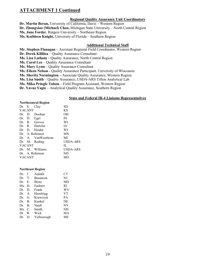#### **Regional Quality Assurance Unit Coordinators**

**Dr. Martin Beran,** University of California, Davis – Western Region

**Dr. Zhongxiao (Michael) Chen,** Michigan State University – North Central Region

**Ms. Jane Forder**, Rutgers University – Northeast Region

**Ms. Kathleen Knight,** University of Florida – Southern Region

#### **Additional Technical Staff**

**Mr. Stephen Flanagan** – Assistant Regional Field Coordinator, Western Region **Dr. Derek Killilea** – Quality Assurance Consultant **Ms. Lisa Latham** – Quality Assurance, North Central Region **Ms. Carol Lee** – Quality Assurance Consultant **Ms. Mary Lynn** – Quality Assurance Consultant **Ms. Eileen Nelson -** Quality Assurance Participant, University of Wisconsin **Ms. Sherita Normington –** Associate Quality Assurance, Western Region **Ms. Lisa Smith** – Quality Assurance, USDA-ARS Tifton Analytical Lab **Ms. Mika Pringle Tolson** – Field Program Assistant, Western Region **Dr. Yavuz Yagiz** – Analytical Quality Assurance, Southern Region

#### **State and Federal IR-4 Liaisons Representatives**

#### **Northcentral Region**

|               | Dr. S. Clay       | SD        |
|---------------|-------------------|-----------|
| <b>VACANT</b> |                   | KS        |
|               | Dr. D. Doohan     | OН        |
| Dr. D. Egel   |                   | IN        |
|               | Dr. R. Groves     | WI        |
|               | Dr. R. Hartzler   | <b>IA</b> |
|               | Dr. D. Heider     | WI        |
|               | Dr. A. Robinson   | <b>MN</b> |
|               | Dr. A. VanWoerkom | MI        |
|               | Dr. M. Reding     | USDA-ARS  |
| <b>VACANT</b> |                   | IL        |
|               | Dr. M. Williams   | USDA-ARS  |
|               | Dr. A. Robinson   | ND        |
| <b>VACANT</b> |                   | MО        |

#### **Northeast Region**

| Dr.       | $J_{-}$ | Aulakh       | <b>CT</b> |
|-----------|---------|--------------|-----------|
| Dr.       | T.      | Besancon     | NJ        |
| Dr.       | Е.      | <b>Beste</b> | MD        |
| Ms. H.    |         | Faubert      | RI        |
| Dr.       | D.      | Frank        | WV        |
| Dr. A.    |         | Hazelrigg    | VT        |
| Dr.       | G.      | Krawczyk     | <b>PA</b> |
| Dr.       | B.      | Kunkel       | DE        |
| Dr.       | В.      | Nault        | NY        |
| $Ms$ . C. |         | Smith        | NH        |
| Dr.       | R.      | Wick         | МA        |
| Dr.       | D.      | Yarborough   | МE        |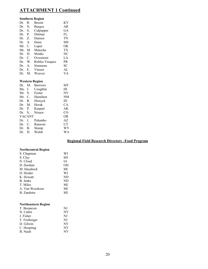### **Southern Region**

| Dr. | R.              | <b>Bessin</b>  | ΚY |
|-----|-----------------|----------------|----|
| Dr. | N.              | <b>Burgos</b>  | AR |
| Dr. | S.              | Culpepper      | GА |
| Dr. | P.              | Dittmar        | FL |
| Dr. | Z.              | Hansen         | TN |
| Dr. | $\mathsf{A}$ .  | Henn           | MS |
| Mr. | C.              | Luper          | OК |
| Mr. | M.              | Matocha        | TX |
| Dr. | D.              | Monks          | NC |
| Dr. | $\mathcal{C}$ . | Overstreet     | LA |
| Dr. | W.              | Robles Vasquez | PR |
| Dr. | $\mathsf{A}$ .  | Simmons        | SС |
| Dr. | Е.              | Vinson         | AL |
| Dr. | M.              | Weaver         | VA |

#### **Western Region**

| Dr.    | M.            | <b>Burrows</b> | MT  |
|--------|---------------|----------------|-----|
| Ms. J. |               | Coughlin       | ΗΙ  |
| Mr. S. |               | Foster         | NV  |
|        | Mr. $C$ .     | Hamilton       | NM  |
| Dr.    | R.            | Hirnyck        | ID  |
| Dr. M. |               | Horak          | CА  |
| Dr. P. |               | Kaspari        | AK  |
| Dr. S. |               | Nissen         | CO  |
|        | <b>VACANT</b> |                | OR. |
| Dr.    | J.            | Palumbo        | AZ  |
| Dr.    | C.            | Ransom         | UT  |
| Dr.    |               | B. Stump       | WY  |
| Dr.    | D.            | Walsh          | WA  |
|        |               |                |     |

### **Regional Field Research Directors –Food Program**

### **Northcentral Region**

| S. Chapman     | WI |
|----------------|----|
| S. Clay        | SD |
| N. Cloud       | ĪА |
| D. Doohan      | OН |
| M. Hausbeck    | MI |
| D. Heider      | WI |
| K. Howatt      | ND |
| B. Jenks       | ND |
| T. Miles       | MI |
| A. Van Woerkom | MI |
| B. Zandstra    | MI |
|                |    |

#### **Northeastern Region**

| NJ        |
|-----------|
| <b>NY</b> |
| N.J       |
| N.J       |
| <b>NY</b> |
| <b>NY</b> |
| <b>NY</b> |
|           |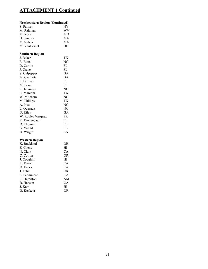### **Northeastern Region (Continued)**

| S. Palmer    | <b>NY</b> |
|--------------|-----------|
| M. Rahman    | WV        |
| M. Ross      | MD        |
| H. Sandler   | MА        |
| M. Sylvia    | MА        |
| M. VanGessel | DE        |

### **Southern Region**

| J. Baker          | TХ |
|-------------------|----|
| R. Batts          | NС |
| D. Carillo        | FL |
| J. Crane          | FL |
| S. Culpepper      | GА |
| M. Czarnota       | GA |
| P. Dittmar        | FL |
| M. Long           | FL |
| K. Jennings       | NC |
| C. Marconi        | TХ |
| W. Mitchem        | NС |
| M. Phillips       | TХ |
| A. Post           | NС |
| L. Quesada        | NC |
| D. Riley          | GА |
| W. Robles Vazquez | PR |
| R. Tannenbaum     | FL |
| D. Thomas         | FL |
| G. Vallad         | FL |
| D. Wright         | LA |
|                   |    |

### **Western Region**

| K. Buckland  | OR  |
|--------------|-----|
| Z. Cheng     | HI  |
| N. Clark     | CA  |
| C. Collins   | OR. |
| J. Coughlin  | HІ  |
| K. Daane     | CA. |
| D. Ennes     | CA  |
| J. Felix     | OR. |
| S. Fennimore | CА  |
| C. Hamilton  | NM  |
| B. Hanson    | CА  |
| J. Kam       | НI  |
| G. Koskela   | OR  |
|              |     |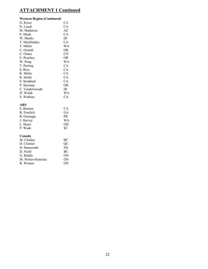#### **Western Region (Continued)**

| G. Kyser       | CА        |
|----------------|-----------|
| N. Leach       | CА        |
| M. Matheron    | AZ        |
| P. Mauk        | <b>CA</b> |
| W. Meeks       | ID        |
| T. Michilaides | <b>CA</b> |
| T. Miller      | WA        |
| C. Ocamb       | OR        |
| C. Oman        | CO        |
| E. Peachey     | OR.       |
| W. Peng        | WА        |
| T. Perring     | CA        |
| S. Rios        | CА        |
| K. Skiles      | СA        |
| R. Smith       | CА        |
| S. Stoddard    | CА        |
| P. Sturman     | OR        |
| C. Vanderwoude | ΗΙ        |
| D. Walsh       | WΑ        |
| S. Watkins     | CА        |
|                |           |

#### **ARS**

| S. Benzen   | CA  |
|-------------|-----|
| B. Fraelich | GA  |
| R. Goenaga  | PR  |
| J. Harvey   | WA  |
| L. Horst    | OН  |
| P. Wade     | SC. |
|             |     |

### **Canada**

| M. Clodius        | <b>BC</b>      |
|-------------------|----------------|
| D. Cloutier       | OС             |
| D. Hanscomb       | <b>NS</b>      |
| D. Nield          | <b>BC</b>      |
| G. Riddle         | ON             |
| M. Weber-Henricks | 0 <sub>N</sub> |
| R. Wismer         | 0 <sub>N</sub> |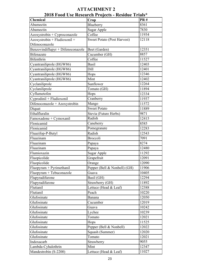| <b>Chemical</b>                            | zvio podd Use Research Projects - Residue Trials<br>Crop | <b>PR#</b>     |
|--------------------------------------------|----------------------------------------------------------|----------------|
| Abamectin                                  | Blueberry                                                | 8361           |
| Abamectin                                  | Sugar Apple                                              | 7830           |
| $\overline{Az}$ oxystrobin + Cyproconazole | Coffee                                                   | 11934          |
| Azoxystrobin + Fludioxonil +               | <b>Sweet Potato (Post Harvest)</b>                       | 12118          |
| Difenoconazole                             |                                                          |                |
| Benzovindiflupyr + Difenoconazole          | Beet (Garden)                                            | 12351          |
| <b>Bifenazate</b>                          | Cucumber (GH)                                            | 8857           |
| <b>Bifenthrin</b>                          | Coffee                                                   | 11527          |
| Cyantraniliprole (HGW86)                   | <b>Basil</b>                                             | 12403          |
| Cyantraniliprole (HGW86)                   | Dill                                                     | 12401          |
| Cyantraniliprole (HGW86)                   |                                                          | 12346          |
| Cyantraniliprole (HGW86)                   | Hops<br>Mint                                             | 12402          |
| Cyclaniliprole                             | Sunflower                                                | 12264          |
| Cyclaniliprole                             | Tomato (GH)                                              |                |
| Cyflumetofen                               |                                                          | 11894<br>12334 |
|                                            | Hops<br>Cranberry                                        |                |
| Cyprodinil + Fludioxonil                   |                                                          | 11937          |
| Difenoconazole + Azoxystrobin              | Mango<br><b>Sweet Potato</b>                             | 11572          |
| Diquat                                     |                                                          | 11889          |
| Ethalfluralin                              | Stevia (Future Herbs)                                    | 9871           |
| Famoxadone + Cymoxanil                     | Radish                                                   | 12415          |
| Flonicamid                                 | Caneberry                                                | 8585           |
| Flonicamid                                 | Pomegranate                                              | 12283          |
| Fluazifop-P-Butyl                          | Radish                                                   | 12543          |
| Fluazinam                                  | Broccoli                                                 | 7091           |
| Fluazinam                                  | Papaya                                                   | 8274           |
| Fluazinam                                  | Papaya                                                   | 12480          |
| Flumioxazin                                | Sugar Apple                                              | 11292          |
| Fluopicolide                               | Grapefruit                                               | 12091          |
| Fluopicolide                               | Orange                                                   | 12090          |
| Fluopyram + Pyrimethanil                   | Pepper (Bell & Nonbell) (GH)                             | 11906          |
| Fluopyram + Tebuconazole                   | Guava                                                    | 10405          |
| Flupyradifurone                            | Basil (GH)                                               | 12294          |
| Flupyradifurone                            | Strawberry (GH)                                          | 11892          |
| Flutianil                                  | Lettuce (Head & Leaf)                                    | 12388          |
| Flutianil                                  | Peach                                                    | 10220          |
| Glufosinate                                | Banana                                                   | 12050          |
| Glufosinate                                | Cucumber                                                 | 12019          |
| Glufosinate                                | Guava                                                    | 10242          |
| Glufosinate                                | Lychee                                                   | 10239          |
| Glufosinate                                | Tomato                                                   | 12021          |
| Glufosinate                                | Hops                                                     | 11525          |
| Glufosinate                                | Pepper (Bell & Nonbell)                                  | 12022          |
| Glufosinate                                | Squash (Summer)                                          | 12020          |
| Glufosinate                                | Tomato                                                   | 12021          |
| Indoxacarb                                 | Strawberry                                               | 9055           |
| Lambda-Cyhalothrin                         | Mint                                                     | 12347          |
| Mandestrobin (S-2200)                      | Lettuce (Head & Leaf)                                    | 11027          |

### **ATTACHMENT 2 2018 Food Use Research Projects - Residue Trials\***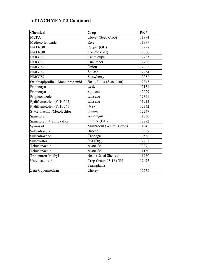| Chemical                        | Crop                    | PR#   |
|---------------------------------|-------------------------|-------|
| <b>MCPA</b>                     | Clover (Seed Crop)      | 11994 |
| Methoxyfenozide                 | Rice                    | 11979 |
| NA11630                         | Pepper (GH)             | 12298 |
| NA11630                         | Tomato (GH)             | 12300 |
| <b>NMG787</b>                   | Cantaloupe              | 12253 |
| <b>NMG787</b>                   | Cucumber                | 12252 |
| <b>NMG787</b>                   | Onion                   | 12322 |
| <b>NMG787</b>                   | Squash                  | 12254 |
| <b>NMG787</b>                   | Strawberry              | 12252 |
| Oxathiapiprolin + Mandipropamid | Bean, Lima (Succulent)  | 12345 |
| Prometryn                       | Leek                    | 12131 |
| Prometryn                       | Spinach                 | 12029 |
| Propiconazole                   | $\overline{G}$ inseng   | 12341 |
| Pydiflumetofen (FTH 545)        | Ginseng                 | 11912 |
| Pydiflumetofen (FTH 545)        | Hops                    | 12342 |
| S-Metolachlor/Metolachlor       | Quinoa                  | 12247 |
| Spinetoram                      | Asparagus               | 11830 |
| Spinetoram + Sulfoxaflor        | Lettuce (GH)            | 12292 |
| Spinosad                        | Mushroom (White Button) | 11945 |
| Sulfentrazone                   | Broccoli                | 10557 |
| Sulfentrazone                   | Cabbage                 | 10556 |
| Sulfoxaflor                     | Pea (Dry)               | 12261 |
| Tebuconazole                    | Avocado                 | 7337  |
| Tebuconazole                    | Avocado                 | 11160 |
| Tribenuron-Methyl               | Bean (Dried Shelled)    | 11980 |
| Uniconazole-P                   | Crop Group 05-16 (GH    | 12027 |
|                                 | Transplant)             |       |
| Zeta-Cypermethrin               | Cherry                  | 12259 |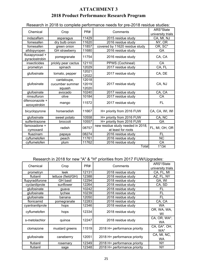### **ATTACHMENT 3 2018 Product Performance Research Program**

| Chemical                         | Crop                 | PR#   | Comments                          | ARS*State             |
|----------------------------------|----------------------|-------|-----------------------------------|-----------------------|
|                                  |                      |       |                                   | university trials     |
| indazaflam                       | asparagus            | 11429 | 2015 residue study                | CA, MI, NJ            |
| fomesafen                        | dry bulb onion       | 11620 | 2016 residue study                | NY, OR                |
| fomesafen                        | green onion          | 11857 | covered by 11620 residue study    | $OR, \overline{SC^*}$ |
| afidopyropen                     | <b>GH</b> strawberry | 11680 | 2016 residue study                | GA                    |
| fluxapyroxad +<br>pyraclostrobin | pomegranate          | 11754 | 2016 residue study                | CA, CA                |
| insecticides                     | prickly pear cactus  | 12110 | PPWS (Cochineal)                  | CA                    |
| prometryn                        | spinach              | 12029 | 2017 residue study                | CA, FL                |
|                                  |                      | 12021 |                                   |                       |
| glufosinate                      | tomato, pepper       | 12022 | 2017 residue study                | CA, DE                |
|                                  | cantaloupe,          | 12018 |                                   |                       |
| glufosinate                      | cucumber summer      | 12019 | 2017 residue study                | CA, NJ                |
|                                  | squash               | 12020 |                                   |                       |
| glufosinate                      | avocado              | 10240 | 2017 residue study                | CA, CA                |
| rimsulfuron                      | olive                | 10184 | 2017 residue study                | CA                    |
| difenconazole +<br>azoxystrobin  | mango                | 11572 | 2017 residue study                | FL                    |
| bicyclopyrone                    | horseradish          | 11667 | H+ priority from 2016 FUW         | CA, CA, WI, WI        |
| glufosinate                      | sweet potato         | 10558 | H+ priority from 2016 FUW         | CA, NC                |
| sulfentrazone                    | broccoli             | 10557 | H+ priority from 2016 FUW         | GA                    |
| famoxadone +                     |                      |       | new residue study needed in 2018, |                       |
| cymoxanil                        | radish               | 08757 | at least for roots                | FL, MI, OH, OR        |
| fluazinam                        | papaya               | 08274 | 2016 residue study                | <b>FL</b>             |
| cyflumetofen                     | peach                | 11761 | 2016 residue study                | <b>NC</b>             |
| cyflumetofen                     | plum                 | 11762 | 2016 residue study                | CA                    |
|                                  |                      |       | Total                             | $1*/34$               |

Research in 2018 to complete performance needs for pre-2018 residue studies:

### Research in 2018 for new "A" & "H" priorities from 2017 FUW/Upgrades:

| Chemical         | Crop               | PR#   | Comments                     | ARS*/State<br>university trials |
|------------------|--------------------|-------|------------------------------|---------------------------------|
|                  |                    |       |                              |                                 |
| prometryn        | leek               | 12131 | 2018 residue study           | CA, FL, MI                      |
| flutianil        | lettuce (field/GH) | 12388 | 2018 residue study           | AZ, FL, NY                      |
| flupyradifurone  | <b>GH</b> basil    | 12294 | 2018 residue study           | GA, WI                          |
| cyclaniliprole   | sunflower          | 12264 | 2018 residue study           | CA, SD                          |
| glufosinate      | guava              | 10242 | 2018 residue study           | FL                              |
| glufosinate      | Iychee             | 10239 | 2018 residue study           | FL                              |
| glufosinate      | banana             | 12050 | 2018 residue study           | FL                              |
| flonicamid       | pomegranate        | 12283 | 2018 residue study           | CA, CA                          |
| cyantraniliprole | hops               | 12346 | 2018 residue study           | <b>WA</b>                       |
| cyflumetofen     | hops               | 12334 | 2018 residue study           | OR, WA, WA,<br>WI               |
| s-metolachlor    | quinoa             | 12247 | 2018 residue study           | CA, OR, WA*,<br><b>WA</b>       |
| clomazone        | mustard greens     | 11519 | 2018 H+ performance priority | CA, GA*, OH,<br>WA*             |
| glufosinate      | caneberrry         | 12051 | 2018 H+ performance priority | CA, MI, NC,<br><b>WA</b>        |
| flutianil        | rosemary           | 12349 | 2018 H+ performance priority | NY.                             |
| flutianil        | sage               | 12348 | 2018 H+ performance priority | <b>NY</b>                       |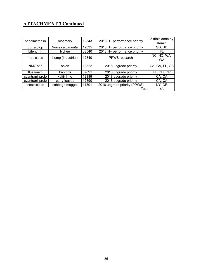| pendimethalin    | rosemary          | 12343 | 2018 H+ performance priority | 3 trials done by<br>Kemin |
|------------------|-------------------|-------|------------------------------|---------------------------|
| quizalofop       | Brassica carinata | 12335 | 2018 H+ performance priority | SD, SD                    |
| bifenthrin       | <b>Ivchee</b>     | 08540 | 2018 H+ performance priority | FL                        |
| herbicides       | hemp (industrial) | 12340 | PPWS research                | NC, NC, WA,<br>WA         |
| <b>NMG787</b>    | onion             | 12322 | 2018 upgrade priority        | CA, CA, FL, GA            |
| fluazinam        | broccoli          | 07091 | 2018 upgrade priority        | FL, OH, OR                |
| cyantraniliprole | kaffir lime       | 12389 | 2018 upgrade priority        | CA, CA                    |
| cyantraniliprole | curry leaves      | 12390 | 2018 upgrade priority        | CA, CA                    |
| insecticides     | cabbage maggot    | 11591 | 2018 upgrade priority (PPWS) | NY, OR                    |
|                  |                   |       | Total                        | 43                        |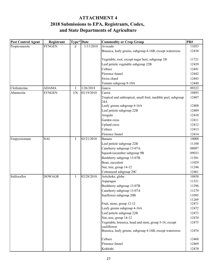### **and State Departments of Agriculture ATTACHMENT 4 2018 Submissions to EPA, Registrants, Codex,**

| <b>Pest Control Agent</b> | Registrant    | Type* Date  |            | <b>Commodity or Crop Group</b>                                        | PR#   |
|---------------------------|---------------|-------------|------------|-----------------------------------------------------------------------|-------|
| Propiconazole             | <b>SYNGEN</b> | $\mathbf F$ | 1/11/2018  | Avocado                                                               | 11053 |
|                           |               |             |            | Brassica, leafy greens, subgroup 4-16B, except watercress             | 12438 |
|                           |               |             |            | Vegetable, root, except sugar beet, subgroup 1B                       | 11721 |
|                           |               |             |            | Leaf petiole vegetable subgroup 22B                                   | 12439 |
|                           |               |             |            | Celtuce                                                               | 12441 |
|                           |               |             |            | Florence fennel                                                       | 12442 |
|                           |               |             |            | Swiss chard                                                           | 12443 |
|                           |               |             |            | Tomato subgroup 8-10A                                                 | 12440 |
| Clofentezine              | <b>ADAMA</b>  | $\mathbf I$ | 1/26/2018  | Guava                                                                 | 09323 |
| Abamectin                 | <b>SYNGEN</b> | I/N         | 02/19/2018 | Carrot                                                                | 10893 |
|                           |               |             |            | Tropical and subtropical, small fruit, inedible peel, subgroup<br>24A | 12407 |
|                           |               |             |            | Leafy greens subgroup 4-16A                                           | 12408 |
|                           |               |             |            | Leaf petiole subgroup 22B                                             | 12409 |
|                           |               |             |            | Arugula                                                               | 12410 |
|                           |               |             |            | Garden cress                                                          | 12411 |
|                           |               |             |            | <b>Upland</b> cress                                                   | 12412 |
|                           |               |             |            | Celtuce                                                               | 12413 |
|                           |               |             |            | Florence fennel                                                       | 12414 |
| Fenpyroximate             | <b>NAI</b>    | I           | 02/21/2018 | Banana                                                                | 10008 |
|                           |               |             |            | Leaf petiole subgroup 22B                                             | 11100 |
|                           |               |             |            | Caneberry subgroup 13-07A                                             | 08097 |
|                           |               |             |            | Squash/cucumber subgroup 9B                                           | 09033 |
|                           |               |             |            | Bushberry subgroup 13-07B                                             | 11501 |
|                           |               |             |            | Bean, succulent                                                       | 11029 |
|                           |               |             |            | Nut, tree, group 14-12                                                | 11246 |
|                           |               |             |            | Cottonseed subgroup 20C                                               | 12461 |
| Sulfoxaflor               | <b>DOWAGR</b> | Ι           | 02/28/2018 | Artichoke, globe                                                      | 10858 |
|                           |               |             |            | Asparagus                                                             | 11321 |
|                           |               |             |            | Bushberry subgroup 13-07B                                             | 11296 |
|                           |               |             |            | Caneberry subgroup 13-07A                                             | 11279 |
|                           |               |             |            | Sunflower subgroup 20B                                                | 11095 |
|                           |               |             |            |                                                                       | 11269 |
|                           |               |             |            | Fruit, stone, group 12-12                                             | 12471 |
|                           |               |             |            | Leafy greens subgroup 4-16A<br>Leaf petiole subgroup 22B              | 12472 |
|                           |               |             |            |                                                                       | 12473 |
|                           |               |             |            | Nut, tree, group 14-12                                                | 12474 |
|                           |               |             |            | Vegetable, brassica, head and stem, group 5-16, except<br>cauliflower | 12475 |
|                           |               |             |            | Brassica, leafy greens, subgroup 4-16B, except watercress             | 12476 |
|                           |               |             |            | Celtuce                                                               | 12468 |
|                           |               |             |            | Florence fennel                                                       | 12469 |
|                           |               |             |            | Kohlrabi                                                              | 12470 |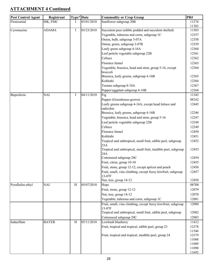| <b>Pest Control Agent</b> | Registrant   | Type* Date |            | <b>Commodity or Crop Group</b>                                      | PR#            |
|---------------------------|--------------|------------|------------|---------------------------------------------------------------------|----------------|
| Flonicamid                | ISK, FMC     | L          | 03/01/2018 | Sunflower subgroup 20B                                              | 11274          |
| Cyromazine                | <b>ADAMA</b> | $\bf{I}$   | 03/23/2018 | Succulent peas (edible podded and succulent shelled)                | 11383<br>11503 |
|                           |              |            |            | Vegetable, tuberous and corm, subgroup 1C                           | 12357          |
|                           |              |            |            | Onion, bulb, subgroup 3-07A                                         | 12358          |
|                           |              |            |            | Onion, green, subgroup 3-07B                                        | 12359          |
|                           |              |            |            | Leafy green subgroup 4-16A                                          | 12360          |
|                           |              |            |            | Leaf petiole vegetable subgroup 22B                                 | 12361          |
|                           |              |            |            | Celtuce                                                             |                |
|                           |              |            |            |                                                                     | 12362          |
|                           |              |            |            | Florence fennel                                                     | 12363          |
|                           |              |            |            | Vegetable, brassica, head and stem, group 5-16, except<br>broccoli  | 12364          |
|                           |              |            |            | Brassica, leafy greens, subgroup 4-16B                              | 12365          |
|                           |              |            |            | Kohlrabi                                                            | 12366          |
|                           |              |            |            | Tomato subgroup 8-10A                                               | 12367          |
|                           |              |            |            | Pepper/eggplant subgroup 8-10B                                      | 12368          |
| Buprofezin                | <b>NAI</b>   | Ι          | 04/11/2018 | Fig                                                                 | 11342          |
|                           |              |            |            |                                                                     | 08162          |
|                           |              |            |            | Pepper (Greenhouse-grown)                                           |                |
|                           |              |            |            | Leafy greens subgroup 4-16A, except head lettuce and<br>radicchio   | 12445          |
|                           |              |            |            | Brassica, leafy greens, subgroup 4-16B                              | 12246          |
|                           |              |            |            | Vegetable, brassica, head and stem, group 5-16                      | 12247          |
|                           |              |            |            | Leaf petiole vegetable subgroup 22B                                 | 12248          |
|                           |              |            |            | Celtuce                                                             | 12249          |
|                           |              |            |            | Florence fennel                                                     | 12450          |
|                           |              |            |            | Kohlrabi                                                            | 12451          |
|                           |              |            |            |                                                                     | 12452          |
|                           |              |            |            | Tropical and subtropical, small fruit, edible peel, subgroup<br>23A |                |
|                           |              |            |            | Tropical and subtropical, small fruit, inedible peel, subgroup      | 12453          |
|                           |              |            |            | 24A                                                                 |                |
|                           |              |            |            | Cottonseed subgroup 20C                                             | 12454          |
|                           |              |            |            | Fruit, citrus, group 10-10                                          | 12455          |
|                           |              |            |            | Fruit, stone, group 12-12, except apricot and peach                 | 12456          |
|                           |              |            |            | Fruit, small, vine climbing, except fuzzy kiwfruit, subgroup        | 12457          |
|                           |              |            |            | 13-07F                                                              |                |
|                           |              |            |            | Nut, tree, group 14-12                                              | 12458          |
| Pyraflufen-ethyl          | <b>NAI</b>   | H          | 05/07/2018 | Hops                                                                | 08708          |
|                           |              |            |            | Fruit, stone, group 12-12                                           | 12079          |
|                           |              |            |            | Nut, tree, group 14-12                                              | 12078          |
|                           |              |            |            | Vegetable, tuberous and corm, subgroup 1C                           | 12081          |
|                           |              |            |            | Fruit, small, vine climbing, except fuzzy kiwifruit, subgroup       | 12080          |
|                           |              |            |            | 13-07F                                                              |                |
|                           |              |            |            | Tropical and subtropical, small fruit, edible peel, subgroup        | 12082          |
|                           |              |            |            | Cottonseed subgroup 20C                                             | 12083          |
| Indaziflam                | <b>BAYER</b> | H          | 05/11/2018 | Lowbush blueberry                                                   | 11412          |
|                           |              |            |            | Fruit, tropical and tropical, edible peel, group 23                 | 12378          |
|                           |              |            |            |                                                                     | 11546<br>12379 |
|                           |              |            |            | Fruit, tropical and tropical, inedible peel, group 24               | 11088          |
|                           |              |            |            |                                                                     | 11089          |
|                           |              |            |            |                                                                     | 11090          |
|                           |              |            |            |                                                                     | 11692          |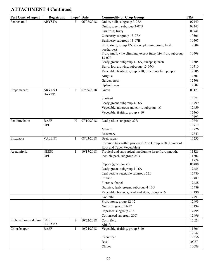| <b>Pest Control Agent</b> | Registrant     | Type* Date                |            | <b>Commodity or Crop Group</b>                                          | PR#            |
|---------------------------|----------------|---------------------------|------------|-------------------------------------------------------------------------|----------------|
| Fenhexamid                | <b>ARYSTA</b>  | F                         | 06/08/2018 | Onion, bulb, subgroup 3-07A                                             | 07149          |
|                           |                |                           |            | Onion, green, subgroup 3-07B                                            | 08243          |
|                           |                |                           |            | Kiwifruit, fuzzy                                                        | 09741          |
|                           |                |                           |            | Caneberry subgroup 13-07A                                               | 10506          |
|                           |                |                           |            | Bushberry subgroup 13-07B                                               | 10507          |
|                           |                |                           |            | Fruit, stone, group 12-12, except plum, prune, fresh,                   | 12504          |
|                           |                |                           |            | postharvest                                                             |                |
|                           |                |                           |            | Fruit, small, vine climbing, except fuzzy kiwifruit, subgroup<br>13-07F | 10509          |
|                           |                |                           |            | Leafy greens subgroup 4-16A, except spinach                             | 12505          |
|                           |                |                           |            | Berry, low growing, subgroup 13-07G                                     | 10510          |
|                           |                |                           |            | Vegetable, fruiting, group 8-10, except nonbell pepper                  | 12506          |
|                           |                |                           |            | Arugula                                                                 | 12507          |
|                           |                |                           |            | Garden cress                                                            | 12508          |
|                           |                |                           |            | <b>Upland</b> cress                                                     | 12509          |
| Propamacarb               | <b>ARYLSB</b>  | $\boldsymbol{\mathrm{F}}$ | 07/09/2018 | Guava                                                                   | 07171          |
|                           | <b>BAYER</b>   |                           |            |                                                                         |                |
|                           |                |                           |            | Starfruit                                                               | 11571          |
|                           |                |                           |            | Leafy greens subgroup 4-16A                                             | 11499          |
|                           |                |                           |            | Vegetable, tuberous and corm, subgroup 1C                               | 12459          |
|                           |                |                           |            | Vegetable, fruiting, group 8-10                                         | 12460          |
| Pendimethalin             | <b>BASF</b>    | H                         | 07/19/2018 | Leaf petiole subgroup 22B                                               | 10193<br>10746 |
|                           | <b>UPI</b>     |                           |            |                                                                         | 10910          |
|                           |                |                           |            | Monard                                                                  | 11726          |
|                           |                |                           |            | Rosemary                                                                | 12343          |
| Etoxazole                 | <b>VALENT</b>  | Ι                         | 08/03/2018 | Beet, sugar                                                             | 11233          |
|                           |                |                           |            | Commodities within proposed Crop Group 2-18 (Leaves of                  |                |
|                           |                |                           |            | Root and Tuber Vegetables)                                              |                |
| Acetamiprid               | <b>NISSO</b>   | Ι                         | 10/17/2018 | Tropical and subtropical, medium to large fruit, smooth,                | 11326          |
|                           | <b>UPI</b>     |                           |            | inedible peel, subgroup 24B                                             | 11602          |
|                           |                |                           |            |                                                                         | 11724          |
|                           |                |                           |            | Pepper (greenhouse)                                                     | 08488          |
|                           |                |                           |            | Leafy greens subgroup 4-16A                                             | 12485          |
|                           |                |                           |            | Leaf petiole vegetable subgroup 22B                                     | 12486          |
|                           |                |                           |            | Celtuce                                                                 | 12487          |
|                           |                |                           |            | Florence fennel                                                         | 12488          |
|                           |                |                           |            | Brassica, leafy greens, subgroup 4-16B                                  | 12489          |
|                           |                |                           |            | Vegetable, brassica, head and stem, group 5-16                          | 12490          |
|                           |                |                           |            | Kohlrabi                                                                | 12491          |
|                           |                |                           |            | Fruit, stone, group 12-12                                               | 12493          |
|                           |                |                           |            | Nut, tree, group 14-12                                                  | 12494          |
|                           |                |                           |            | Rapeseed subgroup 20A                                                   | 12495          |
|                           |                |                           |            | Cottonseed subgroup 20C                                                 | 12496          |
| Prohexadione calcium      | <b>BASF</b>    | P                         | 10/22/2018 | Corn, field                                                             | 12024          |
|                           | <b>FINEAMA</b> |                           |            | Alfalfa                                                                 |                |
| Chlorfenapyr              | <b>BASF</b>    | Ι                         | 10/24/2018 | Vegetable, fruiting, group 8-10                                         | 11606<br>12642 |
|                           |                |                           |            | Cucumber                                                                | 12356          |
|                           |                |                           |            | Basil                                                                   | 10087          |
|                           |                |                           |            | Chives                                                                  | 10088          |
|                           |                |                           |            |                                                                         |                |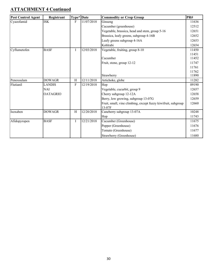| <b>Pest Control Agent</b> | Registrant      | Type* Date                |            | <b>Commodity or Crop Group</b>                                | PR#   |
|---------------------------|-----------------|---------------------------|------------|---------------------------------------------------------------|-------|
| Cyazofamid                | <b>ISK</b>      | F                         | 11/07/2018 | Ginseng                                                       | 11636 |
|                           |                 |                           |            | Cucumber (greenhouse)                                         | 12512 |
|                           |                 |                           |            | Vegetable, brassica, head and stem, group 5-16                | 12651 |
|                           |                 |                           |            | Brassica, leafy greens, subgroup 4-16B                        | 12652 |
|                           |                 |                           |            | Leafy greens subgroup 4-16A                                   | 12653 |
|                           |                 |                           |            | Kohlrabi                                                      | 12654 |
| Cyflumetofen              | <b>BASF</b>     | I                         | 12/03/2018 | Vegetable, fruiting, group 8-10                               | 11450 |
|                           |                 |                           |            |                                                               | 11451 |
|                           |                 |                           |            | Cucumber                                                      | 11452 |
|                           |                 |                           |            | Fruit, stone, group 12-12                                     | 11747 |
|                           |                 |                           |            |                                                               | 11761 |
|                           |                 |                           |            |                                                               | 11762 |
|                           |                 |                           |            | Strawberry                                                    | 11890 |
| Penoxsulam                | <b>DOWAGR</b>   | $\, {\rm H}$              | 12/11/2018 | Artichoke, globe                                              | 11282 |
| Flutianil                 | <b>LANDIS</b>   | F                         | 12/19/2018 | Hop                                                           | 09190 |
|                           | <b>NAI</b>      |                           |            | Vegetable, cucurbit, group 9                                  | 12657 |
|                           | <b>OATAGRIO</b> |                           |            | Cherry subgroup 12-12A                                        | 12658 |
|                           |                 |                           |            | Berry, low growing, subgroup 13-07G                           | 12659 |
|                           |                 |                           |            | Fruit, small, vine climbing, except fuzzy kiwifruit, subgroup | 12660 |
|                           |                 |                           |            | 13-07F                                                        |       |
| Isoxaben                  | <b>DOWAGR</b>   | $\boldsymbol{\mathrm{H}}$ | 12/20/2018 | Caneberry subgroup 13-07A                                     | 10248 |
|                           |                 |                           |            | Hop                                                           | 11743 |
| Afidopyropen              | <b>BASF</b>     | I                         | 12/21/2018 | Cucumber (Greenhouse)                                         | 11675 |
|                           |                 |                           |            | Pepper (Greenhouse)                                           | 11676 |
|                           |                 |                           |            | Tomato (Greenhouse)                                           | 11677 |
|                           |                 |                           |            | Strawberry (Greenhouse)                                       | 11680 |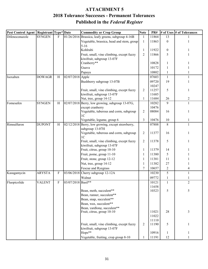### **Published in the** *Federal Register* **ATTACHMENT 5 2018 Tolerance Successes - Permanent Tolerances**

| Pest Control Agent   Registrant   Type* Date |               |              |                    | <b>Commodity or Crop Group</b>                    | <b>Note</b>    | PR#   |                  | # of Uses # of Tolerances |
|----------------------------------------------|---------------|--------------|--------------------|---------------------------------------------------|----------------|-------|------------------|---------------------------|
| Difenoconazole                               | <b>SYNGEN</b> | $\mathbf{F}$ |                    | 01/26/2016 Brassica, leafy greens, subgroup 4-16B | $\mathbf{1}$   | 11864 | 13               |                           |
|                                              |               |              |                    | Vegetable, brassica, head and stem, group         | $\mathbf{1}$   | 11863 | $\boldsymbol{0}$ |                           |
|                                              |               |              |                    | $5 - 16$<br>Kohlrabi                              | $\mathbf{1}$   | 11922 | $\boldsymbol{0}$ |                           |
|                                              |               |              |                    | Fruit, small, vine climbing, except fuzzy         | $\overline{2}$ | 11866 | 5                |                           |
|                                              |               |              |                    | kiwifruit, subgroup 13-07F                        |                |       |                  |                           |
|                                              |               |              |                    | Cranberry**                                       |                | 10828 | 1                |                           |
|                                              |               |              |                    | Guava                                             |                | 10172 | 1                |                           |
|                                              |               |              |                    | Papaya                                            |                | 10802 | 1                |                           |
| Isoxaben                                     | <b>DOWAGR</b> | $\, {\rm H}$ | 02/07/2018 Apple   |                                                   |                | 07603 | $\mathbf{1}$     | 1                         |
|                                              |               |              |                    |                                                   |                | 09720 | 19               |                           |
|                                              |               |              |                    | Bushberry subgroup 13-07B                         |                | 10247 |                  |                           |
|                                              |               |              |                    | Fruit, small, vine climbing, except fuzzy         | $\overline{2}$ | 11257 | 5                | 1                         |
|                                              |               |              |                    | kiwifruit, subgroup 13-07F                        |                | 11685 |                  |                           |
|                                              |               |              |                    | Nut, tree, group 14-12                            | $\mathbf{1}$   | 11684 | 26               | $\overline{2}$            |
| Fomesafen                                    | <b>SYNGEN</b> | H            |                    | 02/07/2018 Berry, low growing, subgroup 13-07G,   |                | 10282 | 9                | 1                         |
|                                              |               |              |                    | except cranberry                                  |                | 10476 |                  |                           |
|                                              |               |              |                    | Vegetable, tuberous and corm, subgroup            | $\overline{2}$ | 08084 | 16               | 1                         |
|                                              |               |              |                    | 1 <sup>C</sup>                                    |                |       |                  |                           |
|                                              |               |              |                    | Vegetable, legume, group 6                        | 3              | 10476 | 10               | 1                         |
| Rimsulfuron                                  | <b>DUPONT</b> | H            |                    | 02/12/2018 Berry, low growing, except strawberry, |                | 07888 | 8                | $\mathbf{1}$              |
|                                              |               |              |                    | subgroup 13-07H                                   |                |       |                  |                           |
|                                              |               |              |                    | Vegetable, tuberous and corm, subgroup            | $\overline{2}$ | 11377 | 16               |                           |
|                                              |               |              |                    | 1 <sup>C</sup>                                    |                |       |                  |                           |
|                                              |               |              |                    | Fruit, small, vine climbing, except fuzzy         | $\overline{2}$ | 11378 | 5                |                           |
|                                              |               |              |                    | kiwifruit, subgroup 13-07F                        |                | 11379 | 14               |                           |
|                                              |               |              |                    | Fruit, citrus, group 10-10                        | 1              |       |                  |                           |
|                                              |               |              |                    | Fruit, pome, group 11-10                          | $\mathbf{1}$   | 11380 | 5                |                           |
|                                              |               |              |                    | Fruit, stone, group 12-12                         | $\mathbf{1}$   | 11381 | 11               |                           |
|                                              |               |              |                    | Nut, tree, group 14-12                            | $\mathbf{1}$   | 11382 | 27               |                           |
|                                              |               |              |                    | Fescue and Ryegrass                               | $\tau$         | 10657 | $\sqrt{2}$       | 4                         |
| Kasugamycin                                  | <b>ARYSTA</b> | F            |                    | $03/06/2018$ Cherry subgroup 12-12A               |                | 10230 | 5                | $\mathbf{1}$              |
|                                              |               |              |                    | Walnut                                            |                | 09772 | 1                |                           |
| Fluopicolide                                 | VALENT        | F            | 03/07/2018 Basil** |                                                   |                | 10121 | 1                | 2                         |
|                                              |               |              |                    |                                                   |                | 11658 |                  |                           |
|                                              |               |              |                    | Bean, moth, succulent**                           |                | 10323 | 5                | 5                         |
|                                              |               |              |                    | Bean, runner, succulent**                         |                |       |                  |                           |
|                                              |               |              |                    | Bean, snap, succulent**<br>Bean, wax, succulent** |                |       |                  |                           |
|                                              |               |              |                    | Bean, yardlong, succulent**                       |                |       |                  |                           |
|                                              |               |              |                    | Fruit, citrus, group 10-10                        |                | 11021 | 28               | 3                         |
|                                              |               |              |                    |                                                   |                | 11022 |                  |                           |
|                                              |               |              |                    |                                                   |                | 11110 |                  |                           |
|                                              |               |              |                    | Fruit, small, vine climbing, except fuzzy         | 2              | 11190 | 5                | $\mathbf{1}$              |
|                                              |               |              |                    | kiwifruit, subgroup 13-07F                        |                |       |                  |                           |
|                                              |               |              |                    | Hops**                                            |                | 10916 | $\mathbf{1}$     | 1                         |
|                                              |               |              |                    | Vegetable, fruiting, crop group 8-10              | 1              | 11191 | 12               | 1                         |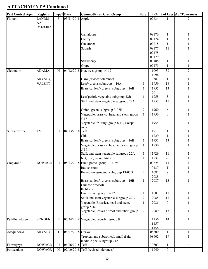| Pest Control Agent   Registrant   Type* Date |                 |              |                  | <b>Commodity or Crop Group</b>                             | <b>Note</b>    | PR#                |                  | # of Uses  # of Tolerances |
|----------------------------------------------|-----------------|--------------|------------------|------------------------------------------------------------|----------------|--------------------|------------------|----------------------------|
| Flutianil                                    | <b>LANDIS</b>   | $\mathbf{F}$ | 03/21/2018 Apple |                                                            |                | 09634              |                  | $\overline{2}$             |
|                                              | <b>NAI</b>      |              |                  |                                                            |                |                    |                  |                            |
|                                              | <b>OATAGRIO</b> |              |                  |                                                            |                |                    |                  |                            |
|                                              |                 |              |                  | Cantaloupe                                                 |                | 09176              | 1                | 1                          |
|                                              |                 |              |                  | Cherry                                                     |                | 09174              | $\mathbf{1}$     | 1                          |
|                                              |                 |              |                  | Cucumber                                                   |                | 09718              | $\mathbf{1}$     |                            |
|                                              |                 |              |                  | Squash                                                     |                | 09177              | 11               | 1                          |
|                                              |                 |              |                  |                                                            |                | 09178              |                  |                            |
|                                              |                 |              |                  |                                                            |                | 09179              |                  |                            |
|                                              |                 |              |                  | Strawberry                                                 |                | 09188              | 1                | 1                          |
|                                              |                 |              |                  | Grape                                                      |                | 09175              | $\mathbf{1}$     | $\mathbf{1}$               |
| Clethodim                                    | ADAMA,          | H            |                  | 04/12/2018 Nut, tree, group 14-12                          |                | 11093              | 39               | $\overline{2}$             |
|                                              |                 |              |                  |                                                            |                | 11094              |                  |                            |
|                                              | ARYSTA,         |              |                  | Okra (revised tolerance)                                   |                | 10383              | $\mathbf{1}$     | 1                          |
|                                              | <b>VALENT</b>   |              |                  | Leafy greens subgroup 4-16A                                | 1              | 11959              | 18               | 1                          |
|                                              |                 |              |                  | Brassica, leafy greens, subgroup 4-16B                     | $\mathbf{1}$   | 11955              | 13               | 1                          |
|                                              |                 |              |                  |                                                            |                | 12011              |                  |                            |
|                                              |                 |              |                  | Leaf petiole vegetable subgroup 22B                        | $\mathbf{1}$   | 11958              | $\overline{3}$   | 1                          |
|                                              |                 |              |                  | Stalk and stem vegetable subgroup 22A                      | $\overline{c}$ | 11957              | 11               | 1                          |
|                                              |                 |              |                  |                                                            |                |                    |                  |                            |
|                                              |                 |              |                  | Onion, green, subgroup 3-07B                               | $\sqrt{2}$     | 11960              | 6                | 1                          |
|                                              |                 |              |                  | Vegetable, brassica, head and stem, group                  | $\mathbf{1}$   | 11956              | $\boldsymbol{0}$ | 1                          |
|                                              |                 |              |                  | $5 - 16$                                                   |                | 11954              | $\mathbf{0}$     |                            |
|                                              |                 |              |                  | Vegetable, fruiting, group 8-10, except<br>okra            |                |                    |                  | $\mathbf{1}$               |
| Sulfentrazone                                | <b>FMC</b>      | H            | 04/13/2018 Teff  |                                                            |                | 11917              | $\mathbf{1}$     | 4                          |
|                                              |                 |              |                  | Chia                                                       |                | 11729              | 1                | 1.                         |
|                                              |                 |              |                  | Brassica, leafy greens, subgroup 4-16B                     | $\mathbf{1}$   | 11931              | 13               |                            |
|                                              |                 |              |                  | Vegetable, brassica, head and stem, group                  | $\mathbf{1}$   | 11930              | $\mathbf{0}$     | 1                          |
|                                              |                 |              |                  | $5 - 16$                                                   |                |                    |                  |                            |
|                                              |                 |              |                  | Stalk and stem vegetable subgroup 22A                      | $\mathbf{1}$   | 11929              | 11               | 1                          |
|                                              |                 |              |                  | Nut, tree, group 14-12                                     | $\mathbf{1}$   | 11932              | 26               | 1                          |
| Clopyralid                                   | <b>DOWAGR</b>   | H            |                  | 05/23/2018 Fruit, pome, group 11-10**                      | 3              | $0362\overline{4}$ | 11               | 1                          |
|                                              |                 |              |                  | Radish roots                                               |                | 10437              | $\mathbf{1}$     | 1                          |
|                                              |                 |              |                  | Berry, low growing, subgroup 13-07G                        | $\sqrt{2}$     | 11682              | 8                | 1                          |
|                                              |                 |              |                  |                                                            |                | 12088              |                  |                            |
|                                              |                 |              |                  | Brassica, leafy greens, subgroup 4-16B                     | $\mathbf{1}$   | 12087              | 13               | $\mathbf{1}$               |
|                                              |                 |              |                  | Chinese broccoli                                           |                |                    |                  |                            |
|                                              |                 |              |                  | Kohlrabi                                                   |                |                    |                  |                            |
|                                              |                 |              |                  | Fruit, stone, group 12-12                                  | $\mathbf{1}$   | 11681              | 11               | 1                          |
|                                              |                 |              |                  | Stalk and stem vegetable subgroup 22A                      | $\overline{2}$ | 12085              | 11               | 1                          |
|                                              |                 |              |                  | Vegetable, Brassica, head and stem,                        | $\mathbf{1}$   | 12086              | $\boldsymbol{0}$ |                            |
|                                              |                 |              |                  | group $5-16$<br>Vegetable, leaves of root and tuber, group | $\sqrt{2}$     | 12089              | 13               | $\mathbf{1}$               |
|                                              |                 |              |                  |                                                            |                |                    |                  |                            |
| Pydiflumetofen                               | <b>SYNGEN</b>   | ${\bf F}$    |                  | 05/24/2018 Vegetable, cucurbit, group 9                    |                | 11156              | 14               | $\mathbf{1}$               |
|                                              |                 |              |                  |                                                            |                | 11157              |                  |                            |
|                                              |                 |              |                  |                                                            |                | 11158              |                  |                            |
| Acequinocyl                                  | <b>ARYSTA</b>   | Ι            | 06/07/2018 Guava |                                                            |                | 08600              | $\mathbf{1}$     | 1                          |
|                                              |                 |              |                  | Tropical and subtropical, small fruit,                     |                | 08602              | 19               | 1                          |
|                                              |                 |              |                  | inedible peel subgroup 24A                                 |                |                    |                  |                            |
| Fluroxypyr                                   | <b>DOWAGR</b>   | H            | 06/26/2018 Teff  |                                                            |                | 10807              | $\mathbf{1}$     | $\overline{4}$             |
| Pyroxsulam                                   | <b>DOWAGR</b>   | H            |                  | 07/10/2018 Teff (revised tolerances)                       |                | 11940              | $\boldsymbol{0}$ | $\overline{4}$             |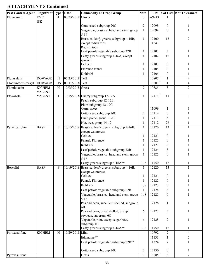| Pest Control Agent   Registrant   Type*   Date |                                |              |                   | <b>Commodity or Crop Group</b>                                                   | <b>Note</b>                  | PR#            |                   | # of Uses  # of Tolerances |
|------------------------------------------------|--------------------------------|--------------|-------------------|----------------------------------------------------------------------------------|------------------------------|----------------|-------------------|----------------------------|
| Flonicamid                                     | <b>FMC</b>                     | $\mathbf{I}$ | 07/23/2018 Clover |                                                                                  | $\tau$                       | A9943          |                   | $\mathfrak{D}$             |
|                                                | <b>ISK</b>                     |              |                   |                                                                                  |                              |                |                   |                            |
|                                                |                                |              |                   | Cottonseed subgroup 20C                                                          | $\overline{2}$               | 12098          | $\boldsymbol{0}$  |                            |
|                                                |                                |              |                   | Vegetable, brassica, head and stem, group                                        | $\mathbf{1}$                 | 12099          | $\theta$          | 1                          |
|                                                |                                |              |                   | $5 - 16$<br>Brassica, leafy greens, subgroup 4-16B,                              | $\mathbf{1}$                 | 12100          | 13                | $\overline{c}$             |
|                                                |                                |              |                   | except radish tops                                                               |                              | 11247          |                   |                            |
|                                                |                                |              |                   | Radish, tops                                                                     |                              |                |                   |                            |
|                                                |                                |              |                   | Leaf petiole vegetable subgroup 22B                                              | $\mathbf{1}$                 | 12101          | 3                 | 1                          |
|                                                |                                |              |                   | Leafy greens subgroup 4-16A, except                                              | $\mathbf{1}$                 | 12102          | 18                | 1                          |
|                                                |                                |              |                   | spinach                                                                          |                              |                |                   |                            |
|                                                |                                |              |                   | Celtuce                                                                          | $\mathbf{1}$                 | 12103          | $\boldsymbol{0}$  |                            |
|                                                |                                |              |                   | Florence fennel                                                                  | 1                            | 12104          | $\overline{0}$    |                            |
|                                                |                                |              |                   | Kohlrabi                                                                         | $\mathbf{1}$                 | 12105          | $\overline{0}$    |                            |
| Florasulam                                     | <b>DOWAGR</b>                  | $\, {\rm H}$ | 07/25/2018 Teff   |                                                                                  |                              | 10807          | $\mathbf{1}$      | 4                          |
| Cloquintocet-mexyl                             | <b>DOWAGR</b>                  | HS           | 09/11/2018 Teff   |                                                                                  |                              | 10807          | $\mathbf{1}$      | $\overline{\mathbf{4}}$    |
| Flumioxazin                                    | <b>KICHEM</b><br><b>VALENT</b> | H            | 10/05/2018 Grass  |                                                                                  | $\tau$                       | 10885          | $\overline{3}$    | $\overline{2}$             |
| Etoxazole                                      | <b>VALENT</b>                  | $\bf I$      |                   | 10/15/2018 Cherry subgroup 12-12A                                                | $\mathbf{1}$                 | 12113          | 11                | $\overline{3}$             |
|                                                |                                |              |                   | Peach subgroup 12-12B                                                            |                              |                |                   |                            |
|                                                |                                |              |                   | Plum subgroup 12-12C                                                             |                              |                |                   |                            |
|                                                |                                |              |                   | Corn, sweet                                                                      |                              | 11099          | 1                 | 3                          |
|                                                |                                |              |                   | Cottonseed subgroup 20C                                                          | $\overline{2}$               | 12114          | $\boldsymbol{0}$  |                            |
|                                                |                                |              |                   | Fruit, pome, group 11-10                                                         | 1                            | 12111          | 5                 |                            |
|                                                |                                |              |                   | Nut, tree, group 14-12                                                           | $\mathbf{1}$                 | 12112          | 26                |                            |
| Pyraclostrobin                                 | <b>BASF</b>                    | F            |                   | 10/15/2018 Brassica, leafy greens, subgroup 4-16B,                               | $\mathbf{1}$                 | 12120          | 13                | $\mathbf{1}$               |
|                                                |                                |              |                   | except watercress                                                                |                              |                |                   |                            |
|                                                |                                |              |                   | Celtuce                                                                          | $\mathbf{1}$                 | 12121          | $\boldsymbol{0}$  |                            |
|                                                |                                |              |                   | Fennel, Florence<br>Kohlrabi                                                     | 1                            | 12122          | $\boldsymbol{0}$  |                            |
|                                                |                                |              |                   |                                                                                  | $\mathbf{1}$                 | 12123          | $\boldsymbol{0}$  |                            |
|                                                |                                |              |                   | Leaf petiole vegetable subgroup 22B<br>Vegetable, brassica, head and stem, group | $\mathbf{1}$                 | 12124<br>12125 | 3<br>$\mathbf{0}$ |                            |
|                                                |                                |              |                   | $5 - 16$                                                                         | 1                            |                |                   |                            |
|                                                |                                |              |                   | Leafy greens subgroup 4-16A**                                                    |                              | 1, 6 11750     | 18                | $\perp$                    |
| Boscalid                                       | <b>BASF</b>                    | ${\bf F}$    |                   | 10/19/2018 Brassica, leafy greens, subgroup 4-16B,                               | $\mathbf{1}$                 | 12120          | 13                | 1                          |
|                                                |                                |              |                   | except watercress<br>Celtuce                                                     |                              | 12121          | $\boldsymbol{0}$  |                            |
|                                                |                                |              |                   | Fennel, Florence                                                                 | $\mathbf{1}$<br>$\mathbf{1}$ | 12122          | $\overline{0}$    |                            |
|                                                |                                |              |                   | Kohlrabi                                                                         | 1,8                          | 12123          | $\overline{0}$    |                            |
|                                                |                                |              |                   | Leaf petiole vegetable subgroup 22B                                              | $\mathbf{1}$                 | 12124          | 3                 |                            |
|                                                |                                |              |                   | Vegetable, brassica, head and stem, group                                        | 1, 8                         | 12125          | $\boldsymbol{0}$  | 1                          |
|                                                |                                |              |                   | $5 - 16$                                                                         |                              |                |                   |                            |
|                                                |                                |              |                   | Pea and bean, succulent shelled, subgroup                                        |                              | 12126          | $\mathbf{1}$      | 1                          |
|                                                |                                |              |                   | 6B<br>Pea and bean, dried shelled, except                                        | 6                            | 12127          | 3                 | $\mathbf{1}$               |
|                                                |                                |              |                   | soybean, subgroup 6C                                                             |                              |                |                   |                            |
|                                                |                                |              |                   | Vegetable, root, except sugar beet,                                              | 6                            | 12128          | $\overline{c}$    | 1                          |
|                                                |                                |              |                   | subgroup 1B                                                                      |                              |                |                   |                            |
|                                                |                                |              |                   | Leafy greens subgroup 4-16A**                                                    | 1, 6                         | 11750          | 18                | $\mathbf{1}$               |
| Pyroxasulfone                                  | <b>KICHEM</b>                  | $\, {\rm H}$ | 10/29/2018 Mint   |                                                                                  |                              | 10792          | $\overline{2}$    | $\overline{4}$             |
|                                                |                                |              |                   | Edamame**                                                                        |                              | 11133          | $\mathbf{1}$      | $\overline{c}$             |
|                                                |                                |              |                   | Leaf petiole vegetable subgroup 22B**                                            |                              | 11324          | 7                 |                            |
|                                                |                                |              |                   | Cottonseed subgroup 20C                                                          | $\mathbf{2}$                 | 12130          | $\boldsymbol{0}$  | 1                          |
| Pyroxasulfone                                  |                                |              |                   | Grass                                                                            | $\tau$                       | 10885          | 3                 | $\overline{2}$             |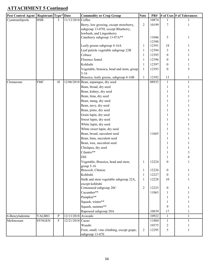| Pest Control Agent   Registrant   Type* Date |               |              |                    | <b>Commodity or Crop Group</b>                                | <b>Note</b>    | PR#   |                  | # of Uses # of Tolerances |
|----------------------------------------------|---------------|--------------|--------------------|---------------------------------------------------------------|----------------|-------|------------------|---------------------------|
| Cyantraniliprole                             | <b>HSB</b>    | L            | 11/13/2018         | Coffee                                                        |                | 10874 |                  |                           |
|                                              |               |              |                    | Berry, low growing, except strawberry,                        | $\overline{2}$ | 10199 | 7                | 1                         |
|                                              |               |              |                    | subgroup 13-07H, except Blueberry,                            |                |       |                  |                           |
|                                              |               |              |                    | lowbush, and Lingonberry                                      |                |       |                  |                           |
|                                              |               |              |                    | Caneberry subgroup 13-07A**                                   |                | 11046 | 5                | 1                         |
|                                              |               |              |                    |                                                               |                | 12398 |                  |                           |
|                                              |               |              |                    | Leafy greens subgroup 4-16A                                   | 1              | 12391 | 18               | 1                         |
|                                              |               |              |                    | Leaf petiole vegetable subgroup 22B                           | 1              | 12394 | 3                |                           |
|                                              |               |              |                    | Celtuce                                                       | 1              | 12395 | $\mathbf{0}$     |                           |
|                                              |               |              |                    | Florence fennel                                               | $\mathbf{1}$   | 12396 | $\overline{0}$   |                           |
|                                              |               |              |                    | Kohlrabi                                                      | 1              | 12397 | $\overline{0}$   |                           |
|                                              |               |              |                    | Vegetable, brassica, head and stem, group                     | $\mathbf{1}$   | 12393 | $\mathbf{0}$     | 5                         |
|                                              |               |              |                    | $5 - 16$<br>Brassica, leafy greens, subgroup 4-16B            | $\mathbf{1}$   | 12392 | 13               | 1                         |
| Clomazone                                    | <b>FMC</b>    | H            |                    | 12/06/2018 Bean, asparagus, dry seed                          |                | 08935 | $\mathbf{1}$     | $\mathbf{1}$              |
|                                              |               |              |                    | Bean, broad, dry seed                                         |                |       |                  |                           |
|                                              |               |              |                    | Bean, kidney, dry seed                                        |                |       |                  |                           |
|                                              |               |              |                    | Bean, lima, dry seed                                          |                |       |                  |                           |
|                                              |               |              |                    | Bean, mung, dry seed                                          |                |       |                  |                           |
|                                              |               |              |                    | Bean, navy, dry seed                                          |                |       |                  |                           |
|                                              |               |              |                    |                                                               |                |       |                  |                           |
|                                              |               |              |                    | Bean, pinto, dry seed                                         |                |       |                  |                           |
|                                              |               |              |                    | Grain lupin, dry seed                                         |                |       |                  |                           |
|                                              |               |              |                    | Sweet lupin, dry seed                                         |                |       |                  |                           |
|                                              |               |              |                    | White lupin, dry seed                                         |                |       |                  |                           |
|                                              |               |              |                    | White sweet lupin, dry seed                                   |                |       |                  |                           |
|                                              |               |              |                    | Bean, broad, succulent seed                                   |                | 11665 |                  |                           |
|                                              |               |              |                    | Bean, lima, succulent seed                                    |                |       |                  |                           |
|                                              |               |              |                    | Bean, wax, succulent seed                                     |                |       |                  |                           |
|                                              |               |              |                    | Chickpea, dry seed                                            |                |       |                  |                           |
|                                              |               |              |                    | Cilantro**                                                    |                |       |                  | 3                         |
|                                              |               |              |                    | Dill                                                          |                |       |                  |                           |
|                                              |               |              |                    | Vegetable, Brassica, head and stem,                           | 1              | 12224 | 0                |                           |
|                                              |               |              |                    | group $5-16$                                                  |                |       |                  |                           |
|                                              |               |              |                    | Broccoli, Chinese                                             | 1              | 12226 | $\mathbf{0}$     | 1                         |
|                                              |               |              |                    | Kohlrabi                                                      | $\mathbf{1}$   | 12227 | $\mathbf{0}$     | 1                         |
|                                              |               |              |                    | Stalk and stem vegetable subgroup 22A,                        | $\mathbf{1}$   | 12228 | 10               |                           |
|                                              |               |              |                    | except kohlrabi<br>Cottonseed subgroup 20C                    | $\overline{2}$ | 12225 | $\boldsymbol{0}$ | 1                         |
|                                              |               |              |                    | Cucumber**                                                    |                | 11063 |                  |                           |
|                                              |               |              |                    | Pumpkin**                                                     |                |       |                  |                           |
|                                              |               |              |                    |                                                               |                |       | 1                |                           |
|                                              |               |              |                    | Squash, winter**                                              |                |       | 1                |                           |
|                                              |               |              |                    | Squash, summer**                                              |                |       | 9                |                           |
|                                              |               |              |                    | Rapeseed subgroup 20A                                         |                | 10839 | 17               | $\mathbf{1}$              |
| 6-Benzyladenine                              | <b>VALBIO</b> | $\mathbf{P}$ | 12/13/2018 Avocado |                                                               |                | 10922 | $\mathbf{1}$     | $\mathbf{1}$              |
| Mefenoxam                                    | <b>SYNGEN</b> | $\mathbf F$  | 12/21/2018 Cacao   |                                                               |                | 11884 | $\mathbf{1}$     | $\mathbf{1}$              |
|                                              |               |              |                    | Wasabi                                                        |                | 10375 | $\overline{c}$   |                           |
|                                              |               |              |                    | Fruit, small, vine climbing, except grape,<br>subgroup 13-07E | $\overline{2}$ | 12295 | 5                | 1                         |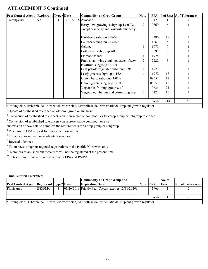| Pest Control Agent   Registrant   Type*   Date |                      |  |                    | <b>Commodity or Crop Group</b>                                                                           | <b>Note</b>    | PR#   |          | $\#$ of Uses $\#$ of Tolerances |
|------------------------------------------------|----------------------|--|--------------------|----------------------------------------------------------------------------------------------------------|----------------|-------|----------|---------------------------------|
| Tolfenpyrad                                    | <b>NAI</b>           |  | 12/21/2018 Avocado |                                                                                                          |                | 10427 |          |                                 |
|                                                |                      |  |                    | Berry, low growing, subgroup 13-07G,                                                                     | $\overline{2}$ | 10869 | 6        |                                 |
|                                                |                      |  |                    | except cranberry and lowbush blueberry                                                                   |                |       |          |                                 |
|                                                |                      |  |                    | Bushberry subgroup 13-07B                                                                                |                | 10380 | 19       |                                 |
|                                                |                      |  |                    | Caneberry subgroup 13-07A                                                                                |                | 11263 | 5        |                                 |
|                                                |                      |  |                    | Celtuce                                                                                                  | $\mathbf{1}$   | 11975 | $\Omega$ |                                 |
|                                                |                      |  |                    | Cottonseed subgroup 20C                                                                                  | 2              | 12097 | $\Omega$ |                                 |
|                                                |                      |  |                    | Florence fennel                                                                                          | 1              | 11978 | $\theta$ |                                 |
|                                                |                      |  |                    | Fruit, small, vine climbing, except fuzzy                                                                | $\overline{2}$ | 12222 | 5        |                                 |
|                                                |                      |  |                    | kiwifruit, subgroup 13-07F                                                                               |                |       |          |                                 |
|                                                |                      |  |                    | Leaf petiole vegetable subgroup 22B                                                                      | 1              | 11973 | 3        |                                 |
|                                                |                      |  |                    | Leafy greens subgroup 4-16A                                                                              | 1              | 11972 | 18       |                                 |
|                                                |                      |  |                    | Onion, bulb, subgroup 3-07A                                                                              |                | 09551 | 11       |                                 |
|                                                |                      |  |                    | Onion, green, subgroup 3-07B                                                                             |                | 09657 | 15       |                                 |
|                                                |                      |  |                    | Vegetable, fruiting, group 8-10                                                                          |                | 10634 | 21       |                                 |
|                                                |                      |  |                    | Vegetable, tuberous and corm, subgroup                                                                   | $\overline{2}$ | 12221 | 16       |                                 |
|                                                |                      |  |                    | 1C                                                                                                       |                |       |          |                                 |
|                                                | 918<br>208<br>Totals |  |                    |                                                                                                          |                |       |          |                                 |
|                                                |                      |  |                    | *F=fungicide, H=herbicide, I=insecticide/acaricide, M=molluscide, N=nematicide, P=plant growth regulator |                |       |          |                                 |

 $1$  Update of established tolerance on old crop group or subgroup

<sup>2</sup> Conversion of established tolerance(s) on representative commodities to a crop group or subgroup tolerance

3 Conversion of established tolerance(s) on representative commodities *and* 

submission of new data to complete the requirements for a crop group or subgroup

<sup>4</sup> Response to EPA request for Codex harmonization

<sup>5</sup> Tolerance for indirect or inadvertent residues

<sup>6</sup> Revised tolerance

 $7$  Tolerances to support regional registrations in the Pacific Northwest only

 ${}^{8}$ Tolerances established but these uses will not be registered at the present time.

\*\* notes a Joint Review or Workshare with EPA and PMRA

#### **Time-Limited Tolerances**

|                                          |                                                                                                          |  |  | <b>Commodity or Crop Group and</b>                  |          |       | No. of      |                          |
|------------------------------------------|----------------------------------------------------------------------------------------------------------|--|--|-----------------------------------------------------|----------|-------|-------------|--------------------------|
| Pest Control Agent Registrant Type* Date |                                                                                                          |  |  | <b>Expiration Date</b>                              | Note PR# |       | <b>Uses</b> | <b>No. of Tolerances</b> |
| Flonicamid                               | ISK/FMC                                                                                                  |  |  | 01/26/2016 Prickly Pear Cactus (expires 12/31/2020) |          | 11966 |             |                          |
| Totals                                   |                                                                                                          |  |  |                                                     |          |       |             |                          |
|                                          | *F=fungicide, H=herbicide, I=insecticide/acaricide, M=molluscide, N=nematicide, P=plant growth regulator |  |  |                                                     |          |       |             |                          |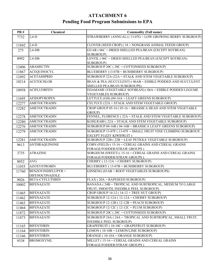### **ATTACHMENT 6 Pending Food Program Submissions to EPA**

| <b>PR#</b> | <b>Chemical</b>                             | <b>Commodity (Full name)</b>                                                                      |
|------------|---------------------------------------------|---------------------------------------------------------------------------------------------------|
| 7732       | $2,4-D$                                     | STRAWBERRY (ANNUAL) (13-07G = LOW GROWING BERRY SUBGROUP)                                         |
| 11842      | $2,4-D$                                     | CLOVER (SEED CROP) (18 = NONGRASS ANIMAL FEEDS GROUP)                                             |
| 275        | $2,4$ -DB                                   | $GUAR$ ( $06C = DRIED$ SHELLED PEA/BEAN (EXCEPT SOYBEAN)<br>SUBGROUP)                             |
| 8992       | $2,4$ -DB                                   | LENTIL (06C = DRIED SHELLED PEA/BEAN (EXCEPT SOYBEAN)<br>SUBGROUP)                                |
| 12406      | <b>ABAMECTIN</b>                            | SUBGROUP 20C (20C = COTTONSEED SUBGROUP)                                                          |
| 11867      | <b>ACEQUINOCYL</b>                          | BLUEBERRY (13-07B = BUSHBERRY SUBGROUP)                                                           |
| 12492      | <b>ACETAMIPRID</b>                          | SUBGROUP 22A (22A = STALK AND STEM VEGETABLE SUBGROUP)                                            |
| 10214      | <b>ACETOCHLOR</b>                           | BEAN & PEA (SUCCULENT) (06AB = EDIBLE PODDED AND SUCCULENT<br>SHELLED PEA/BEAN SUBGROUPS)         |
| 10958      | <b>ACIFLUORFEN</b>                          | EDAMAME (VEGETABLE SOYBEAN) (06A = EDIBLE PODDED LEGUME<br><b>VEGETABLES SUBGROUP)</b>            |
| 11695      | <b>AFIDOPYROPEN</b>                         | LETTUCE (GH) $(04-16A = LEAFY$ GREENS SUBGROUP)                                                   |
| 12277      | <b>AMETOCTRADIN</b>                         | CELTUCE (22A = STALK AND STEM VEGETABLE GROUP)                                                    |
| 12282      | <b>AMETOCTRADIN</b>                         | CROP GROUP 05-16 (05-16 = BRASSICA HEAD AND STEM VEGETABLE<br>GROUP)                              |
| 12278      | <b>AMETOCTRADIN</b>                         | FENNEL, FLORENCE (22A = STALK AND STEM VEGETABLE SUBGROUP)                                        |
| 12280      | <b>AMETOCTRADIN</b>                         | KOHLRABI (22A = STALK AND STEM VEGETABLE SUBGROUP)                                                |
| 12276      | <b>AMETOCTRADIN</b>                         | SUBGROUP 04-16B (04-16B = BRASSICA LEAFY GREENS SUBGROUP)                                         |
| 12279      | <b>AMETOCTRADIN</b>                         | SUBGROUP 13-07F (13-07F = SMALL FRUIT VINE CLIMBING SUBGROUP,<br><b>EXCEPT FUZZY KIWIFRUIT)</b>   |
| 12281      | <b>AMETOCTRADIN</b>                         | SUBGROUP 22B (22B = LEAF PETIOLE VEGETABLE SUBGROUP)                                              |
| 9613       | <b>ANTHRAQUINONE</b>                        | CORN (FIELD) (15-16 = CEREAL GRAINS AND CEREAL GRAINS<br>FORAGE/FODDER/STRAW GROUPS)              |
| 3735       | <b>ATRAZINE</b>                             | SORGHUM (SWEET) (15-16 = CEREAL GRAINS AND CEREAL GRAINS<br>FORAGE/FODDER/STRAW GROUPS)           |
| 8052       | <b>AVG</b>                                  | CHERRY (12-12A = CHERRY SUBGROUP)                                                                 |
| 11055      | <b>AZOXYSTROBIN</b>                         | BLUEBERRY (13-07B = BUSHBERRY SUBGROUP)                                                           |
| 11760      | BENZOVINDIFLUPYR +<br><b>DIFENOCONAZOLE</b> | GINSENG (01AB = ROOT VEGETABLES SUBGROUPS)                                                        |
| 9026       | <b>BETA-CYFLUTHRIN</b>                      | FLAX (20A = RAPESEED SUBGROUP)                                                                    |
| 10002      | <b>BIFENAZATE</b>                           | BANANA (24B = TROPICAL AND SUBTROPICAL, MEDIUM TO LARGE<br>FRUIT, SMOOTH, INEDIBLE PEEL SUBGROUP) |
| 11465      | <b>BIFENAZATE</b>                           | CROP GROUP $14-12$ ( $14-12$ = TREE NUT GROUP)                                                    |
| 11462      | <b>BIFENAZATE</b>                           | SUBGROUP 12-12A (12-12A = CHERRY SUBGROUP)                                                        |
| 11463      | <b>BIFENAZATE</b>                           | SUBGROUP $12-12B$ ( $12-12B$ = PEACH SUBGROUP)                                                    |
| 11464      | <b>BIFENAZATE</b>                           | SUBGROUP $12-12C$ ( $12-12C = PLUM SUBGROUP$ )                                                    |
| 11872      | <b>BIFENAZATE</b>                           | SUBGROUP 20C (20C = COTTONSEED SUBGROUP)                                                          |
| 11873      | <b>BIFENAZATE</b>                           | SUBGROUP 24A (24A = TROPICAL AND SUBTROPICAL, SMALL FRUIT,<br><b>INEDIBLE PEEL SUBGROUP)</b>      |
| 11165      | <b>BIFENTHRIN</b>                           | GRAPEFRUIT (10-10C = GRAPEFRUIT SUBGROUP)                                                         |
| 11164      | <b>BIFENTHRIN</b>                           | LEMON (10-10B = LEMON/LIME SUBGROUP)                                                              |
| 11166      | <b>BIFENTHRIN</b>                           | ORANGE (10-10A = ORANGE SUBGROUP)                                                                 |
| 9338       | <b>BROMOXYNIL</b>                           | MILLET (15-16 = CEREAL GRAINS AND CEREAL GRAINS<br>FORAGE/FODDER/STRAW GROUPS)                    |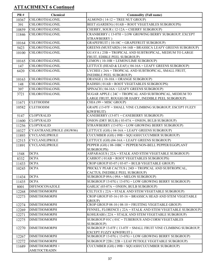| <b>PR#</b> | <b>Chemical</b>          | <b>Commodity (Full name)</b>                                             |
|------------|--------------------------|--------------------------------------------------------------------------|
| 10367      | CHLOROTHALONIL           | $ALMOND (14-12 = TREE NUT GROUP)$                                        |
| 391        | CHLOROTHALONIL           | BEET (GARDEN) (01AB = ROOT VEGETABLES SUBGROUPS)                         |
| 10859      | <b>CHLOROTHALONIL</b>    | CHERRY, SOUR (12-12A = CHERRY SUBGROUP)                                  |
| 11846      | CHLOROTHALONIL           | CRANBERRY (13-07H = LOW GROWING BERRY SUBGROUP, EXCEPT<br>STRAWBERRY)    |
| 10164      | CHLOROTHALONIL           | GRAPEFRUIT (10-10C = GRAPEFRUIT SUBGROUP)                                |
| 5423       | CHLOROTHALONIL           | GREENS (MUSTARD) (04-16B = BRASSICA LEAFY GREENS SUBGROUP)               |
| 10100      | CHLOROTHALONIL           | GUAVA (23B = TROPICAL AND SUBTROPICAL, MEDIUM TO LARGE                   |
|            | CHLOROTHALONIL           | FRUIT, EDIBLE PEEL SUBGROUP)<br>LEMON (10-10B = LEMON/LIME SUBGROUP)     |
| 10165      | CHLOROTHALONIL           | LETTUCE (HEAD & LEAF) (04-16A = LEAFY GREENS SUBGROUP)                   |
| 147        | CHLOROTHALONIL           | LYCHEE (24A = TROPICAL AND SUBTROPICAL, SMALL FRUIT,                     |
| 6420       |                          | <b>INEDIBLE PEEL SUBGROUP)</b>                                           |
| 10163      | CHLOROTHALONIL           | ORANGE (10-10A = ORANGE SUBGROUP)                                        |
| 148        | CHLOROTHALONIL           | RADISH (01AB = ROOT VEGETABLES SUBGROUPS)                                |
| 397        | <b>CHLOROTHALONIL</b>    | SPINACH (04-16A = LEAFY GREENS SUBGROUP)                                 |
| 3721       | CHLOROTHALONIL           | SUGAR APPLE (24C = TROPICAL AND SUBTROPICAL, MEDIUM TO                   |
|            |                          | LARGE FRUIT, ROUGH OR HAIRY, INEDIBLE PEEL SUBGROUP)                     |
| 11671      | <b>CLETHODIM</b>         | $CHIA$ (99 = MISC GROUP)                                                 |
| 10582      | <b>CLETHODIM</b>         | GRAPE (13-07F = SMALL VINE CLIMBING SUBGROUP, ESCEPT FUZZY<br>KIWIFRUIT) |
| 5147       | <b>CLOPYRALID</b>        | CANEBERRY (13-071 = CANEBERRY SUBGROUP)                                  |
| 11600      | <b>CLOPYRALID</b>        | ONION (DRY BULB) (03-07A = ONION, BULB SUBGROUP)                         |
| 11256      | <b>CLOPYRALID</b>        | STRAWBERRY (13-07G = LOW GROWING BERRY SUBGROUP)                         |
| 10327      | CYANTRANILIPROLE (HGW86) | LETTUCE (GH) (04-16A = LEAFY GREENS SUBGROUP)                            |
| 11893      | <b>CYCLANILIPROLE</b>    | CUCUMBER (GH) (09B = SQUASH/CUCUMBER SUBGROUP)                           |
| 12515      | <b>CYCLANILIPROLE</b>    | LETTUCE (GH) (04-16A = LEAFY GREENS SUBGROUP)                            |
| 11891      | <b>CYCLANILIPROLE</b>    | PEPPER (GH) (08-10BC = PEPPER/NON-BELL PEPPER/EGGPLANT                   |
|            |                          | <b>SUBGROUPS)</b>                                                        |
| 1548       | <b>DCPA</b>              | ASPARAGUS (22A = STALK AND STEM VEGETABLE SUBGROUP)                      |
| 8332       | <b>DCPA</b>              | CARROT (01AB = ROOT VEGETABLES SUBGROUPS)                                |
| 11433      | <b>DCPA</b>              | CROP GROUP $03-07$ ( $03-07$ = BULB VEGETABLE GROUP)                     |
| 10245      | <b>DCPA</b>              | PRICKLY PEAR CACTUS (24D = TROPICAL AND SUBTROPICAL,                     |
|            |                          | CACTUS, INEDIBLE PEEL SUBGROUP)                                          |
| 11434      | <b>DCPA</b>              | SUBGROUP $09A(09A = MELON SUBGROUP)$                                     |
| 11435      | <b>DCPA</b>              | SUBGROUP 13-07G (13-07G = LOW GROWING BERRY SUBGROUP)                    |
| 8001       | <b>DIFENOCONAZOLE</b>    | GARLIC (03-07A = ONION, BULB SUBGROUP)                                   |
| 12268      | <b>DIMETHOMORPH</b>      | CELTUCE (22A = STALK AND STEM VEGETABLE SUBGROUP)                        |
| 12273      | <b>DIMETHOMORPH</b>      | CROP GROUP 05-16 (05-16 = BRASSICA HEAD AND STEM VEGETABLE<br>GROUP)     |
| 12274      | <b>DIMETHOMORPH</b>      | CROP GROUP 08-10 (08-10 = FRUITING VEGETABLE GROUP)                      |
| 12269      | <b>DIMETHOMORPH</b>      | FENNEL, FLORENCE (22A = STALK AND STEM VEGETABLE SUBGROUP)               |
| 12271      | <b>DIMETHOMORPH</b>      | KOHLRABI (22A = STALK AND STEM VEGETABLE SUBGROUP)                       |
| 12275      | <b>DIMETHOMORPH</b>      | SUBGROUP 01C (01C = TUBEROUS AND CORM VEGETABLES                         |
|            |                          | SUBGROUP)                                                                |
| 12270      | <b>DIMETHOMORPH</b>      | SUBGROUP 13-07F (13-07F = SMALL FRUIT VINE CLIMBING SUBGROUP,            |
|            |                          | EXCEPT FUZZY KIWIFRUIT)                                                  |
| 12267      | <b>DIMETHOMORPH</b>      | SUBGROUP 13-07G (13-07G = LOW GROWING BERRY SUBGROUP)                    |
| 12272      | <b>DIMETHOMORPH</b>      | SUBGROUP 22B (22B = LEAF PETIOLE VEGETABLE SUBGROUP)                     |
| 11689      | DIMETHOMORPH +           | CUCUMBER (GH) (09B = SQUASH/CUCUMBER SUBGROUP)                           |
|            | <b>AMETOCTRADIN</b>      |                                                                          |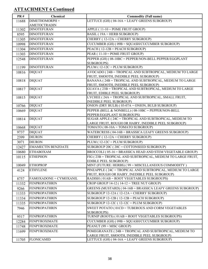| <b>PR#</b> | Chemical                  | <b>Commodity (Full name)</b>                                                                       |
|------------|---------------------------|----------------------------------------------------------------------------------------------------|
| 11688      | DIMETHOMORPH +            | LETTUCE (GH) (04-16A = LEAFY GREENS SUBGROUP)                                                      |
|            | <b>AMETOCTRADIN</b>       |                                                                                                    |
| 11302      | <b>DINOTEFURAN</b>        | $APPLE$ (11-10 = POME FRUIT GROUP)                                                                 |
| 8595       | <b>DINOTEFURAN</b>        | BASIL (19A = HERB SUBGROUP)                                                                        |
| 11305      | <b>DINOTEFURAN</b>        | CHERRY (12-12A = CHERRY SUBGROUP)                                                                  |
| 10998      | <b>DINOTEFURAN</b>        | CUCUMBER (GH) (09B = SQUASH/CUCUMBER SUBGROUP)                                                     |
| 11304      | <b>DINOTEFURAN</b>        | $PEACH (12-12B = PEACH SUBGROUP)$                                                                  |
| 11303      | <b>DINOTEFURAN</b>        | PEAR ( $11-10 = POME FRUIT GROUP$ )                                                                |
| 12548      | <b>DINOTEFURAN</b>        | PEPPER (GH) (08-10BC = PEPPER/NON-BELL PEPPER/EGGPLANT                                             |
|            |                           | <b>SUBGROUPS)</b>                                                                                  |
| 11199      | <b>DINOTEFURAN</b>        | PLUM $(12-12C) =$ PLUM SUBGROUP)                                                                   |
| 10816      | <b>DIQUAT</b>             | AVOCADO (24B = TROPICAL AND SUBTROPICAL, MEDIUM TO LARGE<br>FRUIT, SMOOTH, INEDIBLE PEEL SUBGROUP) |
| 10818      | <b>DIQUAT</b>             | BANANA (24B = TROPICAL AND SUBTROPICAL, MEDIUM TO LARGE                                            |
|            |                           | FRUIT, SMOOTH, INEDIBLE PEEL SUBGROUP)                                                             |
| 10817      | <b>DIQUAT</b>             | GUAVA (23B = TROPICAL AND SUBTROPICAL, MEDIUM TO LARGE                                             |
|            |                           | FRUIT, EDIBLE PEEL SUBGROUP)                                                                       |
| 10815      | <b>DIQUAT</b>             | LYCHEE (24A = TROPICAL AND SUBTROPICAL, SMALL FRUIT,<br><b>INEDIBLE PEEL SUBGROUP)</b>             |
| 10766      | <b>DIQUAT</b>             | ONION (DRY BULB) (03-07A = ONION, BULB SUBGROUP)                                                   |
| 10669      | <b>DIQUAT</b>             | PEPPER (BELL & NONBELL) (08-10BC = PEPPER/NON-BELL                                                 |
|            |                           | PEPPER/EGGPLANT SUBGROUPS)                                                                         |
| 10814      | <b>DIQUAT</b>             | SUGAR APPLE (24C = TROPICAL AND SUBTROPICAL, MEDIUM TO                                             |
|            |                           | LARGE FRUIT, ROUGH OR HAIRY, INEDIBLE PEEL SUBGROUP)                                               |
| 10668      | <b>DIQUAT</b>             | TOMATO (08-10A = TOMATO SUBGROUP)                                                                  |
| 9737       | <b>DIQUAT</b>             | WATERCRESS (04-16B = BRASSICA LEAFY GREENS SUBGROUP)                                               |
| 2399       | <b>DIURON</b>             | CHERRY (12-12A = CHERRY SUBGROUP)                                                                  |
| 3071       | <b>DIURON</b>             | $PLUM(12-12C = PLUM SUBGROUP)$                                                                     |
| 12427      | <b>EMAMECTIN BENZOATE</b> | SUBGROUP 20C (20C = COTTONSEED SUBGROUP)                                                           |
| 10680      | <b>ETHABOXAM</b>          | BROCCOLI (05-16 = BRASSICA HEAD AND STEM VEGETABLE GROUP)                                          |
| 10115      | <b>ETHEPHON</b>           | FIG (23B = TROPICAL AND SUBTROPICAL, MEDIUM TO LARGE FRUIT,                                        |
|            |                           | <b>EDIBLE PEEL SUBGROUP)</b>                                                                       |
|            | 10049 ETHOPROP            | MINT (FUTURE: HERBS) (99 = MISCELLANEOUS COMMODITY)                                                |
| 4124       | <b>ETHYLENE</b>           | PINEAPPLE (24C = TROPICAL AND SUBTROPICAL, MEDIUM TO LARGE                                         |
|            |                           | FRUIT, ROUGH OR HAIRY, INEDIBLE PEEL SUBGROUP)                                                     |
| 8757       | FAMOXADONE + CYMOXANIL    | RADISH (01AB = ROOT VEGETABLES SUBGROUPS)                                                          |
| 11332      | <b>FENPROPATHRIN</b>      | CROP GROUP $14-12$ ( $14-12$ = TREE NUT GROUP)                                                     |
| 9266       | <b>FENPROPATHRIN</b>      | GREENS (MUSTARD) (04-16B = BRASSICA LEAFY GREENS SUBGROUP)                                         |
| 11333      | <b>FENPROPATHRIN</b>      | SUBGROUP $12-12A$ ( $12-12A =$ CHERRY SUBGROUP)                                                    |
| 11334      | <b>FENPROPATHRIN</b>      | SUBGROUP $12-12B$ ( $12-12B$ = PEACH SUBGROUP)                                                     |
| 11335      | <b>FENPROPATHRIN</b>      | SUBGROUP $12-12C$ ( $12-12C = PLUM SUBGROUP$ )                                                     |
| 7946       | <b>FENPROPATHRIN</b>      | SWEET POTATO (01CD = TUBEROUS AND CORM VEGETABLES<br><b>SUBGROUPS)</b>                             |
| 9517       | <b>FENPROPATHRIN</b>      | TURNIP (ROOTS) (01AB = ROOT VEGETABLES SUBGROUPS)                                                  |
| 12284      | <b>FENPYROXIMATE</b>      | CUCUMBER (GH) (09B = SQUASH/CUCUMBER SUBGROUP)                                                     |
| 11748      | FENPYROXIMATE             | $PEANUT (99 = MISC GROUP)$                                                                         |
| 11699      | <b>FENPYROXIMATE</b>      | POMEGRANATE (24B = TROPICAL AND SUBTROPICAL, MEDIUM TO                                             |
|            |                           | LARGE FRUIT, SMOOTH, INEDIBLE PEEL SUBGROUP)                                                       |
| 11705      | <b>FLONICAMID</b>         | LETTUCE (GH) (04-16A = LEAFY GREENS SUBGROUP)                                                      |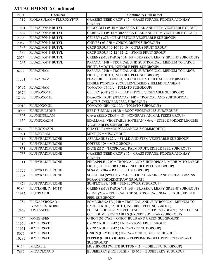| <b>PR#</b> | Chemical                | <b>Commodity (Full name)</b>                                                                              |
|------------|-------------------------|-----------------------------------------------------------------------------------------------------------|
| 11317      | FLORASULAM + FLUROXYPYR | GRASSES (SEED CROP) (17 = GRASS FORAGE, FODDER AND HAY                                                    |
|            |                         | GROUP)                                                                                                    |
| 11861      | FLUAZIFOP-P-BUTYL       | BROCCOLI (05-16 = BRASSICA HEAD AND STEM VEGETABLE GROUP)                                                 |
| 11862      | FLUAZIFOP-P-BUTYL       | CABBAGE (05-16 = BRASSICA HEAD AND STEM VEGETABLE GROUP)                                                  |
| 2336       | FLUAZIFOP-P-BUTYL       | CELERY (22B = LEAF PETIOLE VEGETABLE SUBGROUP)                                                            |
| 2087       | FLUAZIFOP-P-BUTYL       | CHIVES (03-07B = ONION, GREEN SUBGROUP)                                                                   |
| 11363      | FLUAZIFOP-P-BUTYL       | CROP GROUP 10-10 (10-10 = CITRUS FRUIT GROUP)                                                             |
| 11364      | FLUAZIFOP-P-BUTYL       | CROP GROUP $12-12$ ( $12-12 =$ STONE FRUIT GROUP)                                                         |
| 2076       | FLUAZIFOP-P-BUTYL       | GREENS (MUSTARD) (04-16B = BRASSICA LEAFY GREENS SUBGROUP)                                                |
| 11265      | FLUAZIFOP-P-BUTYL       | PAPAYA (24B = TROPICAL AND SUBTROPICAL, MEDIUM TO LARGE                                                   |
|            |                         | FRUIT, SMOOTH, INEDIBLE PEEL SUBGROUP)                                                                    |
| 8274       | <b>FLUAZINAM</b>        | PAPAYA (24B = TROPICAL AND SUBTROPICAL, MEDIUM TO LARGE                                                   |
|            |                         | FRUIT, SMOOTH, INEDIBLE PEEL SUBGROUP)                                                                    |
| 11231      | <b>FLUAZINAM</b>        | PEA (EDIBLE PODDED, SUCCULENT & DRIED SHELLED (06ABC =<br>EDIBLE PODDED, SUCCULENT/DRIED SHELLED PEA/BEAN |
| 10592      | <b>FLUAZINAM</b>        | TOMATO (08-10A = TOMATO SUBGROUP)                                                                         |
| 10374      | <b>FLUDIOXONIL</b>      | CELERY (GH) ( $22B = LEAF$ PETIOLE VEGETABLE SUBGROUP)                                                    |
| 12400      | FLUDIOXONIL             | DRAGON FRUIT (PITAYA) (24D = TROPICAL AND SUBTROPICAL,                                                    |
|            |                         | CACTUS, INEDIBLE PEEL SUBGROUP)                                                                           |
| 12010      | FLUDIOXONIL             | TOMATO (GH) (08-10A = TOMATO SUBGROUP)                                                                    |
| 10908      | <b>FLUENSULFONE</b>     | BEET (SUGAR) (01AB = ROOT VEGETABLES SUBGROUPS)                                                           |
| 11505      | <b>FLUMETSULAM</b>      | Clover (SEED CROP) (18 = NONGRASS ANIMAL FEEDS GROUP)                                                     |
| 11132      | <b>FLUMIOXAZIN</b>      | EDAMAME (VEGETABLE SOYBEAN) (06A = EDIBLE PODDED LEGUME                                                   |
|            |                         | <b>VEGETABLES SUBGROUP)</b>                                                                               |
| 10686      | FLUMIOXAZIN             | GUAYULE (99 = MISCELLANEOUS COMMODITY)                                                                    |
| 11971      | <b>FLUOPYRAM</b>        | $MINT (99 = MISC GROUP)$                                                                                  |
| 11318      | FLUPYRADIFURONE         | ASPARAGUS (22A = STALK AND STEM VEGETABLE SUBGROUP)                                                       |
| 11712      | <b>FLUPYRADIFURONE</b>  | COFFEE ( $99 =$ MISC GROUP)                                                                               |
| 11831      | FLUPYRADIFURONE         | DATE (23C = TROPICAAL, PALM FRUIT, EDIBLE PEEL SUBGROUP)                                                  |
| 11755      | <b>FLUPYRADIFURONE</b>  | GRASSES (SEED CROP) (17 = GRASS FORAGE, FODDER AND HAY                                                    |
|            |                         | GROUP)                                                                                                    |
| 11711      | FLUPYRADIFURONE         | PINEAPPLE (24C = TROPICAL AND SUBTROPICAL, MEDIUM TO LARGE                                                |
| 11725      | FLUPYRADIFURONE         | FRUIT, ROUGH OR HAIRY, INEDIBLE PEEL SUBGROUP)<br>SESAME (20A = RAPESEED SUBGROUP)                        |
| 11709      | FLUPYRADIFURONE         | SORGHUM (SWEET) (15-16 = CEREAL GRAINS AND CEREAL GRAINS                                                  |
|            |                         | FORAGE/FODDER/STRAW GROUPS)                                                                               |
| 11674      | FLUPYRADIFURONE         | SUNFLOWER ( $20B =$ SUNFLOWER SUBGROUP)                                                                   |
| 9184       | FLUTIANIL (V-10118)     | GREENS (MUSTARD) (04-16B = BRASSICA LEAFY GREENS SUBGROUP)                                                |
| 11935      | <b>FLUTRIAFOL</b>       | OLIVE (23A = TROPICAL AND SUBTROPICAL, SMALL FRUIT, EDIBLE                                                |
|            |                         | PEEL SUBGROUP)                                                                                            |
| 11754      | FLUXAPYROXAD+           | POMEGRANATE (24B = TROPICAL AND SUBTROPICAL, MEDIUM TO                                                    |
|            | PYRACLOSTROBIN          | LARGE FRUIT, SMOOTH, INEDIBLE PEEL SUBGROUP)                                                              |
| 12467      | <b>FOMESAFEN</b>        | FOLIAGE OF LEGUME VEGETABLES EXCEPT SOYBEAN (07A = FOLIAGE                                                |
| 11620      | <b>FOMESAFEN</b>        | OF LEGUME VEGETABLES (EXCEPT SOYBEAN) SUBGROUP)<br>ONION (03-07AB = ONION BULB AND GREEN SUBGROUPS)       |
| 11650      | <b>GLYPHOSATE</b>       | CROP GROUP $12-12$ ( $12-12 =$ STONE FRUIT GROUP)                                                         |
| 11651      | <b>GLYPHOSATE</b>       | CROP GROUP $14-12$ ( $14-12$ = TREE NUT GROUP)                                                            |
| 8056       | <b>GLYPHOSATE</b>       | ONION (DRY BULB) (03-07A = ONION, BULB SUBGROUP)                                                          |
| 10285      | <b>GLYPHOSATE</b>       | PEPPER (CHILI) (08-10BC = PEPPER/NON-BELL PEPPER/EGGPLANT                                                 |
|            |                         | <b>SUBGROUPS)</b>                                                                                         |
| 9494       | <b>IMAZALIL</b>         | MUSHROOM (WHITE BUTTON) (21 = EDIBLE FUNGI GROUP)                                                         |
| 7669       | <b>IMIDACLOPRID</b>     | BLUEBERRY (HIGH BUSH) (13-07B = BUSHBERRY SUBGROUP)                                                       |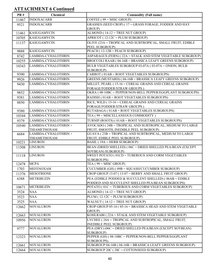| <b>PR#</b> | Chemical                       | <b>Commodity (Full name)</b>                                                     |
|------------|--------------------------------|----------------------------------------------------------------------------------|
| 11467      | <b>INDOXACARB</b>              | COFFEE ( $99 =$ MISC GROUP)                                                      |
| 9521       | <b>INDOXACARB</b>              | GRASSES (SEED CROP) (17 = GRASS FORAGE, FODDER AND HAY                           |
|            |                                | GROUP)                                                                           |
| 11461      | <b>KASUGAMYCIN</b>             | $ALMOND (14-12 = TREE NUT GROUP)$                                                |
| 10705      | <b>KASUGAMYCIN</b>             | APRICOT (12-12C = PLUM SUBGROUP)                                                 |
| 11137      | <b>KASUGAMYCIN</b>             | OLIVE (23A = TROPICAL AND SUBTROPICAL, SMALL FRUIT, EDIBLE                       |
|            |                                | PEEL SUBGROUP)                                                                   |
| 9888       | <b>KASUGAMYCIN</b>             | PEACH (12-12B = PEACH SUBGROUP)                                                  |
| 8742       | LAMBDA-CYHALOTHRIN             | ASPARAGUS (FERN) (22A = STALK AND STEM VEGETABLE SUBGROUP)                       |
| 10255      | LAMBDA-CYHALOTHRIN             | BROCCOLI RAAB (04-16B = BRASSICA LEAFY GREENS SUBGROUP)                          |
| 10343      | LAMBDA-CYHALOTHRIN             | BULB VEGETABLES SUBGROUP 03-07A (03-07A = ONION, BULB                            |
| 9390       | LAMBDA-CYHALOTHRIN             | SUBGROUP)<br>CARROT (01AB = ROOT VEGETABLES SUBGROUPS)                           |
| 9926       | LAMBDA-CYHALOTHRIN             | GREENS (MUSTARD) (04-16B = BRASSICA LEAFY GREENS SUBGROUP)                       |
| 9430       | LAMBDA-CYHALOTHRIN             | MILLET, PEARL (15-16 = CEREAL GRAINS AND CEREAL GRAINS                           |
|            |                                | FORAGE/FODDER/STRAW GROUPS)                                                      |
| 9852       | LAMBDA-CYHALOTHRIN             | OKRA (08-10BC = PEPPER/NON-BELL PEPPER/EGGPLANT SUBGROUPS)                       |
| 9381       | LAMBDA-CYHALOTHRIN             | RADISH (01AB = ROOT VEGETABLES SUBGROUPS)                                        |
| 8850       | LAMBDA-CYHALOTHRIN             | RICE, WILD (15-16 = CEREAL GRAINS AND CEREAL GRAINS                              |
|            |                                | FORAGE/FODDER/STRAW GROUPS)                                                      |
| 9380       | LAMBDA-CYHALOTHRIN             | RUTABAGA (01AB = ROOT VEGETABLES SUBGROUPS)                                      |
| 10344      | LAMBDA-CYHALOTHRIN             | TEA (99 = MISCELLANEOUS COMMODITY)                                               |
| 9379       | LAMBDA-CYHALOTHRIN             | TURNIP (ROOTS) (01AB = ROOT VEGETABLES SUBGROUPS)                                |
| 10540      | LAMBDA-CYHALOTHRIN +           | AVOCADO (24B = TROPICAL AND SUBTROPICAL, MEDIUM TO LARGE                         |
|            | THIAMETHOXAM                   | FRUIT, SMOOTH, INEDIBLE PEEL SUBGROUP)                                           |
| 6684       | LAMBDA-CYHALOTHRIN +           | GUAVA (23B = TROPICAL AND SUBTROPICAL, MEDIUM TO LARGE                           |
|            | THIAMETHOXAM<br><b>LINURON</b> | FRUIT, EDIBLE PEEL SUBGROUP)                                                     |
| 10221      |                                | BASIL (19A = HERB SUBGROUP)                                                      |
| 11508      | <b>LINURON</b>                 | BEAN (DRIED SHELLED) (06C = DRIED SHELLED PEA/BEAN (EXCEPT<br>SOYBEAN) SUBGROUP) |
| 11118      | <b>LINURON</b>                 | SWEET POTATO (01CD = TUBEROUS AND CORM VEGETABLES                                |
|            |                                | <b>SUBGROUPS)</b>                                                                |
| 12478      | <b>MCPA</b>                    | TEA ( $99 =$ MISC GROUP)                                                         |
| 1703       | <b>MEFENOXAM</b>               | CUCUMBER (GH) (09B = SQUASH/CUCUMBER SUBGROUP)                                   |
| 11376      | <b>MESOTRIONE</b>              | CROP GROUP 13-07 (13-07 = BERRY AND SMALL FRUIT GROUP)                           |
| 6388       | <b>METRIBUZIN</b>              | PEA (EDIBLE PODDED & SUCCULENT SHELLED) (06AB = EDIBLE                           |
|            |                                | PODDED AND SUCCULENT SHELLED PEA/BEAN SUBGROUPS)                                 |
| 10671      | <b>METRIBUZIN</b>              | POTATO (01C = TUBEROUS AND CORM VEGETABLES SUBGROUP)                             |
| 3524       | <b>NAA</b>                     | $ALMOND$ (14-12 = TREE NUT GROUP)                                                |
| 3523       | <b>NAA</b>                     | PLUM (12-12C = PLUM SUBGROUP)                                                    |
| 3525       | <b>NAA</b>                     | WALNUT ( $14-12$ = TREE NUT GROUP)                                               |
| 12662      | <b>NOVALURON</b>               | CROP GROUP 05-16 (05-16 = BRASSICA HEAD AND STEM VEGETABLE                       |
|            | <b>NOVALURON</b>               | GROUP)<br>KOHLRABI (22A = STALK AND STEM VEGETABLE SUBGROUP)                     |
| 12663      | <b>NOVALURON</b>               | LYCHEE (24A = TROPICAL AND SUBTROPICAL, SMALL FRUIT,                             |
| 10956      |                                | <b>INEDIBLE PEEL SUBGROUP)</b>                                                   |
| 9777       | <b>NOVALURON</b>               | PEA (DRY) (06C = DRIED SHELLED PEA/BEAN (EXCEPT SOYBEAN)                         |
|            |                                | SUBGROUP)                                                                        |
| 12323      | <b>NOVALURON</b>               | PEPPER (GH) (08-10BC = PEPPER/NON-BELL PEPPER/EGGPLANT                           |
|            |                                | <b>SUBGROUPS)</b>                                                                |
| 12661      | <b>NOVALURON</b>               | SUBGROUP 04-16B (04-16B = BRASSICA LEAFY GREENS SUBGROUP)                        |
| 12664      | <b>NOVALURON</b>               | SUBGROUP 20C (20C = COTTONSEED SUBGROUP)                                         |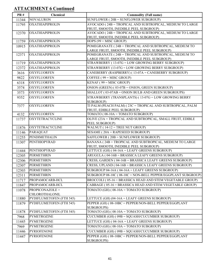| <b>PR#</b> | <b>Chemical</b>                         | <b>Commodity (Full name)</b>                                                                           |
|------------|-----------------------------------------|--------------------------------------------------------------------------------------------------------|
| 11344      | <b>NOVALURON</b>                        | SUNFLOWER ( $20B =$ SUNFLOWER SUBGROUP)                                                                |
| 11795      | <b>OXATHIAPIPROLIN</b>                  | AVOCADO (24B = TROPICAL AND SUBTROPICAL, MEDIUM TO LARGE                                               |
|            |                                         | FRUIT, SMOOTH, INEDIBLE PEEL SUBGROUP)                                                                 |
| 12370      | <b>OXATHIAPIPROLIN</b>                  | AVOCADO (24B = TROPICAL AND SUBTROPICAL, MEDIUM TO LARGE                                               |
|            |                                         | FRUIT, SMOOTH, INEDIBLE PEEL SUBGROUP)                                                                 |
| 11759      | <b>OXATHIAPIPROLIN</b>                  | HOPS $(99 = MISC$ GROUP)                                                                               |
| 10915      | <b>OXATHIAPIPROLIN</b>                  | POMEGRANATE (24B = TROPICAL AND SUBTROPICAL, MEDIUM TO<br>LARGE FRUIT, SMOOTH, INEDIBLE PEEL SUBGROUP) |
| 12371      | <b>OXATHIAPIPROLIN</b>                  | POMEGRANATE (24B = TROPICAL AND SUBTROPICAL, MEDIUM TO                                                 |
|            |                                         | LARGE FRUIT, SMOOTH, INEDIBLE PEEL SUBGROUP)                                                           |
| 11719      | <b>OXATHIAPIPROLIN</b>                  | STRAWBERRY (13-07G = LOW GROWING BERRY SUBGROUP)                                                       |
| 12372      | <b>OXATHIAPIPROLIN</b>                  | STRAWBERRY (13-07G = LOW GROWING BERRY SUBGROUP)                                                       |
| 3616       | <b>OXYFLUORFEN</b>                      | CANEBERRY (RASPBERRY) (13-07A = CANEBERRY SUBGROUP)                                                    |
| 9822       | <b>OXYFLUORFEN</b>                      | COFFEE $(99)$ = MISC GROUP)                                                                            |
| 6318       | <b>OXYFLUORFEN</b>                      | KENAF ( $99 =$ MISC GROUP)                                                                             |
| 3574       | <b>OXYFLUORFEN</b>                      | ONION (GREEN) (03-07B = ONION, GREEN SUBGROUP)                                                         |
| 3573       | <b>OXYFLUORFEN</b>                      | SHALLOT (03-07AB = ONION BULB AND GREEN SUBGROUPS)                                                     |
| 9352       | <b>OXYFLUORFEN</b>                      | STRAWBERRY (TRANSPLANTS) (13-07G = LOW GROWING BERRY                                                   |
|            |                                         | SUBGROUP)                                                                                              |
| 7377       | <b>OXYFLUORFEN</b>                      | TI PALM (PEACH PALM) (23C = TROPICAL AND SUBTROPICAL, PALM                                             |
|            | <b>OXYFLUORFEN</b>                      | FRUIT, EDIBLE PEEL SUBGROUP)                                                                           |
| 4132       |                                         | TOMATO ( $08-10A = TOMATO SUBGROUP$ )                                                                  |
| 11737      | <b>OXYTETRACYCLINE</b>                  | OLIVE (23A = TROPICAL AND SUBTROPICAL, SMALL FRUIT, EDIBLE<br>PEEL SUBGROUP)                           |
| 11876      | <b>OXYTETRACYCLINE</b>                  | WALNUT ( $14-12$ = TREE NUT GROUP)                                                                     |
| 11146      | PARAQUAT                                | SESAME ( $20A = RAPESEED SUBGROUP$ )                                                                   |
| 11255      | <b>PENDIMETHALIN</b>                    | SAFFLOWER (20B = SUNFLOWER SUBGROUP)                                                                   |
| 11307      | PENTHIOPYRAD                            | BANANA (24B = TROPICAL AND SUBTROPICAL, MEDIUM TO LARGE                                                |
|            |                                         | FRUIT, SMOOTH, INEDIBLE PEEL SUBGROUP)                                                                 |
| 11444      | PENTHIOPYRAD                            | LETTUCE (GH) (04-16A = LEAFY GREENS SUBGROUP)                                                          |
| 12305      | <b>PERMETHRIN</b>                       | ARUGULA (04-16B = BRASSICA LEAFY GREENS SUBGROUP)                                                      |
| 12306      | <b>PERMETHRIN</b>                       | CRESS, GARDEN (04-16B = BRASSICA LEAFY GREENS SUBGROUP)                                                |
| 12307      | <b>PERMETHRIN</b>                       | CRESS, UPLAND (04-16B = BRASSICA LEAFY GREENS SUBGROUP)                                                |
| 12303      | <b>PERMETHRIN</b>                       | SUBGROUP 04-16A (04-16A = LEAFY GREENS SUBGROUP)                                                       |
| 12311      | <b>PERMETHRIN</b>                       | SUBGROUP 08-10C (08-10C = NON-BELL PEPPER/EGGPLANT SUBGROUP)                                           |
| 11717      | PROPAMOCARB-HCL                         | BROCCOLI (05-16 = BRASSICA HEAD AND STEM VEGETABLE GROUP)                                              |
| 11847      | PROPAMOCARB-HCL                         | CABBAGE (05-16 = BRASSICA HEAD AND STEM VEGETABLE GROUP)                                               |
| 11078      | PROPICONAZOLE +                         | TOMATO (GH) ( $08-10A = TOMATO SUBGROUP$ )                                                             |
|            | CHLOROTHALONIL                          |                                                                                                        |
| 11880      | PYDIFLUMETOFEN (FTH 545)                | LETTUCE (GH) (04-16A = LEAFY GREENS SUBGROUP)                                                          |
| 11879      | PYDIFLUMETOFEN (FTH 545)                | PEPPER (GH) (08-10BC = PEPPER/NON-BELL PEPPER/EGGPLANT                                                 |
|            |                                         | <b>SUBGROUPS)</b>                                                                                      |
| 11878      | PYDIFLUMETOFEN (FTH 545)<br>PYMETROZINE | TOMATO (GH) (08-10A = TOMATO SUBGROUP)                                                                 |
| 7968       |                                         | CUCUMBER (GH) (09B = SQUASH/CUCUMBER SUBGROUP)                                                         |
| 11445      | <b>PYMETROZINE</b>                      | LETTUCE (GH) (04-16A = LEAFY GREENS SUBGROUP)                                                          |
| 7969       | <b>PYMETROZINE</b>                      | TOMATO (GH) ( $08-10A = TOMATO SUBGROUP$ )                                                             |
| 11446      | PYRIOFENONE                             | CUCUMBER (GH) (09B = SQUASH/CUCUMBER SUBGROUP)                                                         |
| 11447      | <b>PYRIOFENONE</b>                      | PEPPER (GH) (08-10BC = PEPPER/NON-BELL PEPPER/EGGPLANT<br>SUBGROUPS)                                   |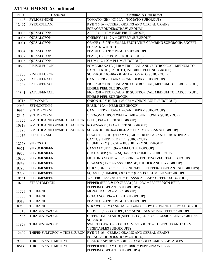| <b>PR#</b>     | Chemical                        | <b>Commodity (Full name)</b>                                                                           |
|----------------|---------------------------------|--------------------------------------------------------------------------------------------------------|
| 11448          | <b>PYRIOFENONE</b>              | $TOMATO$ (GH) (08-10A = $TOMATO$ SUBGROUP)                                                             |
| 12497          | PYROXSULAM                      | RYE (15-16 = CEREAL GRAINS AND CEREAL GRAINS                                                           |
|                |                                 | FORAGE/FODDER/STRAW GROUPS)                                                                            |
| 10033          | QUIZALOFOP                      | APPLE (11-10 = POME FRUIT GROUP)                                                                       |
| 10036          | <b>QUIZALOFOP</b>               | CHERRY (12-12A = CHERRY SUBGROUP)                                                                      |
| 10031          | <b>QUIZALOFOP</b>               | GRAPE (13-07F = SMALL FRUIT VINE CLIMBING SUBGROUP, EXCEPT                                             |
|                |                                 | <b>FUZZY KIWIFRUIT)</b>                                                                                |
| 10034          | QUIZALOFOP<br><b>QUIZALOFOP</b> | PEACH (12-12B = PEACH SUBGROUP)                                                                        |
| 10032          |                                 | PEAR ( $11-10 = POME FRUIT GROUP$ )                                                                    |
| 10035          | <b>QUIZALOFOP</b>               | $PLUM(12-12C = PLUM SUBGROUP)$                                                                         |
| 10606          | <b>RIMSULFURON</b>              | POMEGRANATE (24B = TROPICAL AND SUBTROPICAL, MEDIUM TO<br>LARGE FRUIT, SMOOTH, INEDIBLE PEEL SUBGROUP) |
| 11875          | <b>RIMSULFURON</b>              | SUBGROUP $08-10A$ ( $08-10A = TOMATO SUBGROUP$ )                                                       |
| 11079          | <b>SAFLUFENACIL</b>             | CANEBERRY (13-07A = CANEBERRY SUBGROUP)                                                                |
| 11557          | <b>SAFLUFENACIL</b>             | FIG (23B = TROPICAL AND SUBTROPICAL, MEDIUM TO LARGE FRUIT,                                            |
|                |                                 | <b>EDIBLE PEEL SUBGROUP)</b>                                                                           |
| 11841          | <b>SAFLUFENACIL</b>             | FIG (23B = TROPICAL AND SUBTROPICAL, MEDIUM TO LARGE FRUIT,                                            |
|                |                                 | <b>EDIBLE PEEL SUBGROUP)</b>                                                                           |
| 10716          | <b>SEDAXANE</b>                 | ONION (DRY BULB) ( $03-07A = ONION$ , BULB SUBGROUP)                                                   |
| 2063           | <b>SETHOXYDIM</b>               | $\overline{BASIL}$ (19A = HERB SUBGROUP)                                                               |
| 9934           | <b>SETHOXYDIM</b>               | CANEBERRY (13-07A = CANEBERRY SUBGROUP)                                                                |
| 8345           | <b>SETHOXYDIM</b>               | VERNONIA (IRON WEED) (20B = SUNFLOWER SUBGROUP)                                                        |
| 11325          | S-METOLACHLOR/METOLACHLOR       | DILL (19A = HERB SUBGROUP)                                                                             |
| 10819          | S-METOLACHLOR/METOLACHLOR       | ROSEMARY (19A = HERB SUBGROUP)                                                                         |
| 11895          | S-METOLACHLOR/METOLACHLOR       | SUBGROUP 04-16A (04-16A = LEAFY GREENS SUBGROUP)                                                       |
| 11514          | <b>SPINETORAM</b>               | DRAGON FRUIT (PITAYA) (24D = TROPICAL AND SUBTROPICAL,                                                 |
|                |                                 | CACTUS, INEDIBLE PEEL SUBGROUP)                                                                        |
| 12568          | <b>SPINOSAD</b>                 | BLUEBERRY (13-07B = BUSHBERRY SUBGROUP)                                                                |
| 9971           | <b>SPIROMESIFEN</b>             | CANTALOUPE (09A = MELON SUBGROUP)                                                                      |
| 9970           | <b>SPIROMESIFEN</b>             | CUCUMBER (09B = SQUASH/CUCUMBER SUBGROUP)                                                              |
| 10800          | <b>SPIROMESIFEN</b>             | FRUITING VEGETABLES (08-10 = FRUITING VEGETABLE GROUP)                                                 |
| 9842           | SPIROMESIFEN                    | GRASSES (17 = GRASS FORAGE, FODDER AND HAY GROUP)                                                      |
| 9290           | <b>SPIROMESIFEN</b>             | OKRA (08-10BC = PEPPER/NON-BELL PEPPER/EGGPLANT SUBGROUPS)                                             |
| 9972           | <b>SPIROMESIFEN</b>             | SQUASH (SUMMER) (09B = SQUASH/CUCUMBER SUBGROUP)                                                       |
| 10551          | <b>SPIROMESIFEN</b>             | WATERCRESS (04-16B = BRASSICA LEAFY GREENS SUBGROUP)                                                   |
| 10290          | <b>STREPTOMYCIN</b>             | PEPPER (BELL & NONBELL) (08-10BC = PEPPER/NON-BELL                                                     |
|                | <b>TERBACIL</b>                 | PEPPER/EGGPLANT SUBGROUPS)<br>MONARDA ( $99 =$ MISC GROUP)                                             |
| 11727<br>11235 | <b>TERBACIL</b>                 | OREGANO (19A = HERB SUBGROUP)                                                                          |
| 9017           | <b>TERBACIL</b>                 | $PEACH (12-12B = PEACH SUBGROUP)$                                                                      |
|                | <b>TERBACIL</b>                 | STRAWBERRY (ANNUAL) (13-07G = LOW GROWING BERRY SUBGROUP)                                              |
| 8959           | THIABENDAZOLE                   | CLOVER (SEED CROP) (18 = NONGRASS ANIMAL FEEDS GROUP)                                                  |
| 11310          |                                 |                                                                                                        |
| 11585          | THIABENDAZOLE                   | GREENS (MUSTARD) (SEED TRT) (04-16B = BRASSICA LEAFY GREENS<br>SUBGROUP)                               |
| 11859          | THIABENDAZOLE                   | SWEET POTATO (POST HARVEST) (01CD = TUBEROUS AND CORM                                                  |
|                |                                 | <b>VEGETABLES SUBGROUPS)</b>                                                                           |
| 12499          | THIFENSULFURON + TRIBENURON     | RYE (15-16 = CEREAL GRAINS AND CEREAL GRAINS                                                           |
|                |                                 | FORAGE/FODDER/STRAW GROUPS)                                                                            |
| 9709           | THIOPHANATE METHYL              | BEAN (SNAP) (06A = EDIBLE PODDEDLEGUME VEGETABLES                                                      |
| 8614           | THIOPHANATE METHYL              | PEPPER (FIELD & GH) ( $08-10BC = PEPPER/NON-BELL$                                                      |
|                |                                 | PEPPER/EGGPLANT SUBGROUPS)                                                                             |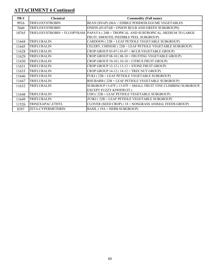| PR#   | Chemical          | <b>Commodity (Full name)</b>                                                          |
|-------|-------------------|---------------------------------------------------------------------------------------|
| 9916  | TRIFLOXYSTROBIN   | BEAN (SNAP) (06A = EDIBLE PODDEDLEGUME VEGETABLES                                     |
| 7049  | TRIFLOXYSTROBIN   | ONION (03-07AB = ONION BULB AND GREEN SUBGROUPS)                                      |
| 10765 |                   | TRIFLOXYSTROBIN + FLUOPYRAM  PAPAYA ( 24B = TROPICAL AND SUBTROPICAL, MEDIUM TO LARGE |
|       |                   | FRUIT, SMOOTH, INEDIBLE PEEL SUBGROUP)                                                |
| 11644 | TRIFLURALIN       | CARDOON (22B = LEAF PETIOLE VEGETABLE SUBGROUP)                                       |
| 11645 | TRIFLURALIN       | CELERY, CHINESE (22B = LEAF PETIOLE VEGETABLE SUBGROUP)                               |
| 11628 | TRIFLURALIN       | CROP GROUP 03-07 ( $03-07 = BULB$ VEGETABLE GROUP)                                    |
| 11629 | TRIFLURALIN       | CROP GROUP $08-10$ ( $08-10$ = FRUITING VEGETABLE GROUP)                              |
| 11630 | TRIFLURALIN       | CROP GROUP 10-10 (10-10 = CITRUS FRUIT GROUP)                                         |
| 11631 | TRIFLURALIN       | CROP GROUP $12-12$ ( $12-12 =$ STONE FRUIT GROUP)                                     |
| 11633 | TRIFLURALIN       | CROP GROUP $14-12$ ( $14-12$ = TREE NUT GROUP)                                        |
| 11646 | TRIFLURALIN       | FUKI (22B = LEAF PETIOLE VEGETABLE SUBGROUP)                                          |
| 11647 | TRIFLURALIN       | RHUBARB (22B = LEAF PETIOLE VEGETABLE SUBGROUP)                                       |
| 11632 | TRIFLURALIN       | SUBGROUP 13-07F (13-07F = SMALL FRUIT VINE CLIMBING SUBGROUP,                         |
|       |                   | <b>EXCEPT FUZZY KIWIFRUIT)</b>                                                        |
| 11648 | TRIFLURALIN       | UDO (22B = LEAF PETIOLE VEGETABLE SUBGROUP)                                           |
| 11649 | TRIFLURALIN       | ZUIKI (22B = LEAF PETIOLE VEGETABLE SUBGROUP)                                         |
| 11526 | TRINEXAPAC-ETHYL  | CLOVER (SEED CROP) (18 = NONGRASS ANIMAL FEEDS GROUP)                                 |
| 8397  | ZETA-CYPERMETHRIN | BASIL (19A = HERB SUBGROUP)                                                           |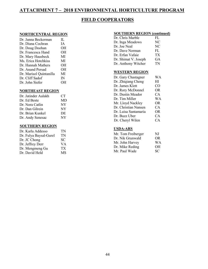### **ATTACHMENT 7 – 2018 ENVIRONMENTAL HORTICULTURE PROGRAM**

### **FIELD COOPERATORS**

### **NORTHCENTRAL REGION**

| Dr. Janna Beckerman     | H.           |
|-------------------------|--------------|
| Dr. Diana Cochran       | ΙA.          |
| Dr. Doug Doohan         | OН           |
| Dr. Francesca Hand      | ΟH           |
| Dr. Mary Hausbeck       | MI           |
| Ms. Erica Hotchkiss     | MI           |
| Dr. Hannah Mathers      | ΟH           |
| Dr. Anand Persad        | ΟH           |
| Dr. Marisol Quintanilla | MI           |
| Dr. Cliff Sadof         | $\mathbb{N}$ |
| Dr. John Siefer         | OН           |
|                         |              |

#### **NORTHEAST REGION**

| Dr. Jatinder Aulakh | CТ  |
|---------------------|-----|
| Dr. Ed Beste        | MD  |
| Dr. Nora Catlin     | NY. |
| Dr. Dan Gilrein     | NY  |
| Dr. Brian Kunkel    | DE  |
| Dr. Andy Senesac    | NY  |
|                     |     |

### **SOUTHERN REGION**

| Dr. Karla Addesso      | TN  |
|------------------------|-----|
| Dr. Fulya Baysal-Gurel | TN  |
| Dr. JC Chong           | SC. |
| Dr. Jeffrey Derr       | VА  |
| Dr. Mengmeng Gu        | ТX  |
| Dr. David Held         | MS  |

#### **SOUTHERN REGION (continued)**

| Dr. Chris Marble     | FL |
|----------------------|----|
| Dr. Inga Meadows     | NC |
| Dr. Joe Neal         | NC |
| Dr. Dave Norman      | FL |
| Dr. Erfan Vafaie     | TХ |
| Dr. Shimat V. Joseph | GА |
| Dr. Anthony Witcher  | TN |
|                      |    |

#### **WESTERN REGION**

| Dr. Gary Chastagner  | WА        |
|----------------------|-----------|
| Dr. Zhiqiang Cheng   | HІ        |
| Dr. James Klett      | CO        |
| Dr. Rory McDonnel    | <b>OR</b> |
| Dr. Dustin Meador    | CA        |
| Dr. Tim Miller       | WΑ        |
| Mr. Lloyd Nackley    | <b>OR</b> |
| Dr. Christian Nansen | CA.       |
| Dr. Luisa Santamaria | <b>OR</b> |
| Dr. Buzz Uber        | CA        |
| Dr. Cheryl Wilen     | CА        |
|                      |           |

### **USDA-ARS**

| Mr. Tom Freiberger | NJ        |
|--------------------|-----------|
| Dr. Nik Grunwald   | OR        |
| Mr. John Harvey    | <b>WA</b> |
| Dr. Mike Reding    | OН        |
| Mr. Paul Wade      | SC.       |
|                    |           |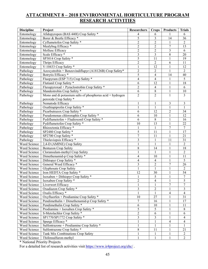### **ATTACHMENT 8 – 2018 ENVIRONMENTAL HORTICULTURE PROGRAM RESEARCH ACTIVITIES**

| <b>Discipline</b> | Project                                                     | Researchers             | <b>Crops</b>   | <b>Products</b>  | <b>Trials</b>                    |
|-------------------|-------------------------------------------------------------|-------------------------|----------------|------------------|----------------------------------|
| Entomology        | Afidopyropen (BAS 440I) Crop Safety *                       | 4                       | 6              |                  | 6                                |
| Entomology        | Borer & Beetle Efficacy *                                   | 5                       | $\mathfrak{Z}$ | 14               | 36                               |
| Entomology        | Cyflumetofen Crop Safety *                                  | $\overline{2}$          | $\overline{2}$ | 1                | $\overline{2}$                   |
| Entomology        | Mealybug Efficacy*                                          | $\overline{2}$          | $\sqrt{2}$     | 7                | 13                               |
| Entomology        | Mollusc Efficacy                                            | $\overline{2}$          | $\sqrt{2}$     | 3                | 6                                |
| Entomology        | Scale Efficacy*                                             | $\mathfrak{Z}$          | $\mathfrak{Z}$ | 8                | 20                               |
| Entomology        | SP3014 Crop Safety *                                        | 5                       | 11             | 1                | 19                               |
| Entomology        | Thrips Efficacy                                             | $\overline{2}$          | $\sqrt{2}$     | 6                | 11                               |
| Entomology        | V-10433 Crop Safety *                                       | $\mathbf{1}$            | 12             | 1                | 12                               |
| Pathology         | Azoxystrobin + Benzovindiflupyr (A18126B) Crop Safety*      | $\overline{c}$          | $\overline{c}$ | 1                | $\overline{2}$                   |
| Pathology         | Botrytis Efficacy*                                          | 5                       | $\overline{4}$ | 14               | 40                               |
| Pathology         | Fluopyram (ESP 715) Crop Safety *                           | $\overline{\mathbf{4}}$ | $\overline{4}$ | 1                | 5                                |
| Pathology         | Flutianil Crop Safety *                                     | 6                       | 12             | 1                | 18                               |
| Pathology         | Fluxapyroxad + Pyraclostrobin Crop Safety *                 | $\overline{c}$          | $\overline{4}$ | 1                | 6                                |
| Pathology         | Mandestrobin Crop Safety *                                  | $\boldsymbol{6}$        | $\,8\,$        | 1                | 10                               |
| Pathology         | Mono and di potassium salts of phosphorus $acid + hydrogen$ | $\overline{c}$          | $\overline{2}$ | 1                | $\mathfrak{Z}$                   |
|                   | peroxide Crop Safety *                                      |                         |                |                  |                                  |
| Pathology         | Nematode Efficacy                                           | 1                       | 1              | $\mathfrak{Z}$   | $\mathfrak{Z}$                   |
| Pathology         | Oxathiapiprolin Crop Safety *                               | $\,1\,$                 | $\mathbf{1}$   | 1                | $\mathbf{1}$                     |
| Pathology         | Picarbutrazox Crop Safety *                                 | 6                       | 12             | $\overline{2}$   | 34                               |
| Pathology         | Pseudomonas chlororaphis Crop Safety *                      | 6                       | 10             | 1                | 12                               |
| Pathology         | Pydiflumetofen + Fludioxonil Crop Safety *                  | 6                       | $\,8\,$        | $\mathbf{1}$     | 16                               |
| Pathology         | Pydiflumetofen Crop Safety *                                | 10                      | 13             | $\mathbf{1}$     | 22                               |
| Pathology         | Rhizoctonia Efficacy *                                      | $\mathbf{1}$            | $\mathbf{1}$   | $\boldsymbol{7}$ | $\tau$                           |
| Pathology         | SP2480 Crop Safety *                                        | $\overline{5}$          | 11             | $\mathbf{1}$     | 17                               |
| Pathology         | SP2700 Crop Safety *                                        | $\overline{7}$          | 11             | $\mathbf{1}$     | 21                               |
| Pathology         | Thielaviopsis Efficacy *                                    | $\overline{\mathbf{3}}$ | $\mathbf{1}$   | 11               | 31                               |
| Weed Science      | 2,4-D (AMINE) Crop Safety                                   | $\,1\,$                 | 1              | 1                | $\sqrt{2}$                       |
| Weed Science      | <b>Bentazon Crop Safety</b>                                 | 8                       | 14             | 1                | 18                               |
| Weed Science      | Cloransulam-methyl Crop Safety                              | $\mathbf{1}$            | $\mathbf{1}$   | 1                | $\overline{2}$                   |
| Weed Science      | Dimethenamid-p Crop Safety *                                | $\overline{\mathbf{4}}$ | 10             | 1                | 11                               |
| Weed Science      | Dithiopyr Crop Safety *                                     | $\overline{\mathbf{4}}$ | $\overline{4}$ | 1                | $\sqrt{5}$                       |
| Weed Science      | General Weed Efficacy *                                     | $\overline{\mathbf{3}}$ | $\sqrt{2}$     | $\boldsymbol{7}$ | 26                               |
| Weed Science      | Glyphosate Crop Safety                                      | $\,1\,$                 | $\mathbf{1}$   | 1                | $\sqrt{2}$                       |
| Weed Science      | Iron HEDTA Crop Safety *                                    | 12                      | 30             | 1                | 54                               |
| Weed Science      | Isoxaben + Dithiopyr Crop Safety *                          | $\mathbf{1}$            | 5              | $\mathbf{1}$     | 7                                |
| Weed Science      | Isoxaben Crop Safety *                                      | 2                       | $\overline{4}$ |                  | 5                                |
| Weed Science      | Liverwort Efficacy                                          | 1                       | $\mathbf{1}$   | $\boldsymbol{7}$ | $\tau$                           |
| Weed Science      | Oxadiazon Crop Safety *                                     | $\mathfrak{Z}$          | $\overline{c}$ | 1                | 3                                |
| Weed Science      | Oxalis Efficacy *                                           | $\mathbf{1}$            | $\mathbf{1}$   | 4                | $\overline{4}$                   |
| Weed Science      | Oxyfluorfen + Prodiamine Crop Safety *                      | 10                      | 27             | 1                | 31                               |
| Weed Science      | Pendimethalin + Dimethenamid-p Crop Safety *                | $\boldsymbol{7}$        | 16             | 1                | 17                               |
| Weed Science      | Pendimethalin Crop Safety *                                 | $\sqrt{6}$              | 10             | 1                | 11                               |
| Weed Science      | Prodiamine + Isoxaben Crop Safety *                         | 5                       | $\mathfrak{S}$ | 1                | $8\,$                            |
| Weed Science      | S-Metolachlor Crop Safety *                                 | $\overline{c}$          | 6              | 1                | 6                                |
| Weed Science      | SP1770/SP1772 Crop Safety *                                 | $\overline{3}$          | 3              | 1                |                                  |
| Weed Science      | Spurge Efficacy <sup>*</sup>                                | $\mathbf{1}$            | 1              | 4                | $\overline{4}$<br>$\overline{4}$ |
| Weed Science      | Sulfentrazone + Prodiamine Crop Safety *                    | $\,1\,$                 | 1              | 1                | 1                                |
| Weed Science      | Sulfentrazone Crop Safety *                                 | $8\,$                   | 11             |                  | 21                               |
| Weed Science      | Tank Mix Combinations Crop Safety                           | $\mathbf{1}$            | 1              | 1                | $\overline{2}$                   |
| Weed Science      | Thifensulfuron-methyl                                       | $\mathbf{1}$            | $\mathbf{1}$   | 1<br>1           | $\overline{2}$                   |
|                   |                                                             |                         |                |                  |                                  |

\* National Priority Projects

For a detailed list of research activities visit<https://www.ir4project.org/ehc/>.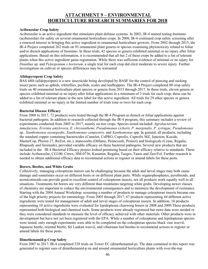### **ATTACHMENT 9 – ENVIRONMENTAL HORTICULTURE RESEARCH SUMMARIES FOR 2018**

#### **Acibenzolar Crop Safety**

Acibenzolar is an active ingredient that stimulates plant defense systems. In 2002, IR-4 started testing Insimmo (acibenzolar) for safety on several ornamental horticulture crops. In 2008, IR-4 continued crop safety screening after a renewed interest in bringing this active ingredient to ornamental horticulture growers. From 2002 through 2015, the IR-4 Project completed 262 trials on 93 ornamental plant genera or species examining phytotoxicity related to foliar and/or drench applications of Insimmo. In these trials, 42 species or genera exhibited minimal or no injury after foliar applications. Based on this information, it is recommended that all but 2 of these crops be added to a list of tolerant plants when this active ingredient gains registration. While there was sufficient evidence of minimal or no injury for *Dianthus* sp*.* and *Pelargonium x hortorum*, a single trial for each crop did elicit moderate to severe injury. Further investigation on cultivar or species differences may be warranted

#### **Afidopyropen) Crop Safety**

BAS 440i (afidopyropen) is a new insecticide being developed by BASF for the control of piercing and sucking insect pests such as aphids, whiteflies, psyllids, scales and leafhoppers. The IR-4 Project completed 80 crop safety trials on 40 ornamental horticulture plant species or genera from 2015 through 2017. In these trials, eleven genera or species exhibited minimal or no injury after foliar applications in a minimum of 3 trials for each crop; these can be added to a list of tolerant plants in the new label for this active ingredient. All trials for 29 other species or genera exhibited minimal or no injury in the limited number of trials (one or two) for each crop.

#### **Bacterial Disease Efficacy**

From 2008 to 2017, 72 products were tested through the IR-4 Program as drench or foliar applications against bacterial pathogens. In addition to research collected through the IR-4 program, this summary includes a review of experiments conducted from 2005 to 2017, mainly on tree crops. Species tested included: *Agrobacterium tumefaciens, Erwinia amylovora, E. chrysanthemi, Pseudomonas cichorii, P. marginalis, P. syringae, Pseudomonas*  sp.*, Xanthomonas axonopodis, Xanthomonas campestris,* and *Xanthomonas* spp. In general, all products, including the standard copper containing bactericides (Camelot, CuPRO, Cuprofix, Cuprofix MZ, Junction, Kocide, MasterCop, Phyton 27, ReZist, etc.), mancozebs (Dithane, Penncozeb, Protect) and biologicals (Cease, Regalia, Rhapsody and Serenade), provided variable efficacy on these bacterial pathogens. Several new products that are included in the IR-4 Bacterial Efficacy project looked promising based on their efficacy relative to standards. These include Acibenzolar, CG100, Citrex, HM-0736, Kasumin, Regalia, Taegro, Tanos and ZeroTol. Further research is needed to obtain additional efficacy data to recommend actions to register or amend labels for these pests.

#### **Borers, Beetles, and White Grubs**

Collectively, managing coleopteran insects can be challenging because the adult and larval stages may both cause damage and sometimes occur on different hosts or on different plant parts. While organophosphates, pyrethroids, and neonicotinoids can provide good to excellent control of coleopteran insects, not all products work equally well in all situations. Treatments for borers are very different than treatments targeting white grubs. Developing newer classes of chemistry are important to reduce the environmental consequences and to minimize the development of resistance. Starting with the 2004 Annual Workshop, screening a number of products to manage coleopteran insects became one of the high priority projects for entomology. From 2005 through 2017, 67 products representing 44 different active ingredients were tested for management of adult and larval stages of coleopteran insects. In addition, 10 products representing 10 active ingredients were evaluated for lepidopteran clearwing borers in 2008 and 2009.These products represented both biological and chemical tools. Some products were already registered but more data were needed or they were considered standards to measure the level of efficacy achieved with other materials. Other products were in development but have not yet been registered with the EPA. While a number of coleopteran and lepidopteran species were tested, only enough experiments were able to be completed on the coleopteran species black vine weevil, Japanese beetle, oriental beetle, Sri Lankan weevil, and viburnum leaf beetles to recommend actions to register or amend labels for these pests.

#### **Dimethenamid-p Crop Safety**

From 2007 to 2017, IR-4 completed 528 trials on Tower EC (dimethenamid-p). The data contained in this report was generated to register uses of dimethenamid-p on and around ornamental horticulture plants with over-the-top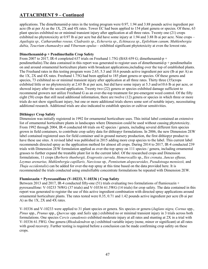applications. The dimethenamid-p rates in the testing program were 0.97, 1.94 and 3.88 pounds active ingredient per acre (lb ai per A) as the 1X, 2X and 4X rates. Tower EC had been applied to 154 plant genera or species. Of these, 63 plant species exhibited no or minimal transient injury after application at all three rates. Twenty one (21) crops exhibited no phytotoxicity at 0.97 lb ai per acre but did have some injury at 1.94 and 3.88 lb ai per acre. Nine crops – *Aquilegia sp., Catharanthus roseus, Cladrastis sp.*, *Echeveria sp.*, *Echinacea sp.*, *Epilobium canum, Muhlenbergia dubia, Teucrium chamaedrys* and *Viburnum opulus* – exhibited significant phytotoxicity at even the lowest rate.

### **Dimethenamid-p + Pendimethalin Crop Safety**

From 2007 to 2017, IR-4 completed 637 trials on Freehand 1.75G (BAS 659 G; dimethenamid-p + pendimethalin).The data contained in this report was generated to register uses of dimethenamid-p + pendimethalin on and around ornamental horticulture plants with broadcast applications,including over the top of established plants. The Freehand rates in this testing program were 2.65, 5.3 and 10.6 pounds active ingredient per acre (lb ai per A) as the 1X, 2X and 4X rates. Freehand 1.75G had been applied to 185 plant genera or species. Of these genera and species, 73 exhibited no or minimal transient injury after application at all three rates. Thirty three (35)crops exhibited little or no phytotoxicity at 2.65 lb ai per acre, but did have some injury at 5.3 and/or10.6 lb ai per acre, or showed injury after the second application. Twenty two (22) genera or species exhibited damage sufficient to recommend growers not utilize Freehand G as an over-the-top treatment for pre-emergent weed control. Of the fifty eight (58) crops that still need additional information, there are twelve (12) genera or species in which three or more trials do not show significant injury, but one or more additional trials shows some sort of notable injury, necessitating additional research. Additional trials are also indicated to establish species or cultivar sensitivities.

### **Dithiopyr Crop Safety**

Dimension was initially registered in 1992 for ornamental horticulture uses. This initial label contained an extensive list of ornamental horticulture plants in landscapes where Dimension could be used without causing phytotoxicity. From 1992 through 2004, IR-4 conducted 68 trials on 42 species / genera, including several different fern species grown in field containers, to contribute crop safety data for dithiopyr formulations. In 2006, the new Dimension 2EW label contained registered uses for field container and in ground nursery production, the first dithiopyr product to have these use sites. A revised label was published in 2015 adding more crop species to the label. This current label recommends directed spray as the application method for almost all crops. During 2014 to 2017, IR-4 conducted 239 trials with Dimension 2EW formulation applied as over-the-top spray on 111 species / genera, including ornamental grasses to further expand the treatable plant list in the current label. Of the researched crops and Dimension formulations, 11 crops (*Berberis thunbergii, Eragrostis curvula, Hemerocallis* sp., *Ilex crenata, Juncus effusus, Leymus arenarius, Muhlenbergia capillaris, Narcissus* sp*., Pennisetum alopecuroides, Pseudotsuga mensiezii,* and *Thuja occidentalis*) can be added for over-the-top spray at this time based on the data provided here. It is recommended the trials conducted using emulsifiable concentrate formulations be repeated with Dimension 2EW.

#### **Flumioxazin + Pyroxasulfone (V-10233, V-10336 ) Crop Safety**

Between 2013 and 2017, IR-4 conducted fifty-one (51) trials evaluating two formulations of flumioxazin + pyroxasulfone: V-10233 76WG (37 trials) and V-10336 61.5WG (14 trials) for crop safety. The data contained in this report was generated to register the use of this active ingredient combination with directed spray applications around ornamental horticulture plants. The rates tested were 0.35, 0.71 and 1.42 pounds active ingredient per acre (lb ai per A) as the 1X, 2X and 4X rates.

V-10336 and V-10233 were applied to 31 plant species or genera. Six species or genera (*Juglans nigra, Cornus* spp., *Pinus* spp., *Prunus* spp., *Quercus* spp. and *Salix* spp.) exhibited no or minimal transient injury in 3 trials across both formulations. One species *Cercis canadensis* exhibited moderate injury at all rates and stunting at 2X in a trial with V-10336 61.5WG. One genera (*Rhododendron* sp.) exhibited variable injury (none, minor or significant) at all rates with good recovery. Further testing is required before a conclusion can be made confirming crop safety on these crops.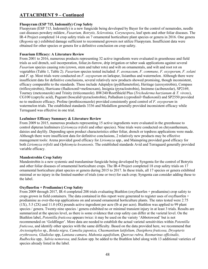### **Fluopyram (ESP 715, Indemnify) Crop Safety**

Fluopyram (ESP 715, Indemnify) is a new fungicide being developed by Bayer for the control of nematodes, needle cast diseases powdery mildew, *Fusarium, Botrytis, Sclerotinia, Corynespora*, leaf spots and other foliar diseases. The IR-4 Project completed 14 crop safety trials on 7 ornamental horticulture plant species or genera in 2016. One genera (*Begonia* sp.) exhibited damage sufficient to recommend growers not utilize Fluopyram. Insufficient data were obtained for other species or genera for a definitive conclusion on crop safety.

### **Fusarium Efficacy: A Literature Review**

From 2001 to 2016, numerous products representing 32 active ingredients were evaluated in greenhouse and field trials as soil drench, soil incorporation, foliar,in-furrow, drip irrigation or tuber soak applications against several *Fusarium* species causing rots (crown, stem and tuber rots) and wilt on ornamentals, and wilt and root rot on vegetables (Table 1, Table 2). *Fusarium* species tested included: *F. avenaceum, F. commune, F. oxysporum, F. solani* and *F*. sp. Most trials were conducted on *F. oxysporum* on larkspur, lisianthus and watermelon. Although there were insufficient data for definitive conclusions, several relatively new products showed promising, though inconsistent, efficacy comparable to the standards. These include Adepidyn (pydiflumetofen), Heritage (azoxystrobin), Compass (trifloxystrobin), Hurricane (fludioxonil+mefenoxam), Insignia (pyraclostrobin), Insimmo (acibenzolar), SP2169, Tourney (metconazole) and Trinity (triticonazole). BW240/RootShield Plus (*Trichoderma harzianum & T. virens*), CG100 (caprylic acid), Pageant (boscalid+pyraclostrobin), Palladium (cyprodinil+fludioxonil) and SP2550 provided no to mediocre efficacy. Proline (prothioconazole) provided consistently good control of *F. oxysporum* in watermelon trials. The established standards 3336 and Medallion generally provided inconsistent efficacy while Terraguard was effective in one trial.

### **Leafminer Efficacy Summary & Literature Review**

From 2009 to 2015, numerous products representing 15 active ingredients were evaluated in the greenhouse to control dipteran leafminers (*Liriomyza trifolii* and other species). Nine trials were conducted on chrysanthemum, daisies and daylily. Depending upon product characteristics either foliar, drench or topdress applications were made. Although there were insufficient data for definitive conclusions, 2 relatively new products may be effective management tools: Arena provided good efficacy for *Liriomyza* spp., and Mainspring provided good efficacy for both *Liriomyza trifolii* and *Ophiomyia kwansonis*. The established standards Avid and Terraguard generally provided variable efficacy.

### **Mandestrobin Crop Safety**

Mandestrobin is a new systemic and translaminar fungicide being developed by Syngenta for the control of Botrytis and other foliar diseases of ornamental horticulture crops. The IR-4 Project completed 18 crop safety trials on 17 ornamental horticulture plant species or genera during 2015 to 2017. In these trials, all 17 species or genera exhibited minimal or no injury in the limited number of trials (one or two) for each crop; Syngenta can consider adding these to the label.

### **Oxyfluorfen + Prodiamine) Crop Safety**

From 2009 through 2017, IR-4 completed 208 trials evaluating Biathlon (oxyfluorfen + prodiamine) crop safety to crops grown in field containers. The data contained in this report were generated to register uses of oxyfluorfen  $+$ prodiamine as over-the-top applications on and around ornamental horticulture plants. The rates tested were 2.75 (1X), 5.5 (2X) and 11.0 (4X) pounds active ingredient per acre (lb ai per acre). Biathlon was applied to 99 plant species / genera. Twenty-nine species / genera exhibited no or minimal transient injury in at least 3 trials. Results are summarized at the species level, as there is some evidence that crop safety can differ at the varietal level. On the Biathlon label, *Potentilla fruticosa* appears twice: it may be used on the variety 'Abbotswood' but is not recommended on 'Goldfinger'. More data are needed to establish the actual varietal sensitivities within *Potentilla fruticosa*, and identify other species with the same difficulty. Based on the data provided here, we recommend that *Arctostaphylos* sp., *Betula nigra, Camelia japonica, Chasmantium latifolium, Dasiphora fruticosa, Dryopteris erythrosora, Gladiolus* spp, *Lantana camara, Mahonia aquifolium, Quercus rubra, Rosmarinus officinalis, Rudbeckia* spp*., Salvia nemorosa,* and *Sedum* spp*.* be added to the Biathlon label along with 13 additional varieties of species already listed in the label.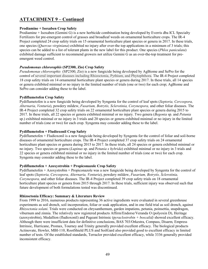### **Prodiamine + Isoxaben Crop Safety**

Prodiamine + Isoxaben (Gemini G) is a new herbicide combination being developed by Everris dba ICL Specialty Fertilizers for pre-emergent control of grasses and broadleaf weeds on ornamental horticulture crops. The IR-4 Project completed 24 crop safety trials on 15 ornamental horticulture plant species or genera in 2017. In these trials, one species (*Quercus virginiana*) exhibited no injury after over-the top applications in a minimum of 3 trials; this species can be added to a list of tolerant plants in the new label for this product. One species (*Phlox paniculata*) exhibited damage sufficient to recommend growers not utilize Gemini G as an over-the-top treatment for preemergent weed control.

### *Pseudomonas chlororaphis* **(SP2300, Zio) Crop Safety**

*Pseudomonas chlororaphis* (SP2300, Zio) is a new fungicide being developed by AgBiome and SePro for the control of several important diseases including Rhizoctonia, Pythium, and Phytophthora. The IR-4 Project completed 18 crop safety trials on 14 ornamental horticulture plant species or genera during 2017. In these trials, all 14 species or genera exhibited minimal or no injury in the limited number of trials (one or two) for each crop; AgBiome and SePro can consider adding these to the label.

### **Pydiflumetofen Crop Safety**

Pydiflumetofen is a new fungicide being developed by Syngenta for the control of leaf spots (*Septoria, Cercospora, Alternaria, Venturia*), powdery mildew, *Fusarium, Botrytis, Sclerotinia, Corynespora,* and other foliar diseases. The IR-4 Project completed 32 crop safety trials on 22 ornamental horticulture plant species or genera during 2015 to 2017. In these trials, all 22 species or genera exhibited minimal or no injury. Two genera (*Begonia* sp. and *Petunia* sp.) exhibited minimal or no injury in 3 trials and 20 species or genera exhibited minimal or no injury in the limited number of trials (one or two) for each crop. Syngenta may consider adding these to the label.

### **Pydiflumetofen + Fludioxonil Crop Safety**

Pydiflumetofen + Fludioxonil is a new fungicide being developed by Syngenta for the control of foliar and soil-borne diseases of ornamental horticulture crops. The IR-4 Project completed 37 crop safety trials on 24 ornamental horticulture plant species or genera during 2015 to 2017. In these trials, all 24 species or genera exhibited minimal or no injury. Two species or genera (*Lupinus* sp. and P*etunia x hybrida*) exhibited minimal or no injury in 3 trials and 22 species or genera exhibited minimal or no injury in the limited number of trials (one or two) for each crop. Syngenta may consider adding these to the label.

#### **Pydiflumetofen + Azoxystrobin + Propiconazole Crop Safety**

Pydiflumetofen + Azoxystrobin + Propiconazole was a new fungicide being developed by Syngenta for the control of leaf spots (*Septoria, Cercospora, Alternaria, Venturia*), powdery mildew, *Fusarium, Botrytis, Sclerotinia, Corynespora,* and other foliar diseases. The IR-4 Project completed 39 crop safety trials on 18 ornamental horticulture plant species or genera from 2015 through 2017. In these trials, sufficient injury was observed such that future development of both formulations tested was discontinued.

#### **Rhizoctonia Efficacy: Summary & Literature Review**

From 1999 to 2016, numerous products representing 36 active ingredients were evaluated in several greenhouse experiments as soil drench, soil incorporation, foliar or soak application, and in one field trial as soil drench, against *Rhizoctonia solani*. Trials were conducted on chrysanthemum, garden impatiens, petunia, poinsettia, snapdragon, viburnum and zinnia. The relatively new registered products Affirm/Endorse/Veranda O (polyoxin D), Heritage (azoxystrobin), Medallion (fludioxonil) and Pageant Intrinsic (p*yraclostrobin + boscalid)* showed excellent efficacy. Although there were insufficient data for definitive conclusions, BAS 703/Orkestra, Compass, Disarm*,* Empress Intrinsic, Hurricane, Promax, Tourney and Trinity generally provided excellent efficacy. The biological products Actinovate, Howler, MBI-110, RootShield PLUS and SoilGard also provided good to excellent efficacy in limited number of tests. Of the established standards, Terraclor provided excellent efficacy, while 3336 generally provided inconsistent efficacy.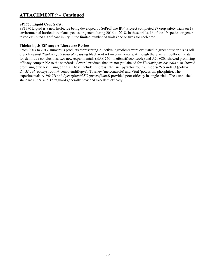### **SP1770 Liquid Crop Safety**

SP1770 Liquid is a new herbicide being developed by SePro. The IR-4 Project completed 27 crop safety trials on 19 environmental horticulture plant species or genera during 2016 to 2018. In these trials, 16 of the 19 species or genera tested exhibited significant injury in the limited number of trials (one or two) for each crop.

### **Thielaviopsis Efficacy: A Literature Review**

From 2003 to 2017, numerous products representing 23 active ingredients were evaluated in greenhouse trials as soil drench against *Thielaviopsis basicola* causing black root rot on ornamentals. Although there were insufficient data for definitive conclusions, two new experimentals (BAS 750 - mefentrifluconazole) and A20808C showed promising efficacy comparable to the standards. Several products that are not yet labeled for *Thielaviopsis basicola* also showed promising efficacy in single trials. These include Empress Intrinsic (pyraclostrobin), Endorse/Veranda O (polyoxin D), *Mural (a*zoxystrobin + benzovindiflupyr), Tourney (metconazole) and Vital (potassium phosphite). The experimentals A19649B and *Pyraziflumid SC (pyraziflumid)* provided poor efficacy in single trials. The established standards 3336 and Terraguard generally provided excellent efficacy.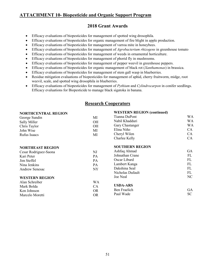### **ATTACHMENT 10- Biopesticide and Organic Support Program**

### **2018 Grant Awards**

- Efficacy evaluations of biopesticides for management of spotted wing drosophila.
- Efficacy evaluations of biopesticides for organic management of fire blight in apple production.
- Efficacy evaluations of biopesticides for management of varroa mite in honeybees.
- Efficacy evaluations of biopesticides for management of *Agrobacterium rhizogens* in greenhouse tomato
- Efficacy evaluations of biopesticides for management of weeds in ornamental horticulture.
- Efficacy evaluations of biopesticides for management of phorid fly in mushrooms.
- Efficacy evaluations of biopesticides for management of pepper weevil in greenhouse peppers.
- Efficacy evaluations of biopesticides for organic management of black rot (*Xanthamonas*) in brassica.
- Efficacy evaluations of biopesticides for management of stem gall wasp in blueberries.
- Residue mitigation evaluations of biopesticides for management of aphid, cherry fruitworm, midge, root weevil, scale, and spotted wing drosophila in blueberries.
- Efficacy evaluations of biopesticides for management of *Pythium* and *Cylindrocarpon* in conifer seedlings. Efficacy evaluations for Biopesticide to manage black sigatoka in banana.

| <b>NORTHCENTRAL REGION</b> |           | <b>WESTERN REGION (continued)</b> |           |
|----------------------------|-----------|-----------------------------------|-----------|
| George Sundin              | МI        | Tianna DuPont                     | WA        |
| Sally Miller               | OН        | Nabil Khadduri                    | WA        |
| Chris Taylor               | <b>OH</b> | Gary Chastanger                   | <b>WA</b> |
| John Wise                  | MI        | Elina Niño                        | <b>CA</b> |
| Rufus Isaacs               | MI        | Cheryl Wilen                      | CA        |
|                            |           | Charlee Kelly                     | CA        |
| <b>NORTHEAST REGION</b>    |           | <b>SOUTHERN REGION</b>            |           |
| Cesar Rodriguez-Saona      | NJ        | Ashfaq Ahmad                      | GA        |
| Kari Peter                 | PA        | Johnathan Crane                   | FL        |
| Jim Steffel                | PA        | Oscar Liburd                      | FL        |
| Nina Jenkins               | PA        | Lambert Kanga                     | FL        |
| <b>Andrew Senesac</b>      | NY        | Dakshina Seal                     | FL        |
|                            |           | Nicholas Dufault                  | FL        |
| <b>WESTERN REGION</b>      |           | Joe Neal                          | NC.       |
| Alan Schreiber             | <b>WA</b> |                                   |           |
| Mark Bolda                 | CA        | <b>USDA-ARS</b>                   |           |
| Ken Johnson                | <b>OR</b> | Ben Fraelich                      | <b>GA</b> |
| Marcelo Moretti            | <b>OR</b> | Paul Wade                         | <b>SC</b> |

### **Research Cooperators**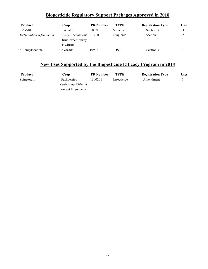### **Biopesticide Regulatory Support Packages Approved in 2018**

| <b>Product</b>           | Crop                                                              | <b>PR Number</b> | <b>TYPE</b> | <b>Registration Type</b> | <b>Uses</b> |
|--------------------------|-------------------------------------------------------------------|------------------|-------------|--------------------------|-------------|
| $PMV-01$                 | Tomato                                                            | 1052B            | Virucide    | Section 3                |             |
| Metschnikowia fructicola | $13-07$ F. Small vine $1051B$<br>fruit, except fuzzy<br>kiwifruit |                  | Fungicide   | Section 3                |             |
| 6-Benzyladenine          | Avocado                                                           | 10922            | <b>PGR</b>  | Section 3                |             |

### **New Uses Supported by the Biopesticide Efficacy Program in 2018**

| Product    | rop_                | <b>PR</b> Number | TYPE        | <b>Registration Type</b> | Uses : |
|------------|---------------------|------------------|-------------|--------------------------|--------|
| Spinetoram | <b>Bushberries</b>  | B00201           | Insecticide | Amendment                |        |
|            | $(Subgroup 13-07B)$ |                  |             |                          |        |
|            | except lingonberry  |                  |             |                          |        |